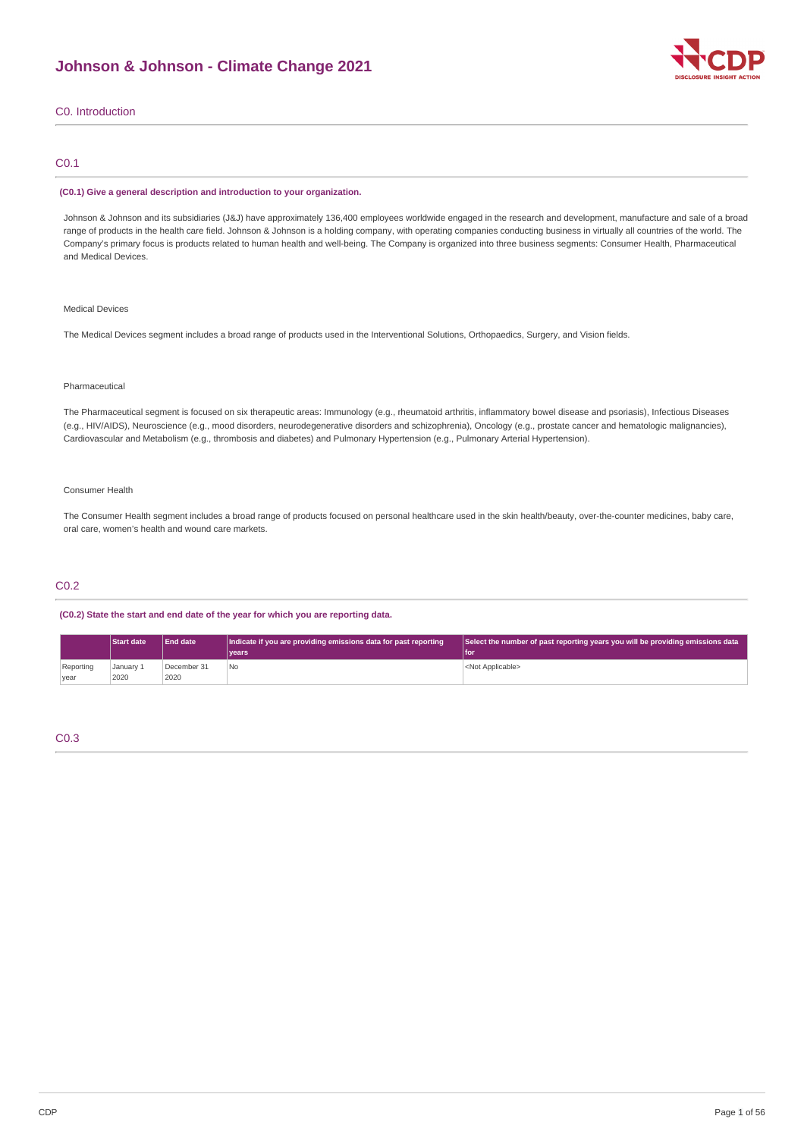## **Johnson & Johnson - Climate Change 2021**



### C0. Introduction

### C0.1

#### **(C0.1) Give a general description and introduction to your organization.**

Johnson & Johnson and its subsidiaries (J&J) have approximately 136,400 employees worldwide engaged in the research and development, manufacture and sale of a broad range of products in the health care field. Johnson & Johnson is a holding company, with operating companies conducting business in virtually all countries of the world. The Company's primary focus is products related to human health and well-being. The Company is organized into three business segments: Consumer Health, Pharmaceutical and Medical Devices.

### Medical Devices

The Medical Devices segment includes a broad range of products used in the Interventional Solutions, Orthopaedics, Surgery, and Vision fields.

#### Pharmaceutical

The Pharmaceutical segment is focused on six therapeutic areas: Immunology (e.g., rheumatoid arthritis, inflammatory bowel disease and psoriasis), Infectious Diseases (e.g., HIV/AIDS), Neuroscience (e.g., mood disorders, neurodegenerative disorders and schizophrenia), Oncology (e.g., prostate cancer and hematologic malignancies), Cardiovascular and Metabolism (e.g., thrombosis and diabetes) and Pulmonary Hypertension (e.g., Pulmonary Arterial Hypertension).

#### Consumer Health

The Consumer Health segment includes a broad range of products focused on personal healthcare used in the skin health/beauty, over-the-counter medicines, baby care, oral care, women's health and wound care markets.

### C0.2

**(C0.2) State the start and end date of the year for which you are reporting data.**

|                   | <b>Start date</b> | End date            | Indicate if you are providing emissions data for past reporting | Select the number of past reporting years you will be providing emissions data |
|-------------------|-------------------|---------------------|-----------------------------------------------------------------|--------------------------------------------------------------------------------|
|                   |                   |                     | vears <sup>1</sup>                                              | l foi                                                                          |
| Reporting<br>vear | January 1<br>2020 | December 31<br>2020 | No                                                              | <not applicable=""></not>                                                      |

### C0.3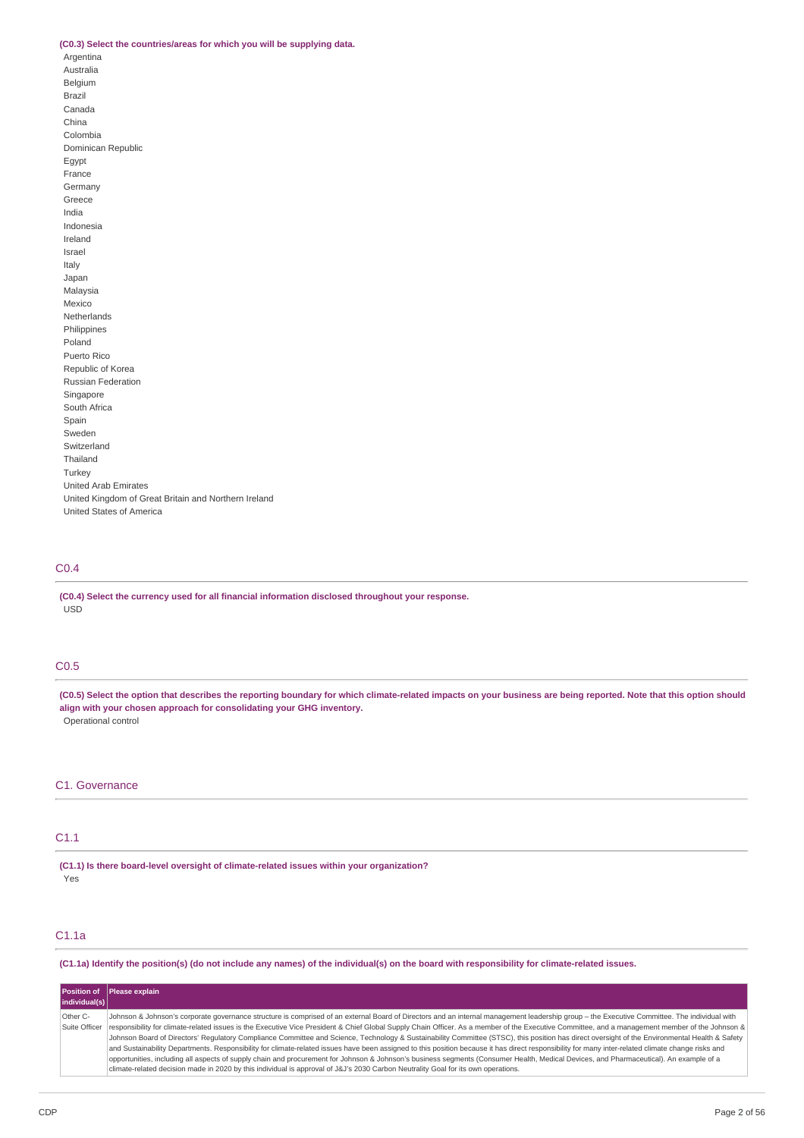#### **(C0.3) Select the countries/areas for which you will be supplying data.**

Argentina Australia Belgium Brazil Canada China Colombia Dominican Republic Egypt France Germany Greece India Indonesia Ireland Israel Italy Japan Malaysia Mexico Netherlands Philippines Poland Puerto Rico Republic of Korea Russian Federation Singapore South Africa Spain Sweden Switzerland Thailand Turkey United Arab Emirates United Kingdom of Great Britain and Northern Ireland United States of America

### C0.4

**(C0.4) Select the currency used for all financial information disclosed throughout your response.** USD

### C0.5

(C0.5) Select the option that describes the reporting boundary for which climate-related impacts on your business are being reported. Note that this option should **align with your chosen approach for consolidating your GHG inventory.** Operational control

### C1. Governance

### C1.1

**(C1.1) Is there board-level oversight of climate-related issues within your organization?** Yes

### C1.1a

(C1.1a) Identify the position(s) (do not include any names) of the individual(s) on the board with responsibility for climate-related issues.

|               | <b>Position of Please explain</b>                                                                                                                                                                  |
|---------------|----------------------------------------------------------------------------------------------------------------------------------------------------------------------------------------------------|
| individual(s) |                                                                                                                                                                                                    |
| Other C-      | Johnson & Johnson's corporate governance structure is comprised of an external Board of Directors and an internal management leadership group - the Executive Committee. The individual with       |
| Suite Officer | responsibility for climate-related issues is the Executive Vice President & Chief Global Supply Chain Officer. As a member of the Executive Committee, and a management member of the Johnson &    |
|               | Johnson Board of Directors' Regulatory Compliance Committee and Science, Technology & Sustainability Committee (STSC), this position has direct oversight of the Environmental Health & Safety     |
|               | and Sustainability Departments. Responsibility for climate-related issues have been assigned to this position because it has direct responsibility for many inter-related climate change risks and |
|               | opportunities, including all aspects of supply chain and procurement for Johnson & Johnson's business segments (Consumer Health, Medical Devices, and Pharmaceutical). An example of a             |
|               | climate-related decision made in 2020 by this individual is approval of J&J's 2030 Carbon Neutrality Goal for its own operations.                                                                  |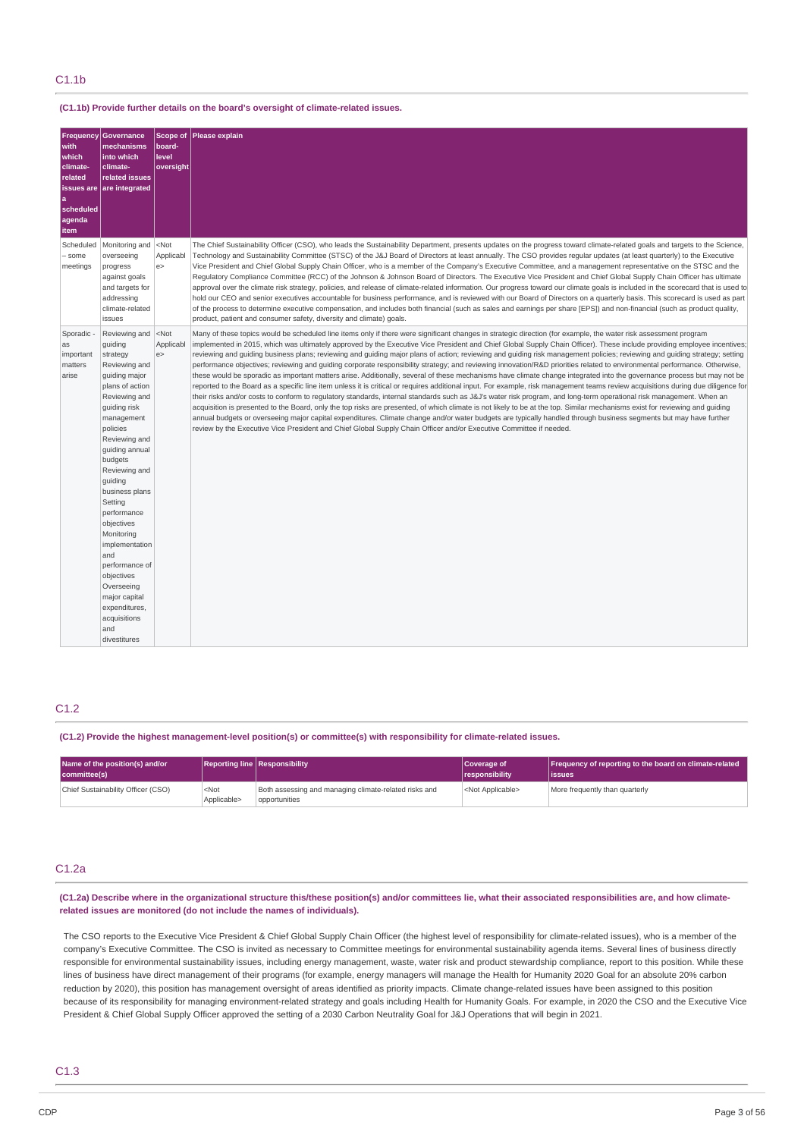### C1.1b

#### **(C1.1b) Provide further details on the board's oversight of climate-related issues.**

| Frequency<br>with<br>which<br>climate-<br>related<br>scheduled<br>agenda<br>item | Governance<br>mechanisms<br>into which<br>climate-<br>related issues<br>issues are are integrated                                                                                                                                                                                                                                                                                                                                                      | Scope of<br>board-<br>level<br>oversight | Please explain                                                                                                                                                                                                                                                                                                                                                                                                                                                                                                                                                                                                                                                                                                                                                                                                                                                                                                                                                                                                                                                                                                                                                                                                                                                                                                                                                                                                                                                                                                                                                                                                                                                                                                            |
|----------------------------------------------------------------------------------|--------------------------------------------------------------------------------------------------------------------------------------------------------------------------------------------------------------------------------------------------------------------------------------------------------------------------------------------------------------------------------------------------------------------------------------------------------|------------------------------------------|---------------------------------------------------------------------------------------------------------------------------------------------------------------------------------------------------------------------------------------------------------------------------------------------------------------------------------------------------------------------------------------------------------------------------------------------------------------------------------------------------------------------------------------------------------------------------------------------------------------------------------------------------------------------------------------------------------------------------------------------------------------------------------------------------------------------------------------------------------------------------------------------------------------------------------------------------------------------------------------------------------------------------------------------------------------------------------------------------------------------------------------------------------------------------------------------------------------------------------------------------------------------------------------------------------------------------------------------------------------------------------------------------------------------------------------------------------------------------------------------------------------------------------------------------------------------------------------------------------------------------------------------------------------------------------------------------------------------------|
| Scheduled<br>- some<br>meetings                                                  | Monitoring and<br>overseeing<br>progress<br>against goals<br>and targets for<br>addressing<br>climate-related<br>issues                                                                                                                                                                                                                                                                                                                                | $<$ Not<br>Applicabl<br>e                | The Chief Sustainability Officer (CSO), who leads the Sustainability Department, presents updates on the progress toward climate-related goals and targets to the Science,<br>Technology and Sustainability Committee (STSC) of the J&J Board of Directors at least annually. The CSO provides regular updates (at least quarterly) to the Executive<br>Vice President and Chief Global Supply Chain Officer, who is a member of the Company's Executive Committee, and a management representative on the STSC and the<br>Regulatory Compliance Committee (RCC) of the Johnson & Johnson Board of Directors. The Executive Vice President and Chief Global Supply Chain Officer has ultimate<br>approval over the climate risk strategy, policies, and release of climate-related information. Our progress toward our climate goals is included in the scorecard that is used to<br>hold our CEO and senior executives accountable for business performance, and is reviewed with our Board of Directors on a quarterly basis. This scorecard is used as part<br>of the process to determine executive compensation, and includes both financial (such as sales and earnings per share [EPS]) and non-financial (such as product quality,<br>product, patient and consumer safety, diversity and climate) goals.                                                                                                                                                                                                                                                                                                                                                                                                        |
| Sporadic -<br>as<br>important<br>matters<br>arise                                | Reviewing and<br>guiding<br>strategy<br>Reviewing and<br>quiding major<br>plans of action<br>Reviewing and<br>guiding risk<br>management<br>policies<br>Reviewing and<br>guiding annual<br>budgets<br>Reviewing and<br>quiding<br>business plans<br>Setting<br>performance<br>objectives<br>Monitoring<br>implementation<br>and<br>performance of<br>objectives<br>Overseeing<br>major capital<br>expenditures,<br>acquisitions<br>and<br>divestitures | $<$ Not<br>Applicabl<br>e                | Many of these topics would be scheduled line items only if there were significant changes in strategic direction (for example, the water risk assessment program<br>implemented in 2015, which was ultimately approved by the Executive Vice President and Chief Global Supply Chain Officer). These include providing employee incentives;<br>reviewing and guiding business plans; reviewing and guiding major plans of action; reviewing and guiding risk management policies; reviewing and guiding strategy; setting<br>performance objectives; reviewing and guiding corporate responsibility strategy; and reviewing innovation/R&D priorities related to environmental performance. Otherwise,<br>these would be sporadic as important matters arise. Additionally, several of these mechanisms have climate change integrated into the governance process but may not be<br>reported to the Board as a specific line item unless it is critical or requires additional input. For example, risk management teams review acquisitions during due diligence for<br>their risks and/or costs to conform to regulatory standards, internal standards such as J&J's water risk program, and long-term operational risk management. When an<br>acquisition is presented to the Board, only the top risks are presented, of which climate is not likely to be at the top. Similar mechanisms exist for reviewing and guiding<br>annual budgets or overseeing major capital expenditures. Climate change and/or water budgets are typically handled through business segments but may have further<br>review by the Executive Vice President and Chief Global Supply Chain Officer and/or Executive Committee if needed. |

### C1.2

**(C1.2) Provide the highest management-level position(s) or committee(s) with responsibility for climate-related issues.**

| Name of the position(s) and/or<br>committee(s) |                        | <b>Reporting line Responsibility</b>                                   | Coverage of<br>responsibility | Frequency of reporting to the board on climate-related<br>lissues |
|------------------------------------------------|------------------------|------------------------------------------------------------------------|-------------------------------|-------------------------------------------------------------------|
| Chief Sustainability Officer (CSO)             | $<$ Not<br>Applicable> | Both assessing and managing climate-related risks and<br>opportunities | <not applicable=""></not>     | More frequently than quarterly                                    |

### C1.2a

(C1.2a) Describe where in the organizational structure this/these position(s) and/or committees lie, what their associated responsibilities are, and how climate**related issues are monitored (do not include the names of individuals).**

The CSO reports to the Executive Vice President & Chief Global Supply Chain Officer (the highest level of responsibility for climate-related issues), who is a member of the company's Executive Committee. The CSO is invited as necessary to Committee meetings for environmental sustainability agenda items. Several lines of business directly responsible for environmental sustainability issues, including energy management, waste, water risk and product stewardship compliance, report to this position. While these lines of business have direct management of their programs (for example, energy managers will manage the Health for Humanity 2020 Goal for an absolute 20% carbon reduction by 2020), this position has management oversight of areas identified as priority impacts. Climate change-related issues have been assigned to this position because of its responsibility for managing environment-related strategy and goals including Health for Humanity Goals. For example, in 2020 the CSO and the Executive Vice President & Chief Global Supply Officer approved the setting of a 2030 Carbon Neutrality Goal for J&J Operations that will begin in 2021.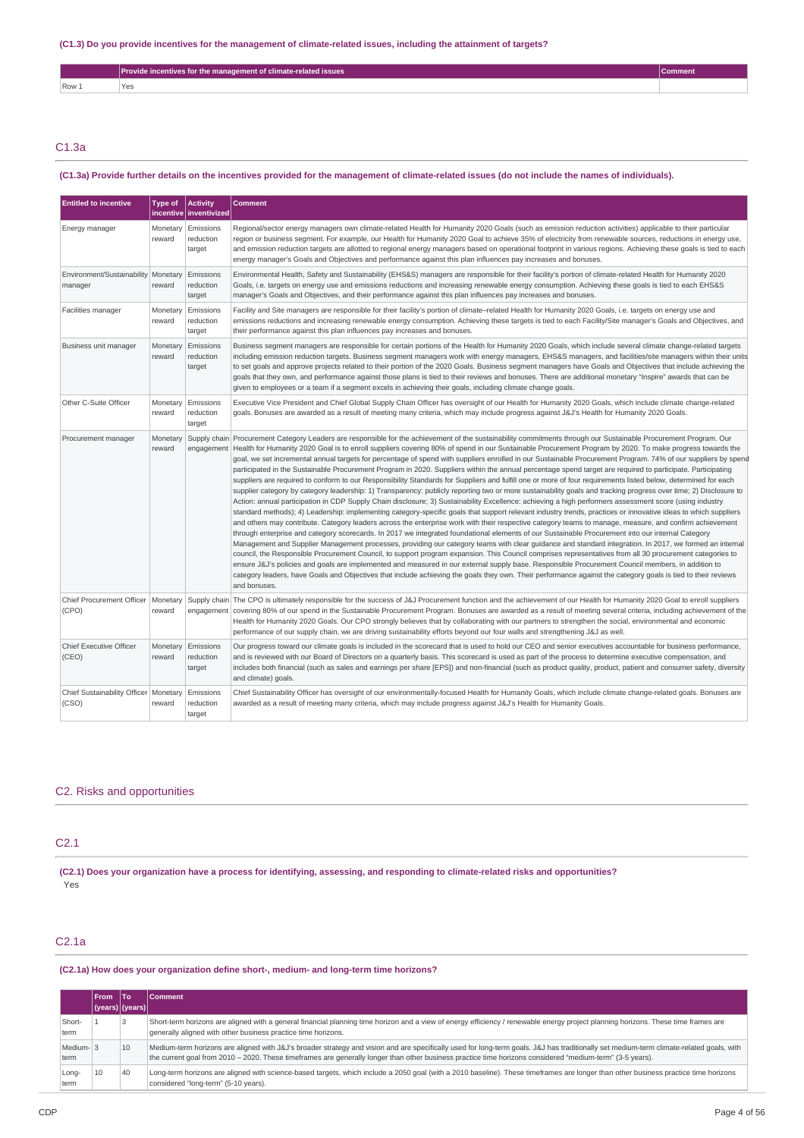|              | Provide incentives for the management of climate-related issues | sommen. |
|--------------|-----------------------------------------------------------------|---------|
| Row 1<br>$-$ | Yes                                                             |         |

### C1.3a

### (C1.3a) Provide further details on the incentives provided for the management of climate-related issues (do not include the names of individuals).

| <b>Entitled to incentive</b>                     | Type of            | <b>Activity</b><br>incentive   inventivized | <b>Comment</b>                                                                                                                                                                                                                                                                                                                                                                                                                                                                                                                                                                                                                                                                                                                                                                                                                                                                                                                                                                                                                                                                                                                                                                                                                                                                                                                                                                                                                                                                                                                                                                                                                                                                                                                                                                                                                                                                                                                                                                                                                                                                                                                                                                                                                                                                                |
|--------------------------------------------------|--------------------|---------------------------------------------|-----------------------------------------------------------------------------------------------------------------------------------------------------------------------------------------------------------------------------------------------------------------------------------------------------------------------------------------------------------------------------------------------------------------------------------------------------------------------------------------------------------------------------------------------------------------------------------------------------------------------------------------------------------------------------------------------------------------------------------------------------------------------------------------------------------------------------------------------------------------------------------------------------------------------------------------------------------------------------------------------------------------------------------------------------------------------------------------------------------------------------------------------------------------------------------------------------------------------------------------------------------------------------------------------------------------------------------------------------------------------------------------------------------------------------------------------------------------------------------------------------------------------------------------------------------------------------------------------------------------------------------------------------------------------------------------------------------------------------------------------------------------------------------------------------------------------------------------------------------------------------------------------------------------------------------------------------------------------------------------------------------------------------------------------------------------------------------------------------------------------------------------------------------------------------------------------------------------------------------------------------------------------------------------------|
| Energy manager                                   | reward             | Monetary Emissions<br>reduction<br>target   | Regional/sector energy managers own climate-related Health for Humanity 2020 Goals (such as emission reduction activities) applicable to their particular<br>region or business segment. For example, our Health for Humanity 2020 Goal to achieve 35% of electricity from renewable sources, reductions in energy use,<br>and emission reduction targets are allotted to regional energy managers based on operational footprint in various regions. Achieving these goals is tied to each<br>energy manager's Goals and Objectives and performance against this plan influences pay increases and bonuses.                                                                                                                                                                                                                                                                                                                                                                                                                                                                                                                                                                                                                                                                                                                                                                                                                                                                                                                                                                                                                                                                                                                                                                                                                                                                                                                                                                                                                                                                                                                                                                                                                                                                                  |
| Environment/Sustainability Monetary<br>manager   | reward             | Emissions<br>reduction<br>target            | Environmental Health, Safety and Sustainability (EHS&S) managers are responsible for their facility's portion of climate-related Health for Humanity 2020<br>Goals, i.e. targets on energy use and emissions reductions and increasing renewable energy consumption. Achieving these goals is tied to each EHS&S<br>manager's Goals and Objectives, and their performance against this plan influences pay increases and bonuses.                                                                                                                                                                                                                                                                                                                                                                                                                                                                                                                                                                                                                                                                                                                                                                                                                                                                                                                                                                                                                                                                                                                                                                                                                                                                                                                                                                                                                                                                                                                                                                                                                                                                                                                                                                                                                                                             |
| Facilities manager                               | Monetary<br>reward | Emissions<br>reduction<br>target            | Facility and Site managers are responsible for their facility's portion of climate–related Health for Humanity 2020 Goals, i.e. targets on energy use and<br>emissions reductions and increasing renewable energy consumption. Achieving these targets is tied to each Facility/Site manager's Goals and Objectives, and<br>their performance against this plan influences pay increases and bonuses.                                                                                                                                                                                                                                                                                                                                                                                                                                                                                                                                                                                                                                                                                                                                                                                                                                                                                                                                                                                                                                                                                                                                                                                                                                                                                                                                                                                                                                                                                                                                                                                                                                                                                                                                                                                                                                                                                         |
| Business unit manager                            | Monetary<br>reward | Emissions<br>reduction<br>target            | Business segment managers are responsible for certain portions of the Health for Humanity 2020 Goals, which include several climate change-related targets<br>including emission reduction targets. Business segment managers work with energy managers, EHS&S managers, and facilities/site managers within their units<br>to set goals and approve projects related to their portion of the 2020 Goals. Business segment managers have Goals and Objectives that include achieving the<br>goals that they own, and performance against those plans is tied to their reviews and bonuses. There are additional monetary "Inspire" awards that can be<br>given to employees or a team if a segment excels in achieving their goals, including climate change goals.                                                                                                                                                                                                                                                                                                                                                                                                                                                                                                                                                                                                                                                                                                                                                                                                                                                                                                                                                                                                                                                                                                                                                                                                                                                                                                                                                                                                                                                                                                                           |
| Other C-Suite Officer                            | Monetary<br>reward | Emissions<br>reduction<br>target            | Executive Vice President and Chief Global Supply Chain Officer has oversight of our Health for Humanity 2020 Goals, which include climate change-related<br>goals. Bonuses are awarded as a result of meeting many criteria, which may include progress against J&J's Health for Humanity 2020 Goals.                                                                                                                                                                                                                                                                                                                                                                                                                                                                                                                                                                                                                                                                                                                                                                                                                                                                                                                                                                                                                                                                                                                                                                                                                                                                                                                                                                                                                                                                                                                                                                                                                                                                                                                                                                                                                                                                                                                                                                                         |
| Procurement manager                              | Monetary<br>reward | Supply chain<br>engagement                  | Procurement Category Leaders are responsible for the achievement of the sustainability commitments through our Sustainable Procurement Program. Our<br>Health for Humanity 2020 Goal is to enroll suppliers covering 80% of spend in our Sustainable Procurement Program by 2020. To make progress towards the<br>goal, we set incremental annual targets for percentage of spend with suppliers enrolled in our Sustainable Procurement Program. 74% of our suppliers by spend<br>participated in the Sustainable Procurement Program in 2020. Suppliers within the annual percentage spend target are required to participate. Participating<br>suppliers are required to conform to our Responsibility Standards for Suppliers and fulfill one or more of four requirements listed below, determined for each<br>supplier category by category leadership: 1) Transparency: publicly reporting two or more sustainability goals and tracking progress over time; 2) Disclosure to<br>Action: annual participation in CDP Supply Chain disclosure; 3) Sustainability Excellence: achieving a high performers assessment score (using industry<br>standard methods); 4) Leadership: implementing category-specific goals that support relevant industry trends, practices or innovative ideas to which suppliers<br>and others may contribute. Category leaders across the enterprise work with their respective category teams to manage, measure, and confirm achievement<br>through enterprise and category scorecards. In 2017 we integrated foundational elements of our Sustainable Procurement into our internal Category<br>Management and Supplier Management processes, providing our category teams with clear guidance and standard integration. In 2017, we formed an internal<br>council, the Responsible Procurement Council, to support program expansion. This Council comprises representatives from all 30 procurement categories to<br>ensure J&J's policies and goals are implemented and measured in our external supply base. Responsible Procurement Council members, in addition to<br>category leaders, have Goals and Objectives that include achieving the goals they own. Their performance against the category goals is tied to their reviews<br>and bonuses. |
| Chief Procurement Officer   Monetary<br>(CPO)    | reward             | Supply chain<br>engagement                  | The CPO is ultimately responsible for the success of J&J Procurement function and the achievement of our Health for Humanity 2020 Goal to enroll suppliers<br>covering 80% of our spend in the Sustainable Procurement Program. Bonuses are awarded as a result of meeting several criteria, including achievement of the<br>Health for Humanity 2020 Goals. Our CPO strongly believes that by collaborating with our partners to strengthen the social, environmental and economic<br>performance of our supply chain, we are driving sustainability efforts beyond our four walls and strengthening J&J as well.                                                                                                                                                                                                                                                                                                                                                                                                                                                                                                                                                                                                                                                                                                                                                                                                                                                                                                                                                                                                                                                                                                                                                                                                                                                                                                                                                                                                                                                                                                                                                                                                                                                                            |
| Chief Executive Officer<br>(CEO)                 | Monetary<br>reward | Emissions<br>reduction<br>target            | Our progress toward our climate goals is included in the scorecard that is used to hold our CEO and senior executives accountable for business performance,<br>and is reviewed with our Board of Directors on a quarterly basis. This scorecard is used as part of the process to determine executive compensation, and<br>includes both financial (such as sales and earnings per share [EPS]) and non-financial (such as product quality, product, patient and consumer safety, diversity<br>and climate) goals.                                                                                                                                                                                                                                                                                                                                                                                                                                                                                                                                                                                                                                                                                                                                                                                                                                                                                                                                                                                                                                                                                                                                                                                                                                                                                                                                                                                                                                                                                                                                                                                                                                                                                                                                                                            |
| Chief Sustainability Officer   Monetary<br>(CSO) | reward             | Emissions<br>reduction<br>target            | Chief Sustainability Officer has oversight of our environmentally-focused Health for Humanity Goals, which include climate change-related goals. Bonuses are<br>awarded as a result of meeting many criteria, which may include progress against J&J's Health for Humanity Goals.                                                                                                                                                                                                                                                                                                                                                                                                                                                                                                                                                                                                                                                                                                                                                                                                                                                                                                                                                                                                                                                                                                                                                                                                                                                                                                                                                                                                                                                                                                                                                                                                                                                                                                                                                                                                                                                                                                                                                                                                             |

### C2. Risks and opportunities

### C2.1

(C2.1) Does your organization have a process for identifying, assessing, and responding to climate-related risks and opportunities? .<br>Yes

### C2.1a

### **(C2.1a) How does your organization define short-, medium- and long-term time horizons?**

|                   | <b>From</b>     | lTo | <b>Comment</b>                                                                                                                                                                                                                                                                                                                                        |
|-------------------|-----------------|-----|-------------------------------------------------------------------------------------------------------------------------------------------------------------------------------------------------------------------------------------------------------------------------------------------------------------------------------------------------------|
|                   | (years) (years) |     |                                                                                                                                                                                                                                                                                                                                                       |
| Short-<br>term    |                 | 3   | Short-term horizons are aligned with a general financial planning time horizon and a view of energy efficiency / renewable energy project planning horizons. These time frames are<br>generally aligned with other business practice time horizons.                                                                                                   |
| Medium-13<br>term |                 | 10  | Medium-term horizons are aligned with J&J's broader strategy and vision and are specifically used for long-term goals. J&J has traditionally set medium-term climate-related goals, with<br>the current goal from 2010 – 2020. These timeframes are generally longer than other business practice time horizons considered "medium-term" (3-5 years). |
| Long-<br>term     | 10              | 40  | Long-term horizons are aligned with science-based targets, which include a 2050 goal (with a 2010 baseline). These timeframes are longer than other business practice time horizons<br>considered "long-term" (5-10 years).                                                                                                                           |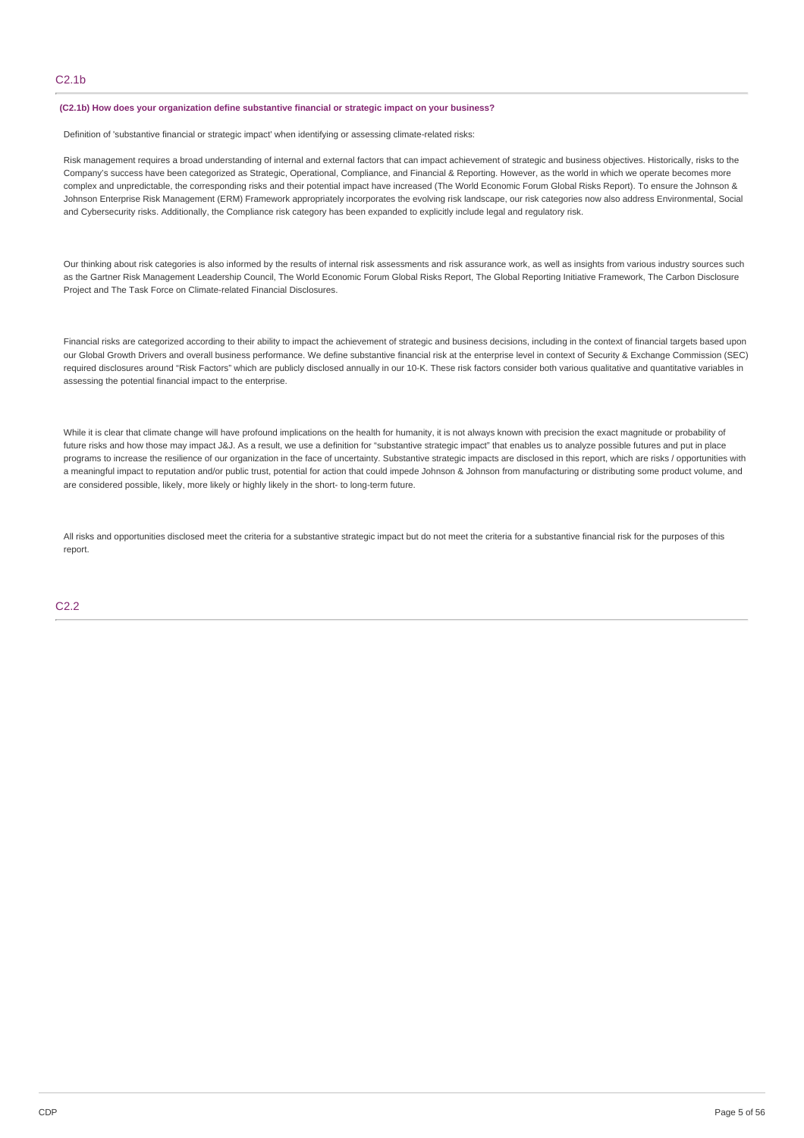#### **(C2.1b) How does your organization define substantive financial or strategic impact on your business?**

Definition of 'substantive financial or strategic impact' when identifying or assessing climate-related risks:

Risk management requires a broad understanding of internal and external factors that can impact achievement of strategic and business objectives. Historically, risks to the Company's success have been categorized as Strategic, Operational, Compliance, and Financial & Reporting. However, as the world in which we operate becomes more complex and unpredictable, the corresponding risks and their potential impact have increased (The World Economic Forum Global Risks Report). To ensure the Johnson & Johnson Enterprise Risk Management (ERM) Framework appropriately incorporates the evolving risk landscape, our risk categories now also address Environmental, Social and Cybersecurity risks. Additionally, the Compliance risk category has been expanded to explicitly include legal and regulatory risk.

Our thinking about risk categories is also informed by the results of internal risk assessments and risk assurance work, as well as insights from various industry sources such as the Gartner Risk Management Leadership Council, The World Economic Forum Global Risks Report, The Global Reporting Initiative Framework, The Carbon Disclosure Project and The Task Force on Climate-related Financial Disclosures.

Financial risks are categorized according to their ability to impact the achievement of strategic and business decisions, including in the context of financial targets based upon our Global Growth Drivers and overall business performance. We define substantive financial risk at the enterprise level in context of Security & Exchange Commission (SEC) required disclosures around "Risk Factors" which are publicly disclosed annually in our 10-K. These risk factors consider both various qualitative and quantitative variables in assessing the potential financial impact to the enterprise.

While it is clear that climate change will have profound implications on the health for humanity, it is not always known with precision the exact magnitude or probability of future risks and how those may impact J&J. As a result, we use a definition for "substantive strategic impact" that enables us to analyze possible futures and put in place programs to increase the resilience of our organization in the face of uncertainty. Substantive strategic impacts are disclosed in this report, which are risks / opportunities with a meaningful impact to reputation and/or public trust, potential for action that could impede Johnson & Johnson from manufacturing or distributing some product volume, and are considered possible, likely, more likely or highly likely in the short- to long-term future.

All risks and opportunities disclosed meet the criteria for a substantive strategic impact but do not meet the criteria for a substantive financial risk for the purposes of this report.

C2.2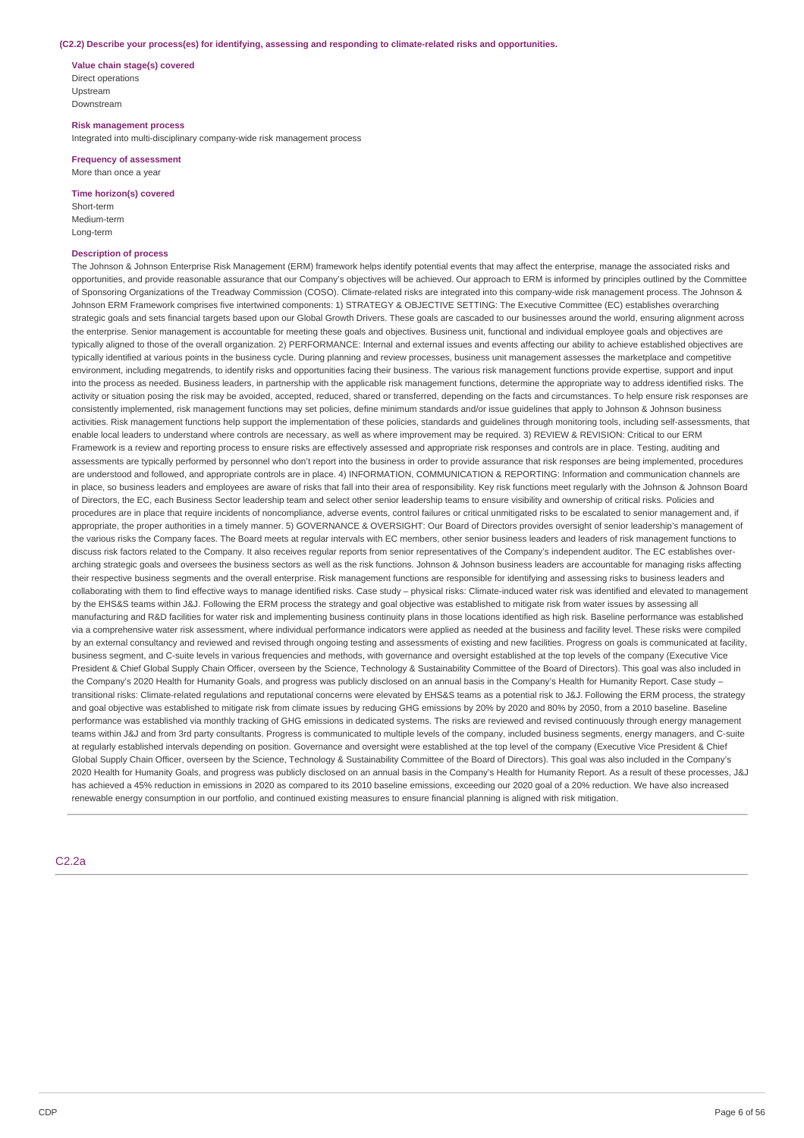#### **(C2.2) Describe your process(es) for identifying, assessing and responding to climate-related risks and opportunities.**

**Value chain stage(s) covered** Direct operations Upstream Downstream

**Risk management process** Integrated into multi-disciplinary company-wide risk management process

**Frequency of assessment** More than once a year

**Time horizon(s) covered**

Short-term Medium-term Long-term

### **Description of process**

The Johnson & Johnson Enterprise Risk Management (ERM) framework helps identify potential events that may affect the enterprise, manage the associated risks and opportunities, and provide reasonable assurance that our Company's objectives will be achieved. Our approach to ERM is informed by principles outlined by the Committee of Sponsoring Organizations of the Treadway Commission (COSO). Climate-related risks are integrated into this company-wide risk management process. The Johnson & Johnson ERM Framework comprises five intertwined components: 1) STRATEGY & OBJECTIVE SETTING: The Executive Committee (EC) establishes overarching strategic goals and sets financial targets based upon our Global Growth Drivers. These goals are cascaded to our businesses around the world, ensuring alignment across the enterprise. Senior management is accountable for meeting these goals and objectives. Business unit, functional and individual employee goals and objectives are typically aligned to those of the overall organization. 2) PERFORMANCE: Internal and external issues and events affecting our ability to achieve established objectives are typically identified at various points in the business cycle. During planning and review processes, business unit management assesses the marketplace and competitive environment, including megatrends, to identify risks and opportunities facing their business. The various risk management functions provide expertise, support and input into the process as needed. Business leaders, in partnership with the applicable risk management functions, determine the appropriate way to address identified risks. The activity or situation posing the risk may be avoided, accepted, reduced, shared or transferred, depending on the facts and circumstances. To help ensure risk responses are consistently implemented, risk management functions may set policies, define minimum standards and/or issue quidelines that apply to Johnson & Johnson business activities. Risk management functions help support the implementation of these policies, standards and guidelines through monitoring tools, including self-assessments, that enable local leaders to understand where controls are necessary, as well as where improvement may be required. 3) REVIEW & REVISION: Critical to our ERM Framework is a review and reporting process to ensure risks are effectively assessed and appropriate risk responses and controls are in place. Testing, auditing and assessments are typically performed by personnel who don't report into the business in order to provide assurance that risk responses are being implemented, procedures are understood and followed, and appropriate controls are in place. 4) INFORMATION, COMMUNICATION & REPORTING: Information and communication channels are in place, so business leaders and employees are aware of risks that fall into their area of responsibility. Key risk functions meet regularly with the Johnson & Johnson Board of Directors, the EC, each Business Sector leadership team and select other senior leadership teams to ensure visibility and ownership of critical risks. Policies and procedures are in place that require incidents of noncompliance, adverse events, control failures or critical unmitigated risks to be escalated to senior management and, if appropriate, the proper authorities in a timely manner. 5) GOVERNANCE & OVERSIGHT: Our Board of Directors provides oversight of senior leadership's management of the various risks the Company faces. The Board meets at regular intervals with EC members, other senior business leaders and leaders of risk management functions to discuss risk factors related to the Company. It also receives regular reports from senior representatives of the Company's independent auditor. The EC establishes overarching strategic goals and oversees the business sectors as well as the risk functions. Johnson & Johnson business leaders are accountable for managing risks affecting their respective business segments and the overall enterprise. Risk management functions are responsible for identifying and assessing risks to business leaders and collaborating with them to find effective ways to manage identified risks. Case study – physical risks: Climate-induced water risk was identified and elevated to management by the EHS&S teams within J&J. Following the ERM process the strategy and goal objective was established to mitigate risk from water issues by assessing all manufacturing and R&D facilities for water risk and implementing business continuity plans in those locations identified as high risk. Baseline performance was established via a comprehensive water risk assessment, where individual performance indicators were applied as needed at the business and facility level. These risks were compiled by an external consultancy and reviewed and revised through ongoing testing and assessments of existing and new facilities. Progress on goals is communicated at facility, business segment, and C-suite levels in various frequencies and methods, with governance and oversight established at the top levels of the company (Executive Vice President & Chief Global Supply Chain Officer, overseen by the Science, Technology & Sustainability Committee of the Board of Directors). This goal was also included in the Company's 2020 Health for Humanity Goals, and progress was publicly disclosed on an annual basis in the Company's Health for Humanity Report. Case study transitional risks: Climate-related regulations and reputational concerns were elevated by EHS&S teams as a potential risk to J&J. Following the ERM process, the strategy and goal objective was established to mitigate risk from climate issues by reducing GHG emissions by 20% by 2020 and 80% by 2050, from a 2010 baseline. Baseline performance was established via monthly tracking of GHG emissions in dedicated systems. The risks are reviewed and revised continuously through energy management teams within J&J and from 3rd party consultants. Progress is communicated to multiple levels of the company, included business segments, energy managers, and C-suite at regularly established intervals depending on position. Governance and oversight were established at the top level of the company (Executive Vice President & Chief Global Supply Chain Officer, overseen by the Science, Technology & Sustainability Committee of the Board of Directors). This goal was also included in the Company's 2020 Health for Humanity Goals, and progress was publicly disclosed on an annual basis in the Company's Health for Humanity Report. As a result of these processes, J&J has achieved a 45% reduction in emissions in 2020 as compared to its 2010 baseline emissions, exceeding our 2020 goal of a 20% reduction. We have also increased renewable energy consumption in our portfolio, and continued existing measures to ensure financial planning is aligned with risk mitigation.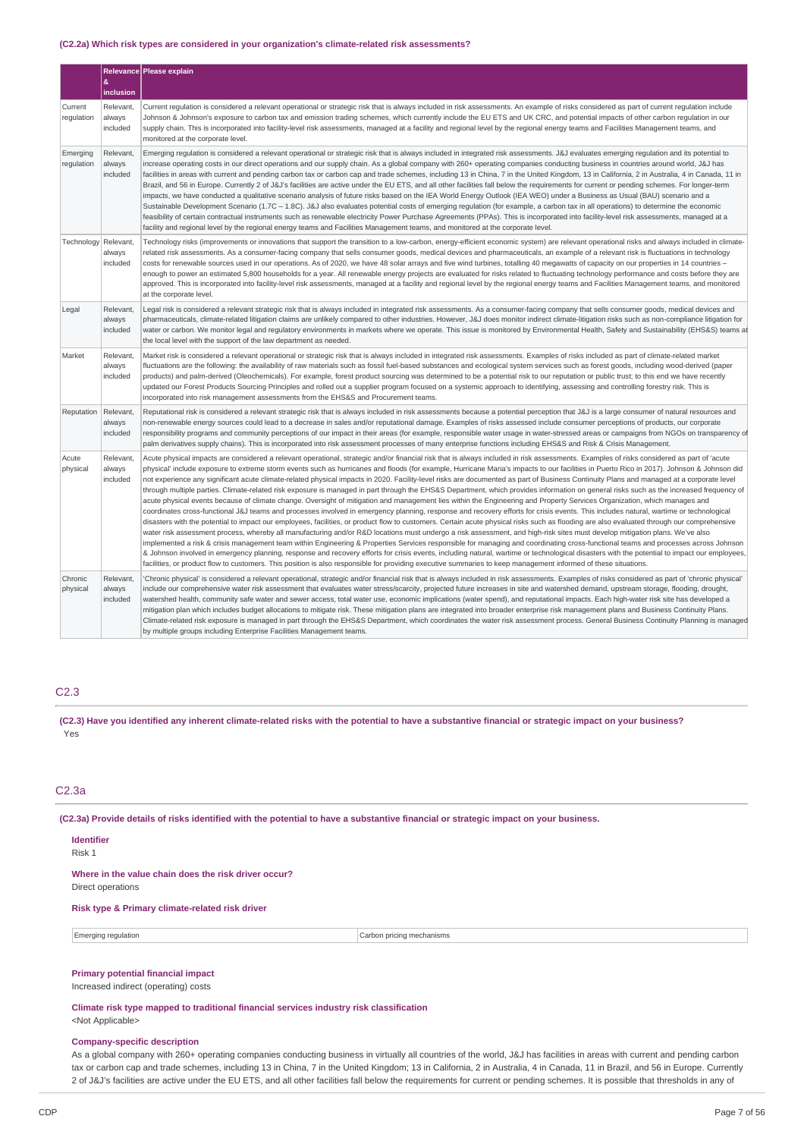#### **(C2.2a) Which risk types are considered in your organization's climate-related risk assessments?**

|                        |                                 | Relevance Please explain                                                                                                                                                                                                                                                                                                                                                                                                                                                                                                                                                                                                                                                                                                                                                                                                                                                                                                                                                                                                                                                                                                                                                                                                                                                                                                                                                                                                                                                                                                                                                                                                                                                                                                                                                                                                                                                                                                                                                                                                                                                                 |
|------------------------|---------------------------------|------------------------------------------------------------------------------------------------------------------------------------------------------------------------------------------------------------------------------------------------------------------------------------------------------------------------------------------------------------------------------------------------------------------------------------------------------------------------------------------------------------------------------------------------------------------------------------------------------------------------------------------------------------------------------------------------------------------------------------------------------------------------------------------------------------------------------------------------------------------------------------------------------------------------------------------------------------------------------------------------------------------------------------------------------------------------------------------------------------------------------------------------------------------------------------------------------------------------------------------------------------------------------------------------------------------------------------------------------------------------------------------------------------------------------------------------------------------------------------------------------------------------------------------------------------------------------------------------------------------------------------------------------------------------------------------------------------------------------------------------------------------------------------------------------------------------------------------------------------------------------------------------------------------------------------------------------------------------------------------------------------------------------------------------------------------------------------------|
|                        | &<br>inclusion                  |                                                                                                                                                                                                                                                                                                                                                                                                                                                                                                                                                                                                                                                                                                                                                                                                                                                                                                                                                                                                                                                                                                                                                                                                                                                                                                                                                                                                                                                                                                                                                                                                                                                                                                                                                                                                                                                                                                                                                                                                                                                                                          |
| Current<br>regulation  | Relevant,<br>always<br>included | Current regulation is considered a relevant operational or strategic risk that is always included in risk assessments. An example of risks considered as part of current regulation include<br>Johnson & Johnson's exposure to carbon tax and emission trading schemes, which currently include the EU ETS and UK CRC, and potential impacts of other carbon regulation in our<br>supply chain. This is incorporated into facility-level risk assessments, managed at a facility and regional level by the regional energy teams and Facilities Management teams, and<br>monitored at the corporate level.                                                                                                                                                                                                                                                                                                                                                                                                                                                                                                                                                                                                                                                                                                                                                                                                                                                                                                                                                                                                                                                                                                                                                                                                                                                                                                                                                                                                                                                                               |
| Emerging<br>regulation | Relevant,<br>always<br>included | Emerging regulation is considered a relevant operational or strategic risk that is always included in integrated risk assessments. J&J evaluates emerging regulation and its potential to<br>increase operating costs in our direct operations and our supply chain. As a global company with 260+ operating companies conducting business in countries around world, J&J has<br>facilities in areas with current and pending carbon tax or carbon cap and trade schemes, including 13 in China, 7 in the United Kingdom, 13 in California, 2 in Australia, 4 in Canada, 11 in<br>Brazil, and 56 in Europe. Currently 2 of J&J's facilities are active under the EU ETS, and all other facilities fall below the requirements for current or pending schemes. For longer-term<br>impacts, we have conducted a qualitative scenario analysis of future risks based on the IEA World Energy Outlook (IEA WEO) under a Business as Usual (BAU) scenario and a<br>Sustainable Development Scenario (1.7C - 1.8C). J&J also evaluates potential costs of emerging regulation (for example, a carbon tax in all operations) to determine the economic<br>feasibility of certain contractual instruments such as renewable electricity Power Purchase Agreements (PPAs). This is incorporated into facility-level risk assessments, managed at a<br>facility and regional level by the regional energy teams and Facilities Management teams, and monitored at the corporate level.                                                                                                                                                                                                                                                                                                                                                                                                                                                                                                                                                                                                             |
| Technology Relevant,   | always<br>included              | Technology risks (improvements or innovations that support the transition to a low-carbon, energy-efficient economic system) are relevant operational risks and always included in climate-<br>related risk assessments. As a consumer-facing company that sells consumer goods, medical devices and pharmaceuticals, an example of a relevant risk is fluctuations in technology<br>costs for renewable sources used in our operations. As of 2020, we have 48 solar arrays and five wind turbines, totalling 40 megawatts of capacity on our properties in 14 countries -<br>enough to power an estimated 5,800 households for a year. All renewable energy projects are evaluated for risks related to fluctuating technology performance and costs before they are<br>approved. This is incorporated into facility-level risk assessments, managed at a facility and regional level by the regional energy teams and Facilities Management teams, and monitored<br>at the corporate level.                                                                                                                                                                                                                                                                                                                                                                                                                                                                                                                                                                                                                                                                                                                                                                                                                                                                                                                                                                                                                                                                                           |
| Legal                  | Relevant,<br>always<br>included | Legal risk is considered a relevant strategic risk that is always included in integrated risk assessments. As a consumer-facing company that sells consumer goods, medical devices and<br>pharmaceuticals, climate-related litigation claims are unlikely compared to other industries. However, J&J does monitor indirect climate-litigation risks such as non-compliance litigation for<br>water or carbon. We monitor legal and regulatory environments in markets where we operate. This issue is monitored by Environmental Health, Safety and Sustainability (EHS&S) teams at<br>the local level with the support of the law department as needed.                                                                                                                                                                                                                                                                                                                                                                                                                                                                                                                                                                                                                                                                                                                                                                                                                                                                                                                                                                                                                                                                                                                                                                                                                                                                                                                                                                                                                                 |
| Market                 | Relevant,<br>always<br>included | Market risk is considered a relevant operational or strategic risk that is always included in integrated risk assessments. Examples of risks included as part of climate-related market<br>fluctuations are the following: the availability of raw materials such as fossil fuel-based substances and ecological system services such as forest goods, including wood-derived (paper<br>products) and palm-derived (Oleochemicals). For example, forest product sourcing was determined to be a potential risk to our reputation or public trust; to this end we have recently<br>updated our Forest Products Sourcing Principles and rolled out a supplier program focused on a systemic approach to identifying, assessing and controlling forestry risk. This is<br>incorporated into risk management assessments from the EHS&S and Procurement teams.                                                                                                                                                                                                                                                                                                                                                                                                                                                                                                                                                                                                                                                                                                                                                                                                                                                                                                                                                                                                                                                                                                                                                                                                                               |
| Reputation             | Relevant<br>always<br>included  | Reputational risk is considered a relevant strategic risk that is always included in risk assessments because a potential perception that J&J is a large consumer of natural resources and<br>non-renewable energy sources could lead to a decrease in sales and/or reputational damage. Examples of risks assessed include consumer perceptions of products, our corporate<br>responsibility programs and community perceptions of our impact in their areas (for example, responsible water usage in water-stressed areas or campaigns from NGOs on transparency of<br>palm derivatives supply chains). This is incorporated into risk assessment processes of many enterprise functions including EHS&S and Risk & Crisis Management.                                                                                                                                                                                                                                                                                                                                                                                                                                                                                                                                                                                                                                                                                                                                                                                                                                                                                                                                                                                                                                                                                                                                                                                                                                                                                                                                                 |
| Acute<br>physical      | Relevant<br>always<br>included  | Acute physical impacts are considered a relevant operational, strategic and/or financial risk that is always included in risk assessments. Examples of risks considered as part of 'acute<br>physical' include exposure to extreme storm events such as hurricanes and floods (for example, Hurricane Maria's impacts to our facilities in Puerto Rico in 2017). Johnson & Johnson did<br>not experience any significant acute climate-related physical impacts in 2020. Facility-level risks are documented as part of Business Continuity Plans and managed at a corporate level<br>through multiple parties. Climate-related risk exposure is managed in part through the EHS&S Department, which provides information on general risks such as the increased frequency of<br>acute physical events because of climate change. Oversight of mitigation and management lies within the Engineering and Property Services Organization, which manages and<br>coordinates cross-functional J&J teams and processes involved in emergency planning, response and recovery efforts for crisis events. This includes natural, wartime or technological<br>disasters with the potential to impact our employees, facilities, or product flow to customers. Certain acute physical risks such as flooding are also evaluated through our comprehensive<br>water risk assessment process, whereby all manufacturing and/or R&D locations must undergo a risk assessment, and high-risk sites must develop mitigation plans. We've also<br>implemented a risk & crisis management team within Engineering & Properties Services responsible for managing and coordinating cross-functional teams and processes across Johnson<br>& Johnson involved in emergency planning, response and recovery efforts for crisis events, including natural, wartime or technological disasters with the potential to impact our employees,<br>facilities, or product flow to customers. This position is also responsible for providing executive summaries to keep management informed of these situations. |
| Chronic<br>physical    | Relevant,<br>always<br>included | 'Chronic physical' is considered a relevant operational, strategic and/or financial risk that is always included in risk assessments. Examples of risks considered as part of 'chronic physical'<br>include our comprehensive water risk assessment that evaluates water stress/scarcity, projected future increases in site and watershed demand, upstream storage, flooding, drought,<br>watershed health, community safe water and sewer access, total water use, economic implications (water spend), and reputational impacts. Each high-water risk site has developed a<br>mitigation plan which includes budget allocations to mitigate risk. These mitigation plans are integrated into broader enterprise risk management plans and Business Continuity Plans.<br>Climate-related risk exposure is managed in part through the EHS&S Department, which coordinates the water risk assessment process. General Business Continuity Planning is managed<br>by multiple groups including Enterprise Facilities Management teams.                                                                                                                                                                                                                                                                                                                                                                                                                                                                                                                                                                                                                                                                                                                                                                                                                                                                                                                                                                                                                                                   |

### C2.3

(C2.3) Have you identified any inherent climate-related risks with the potential to have a substantive financial or strategic impact on your business? Yes

### C2.3a

(C2.3a) Provide details of risks identified with the potential to have a substantive financial or strategic impact on your business.

### **Identifier**

Risk 1

#### **Where in the value chain does the risk driver occur?** Direct operations

### **Risk type & Primary climate-related risk driver**

### **Primary potential financial impact**

Increased indirect (operating) costs

#### **Climate risk type mapped to traditional financial services industry risk classification** <Not Applicable>

### **Company-specific description**

As a global company with 260+ operating companies conducting business in virtually all countries of the world, J&J has facilities in areas with current and pending carbon tax or carbon cap and trade schemes, including 13 in China, 7 in the United Kingdom; 13 in California, 2 in Australia, 4 in Canada, 11 in Brazil, and 56 in Europe. Currently 2 of J&J's facilities are active under the EU ETS, and all other facilities fall below the requirements for current or pending schemes. It is possible that thresholds in any of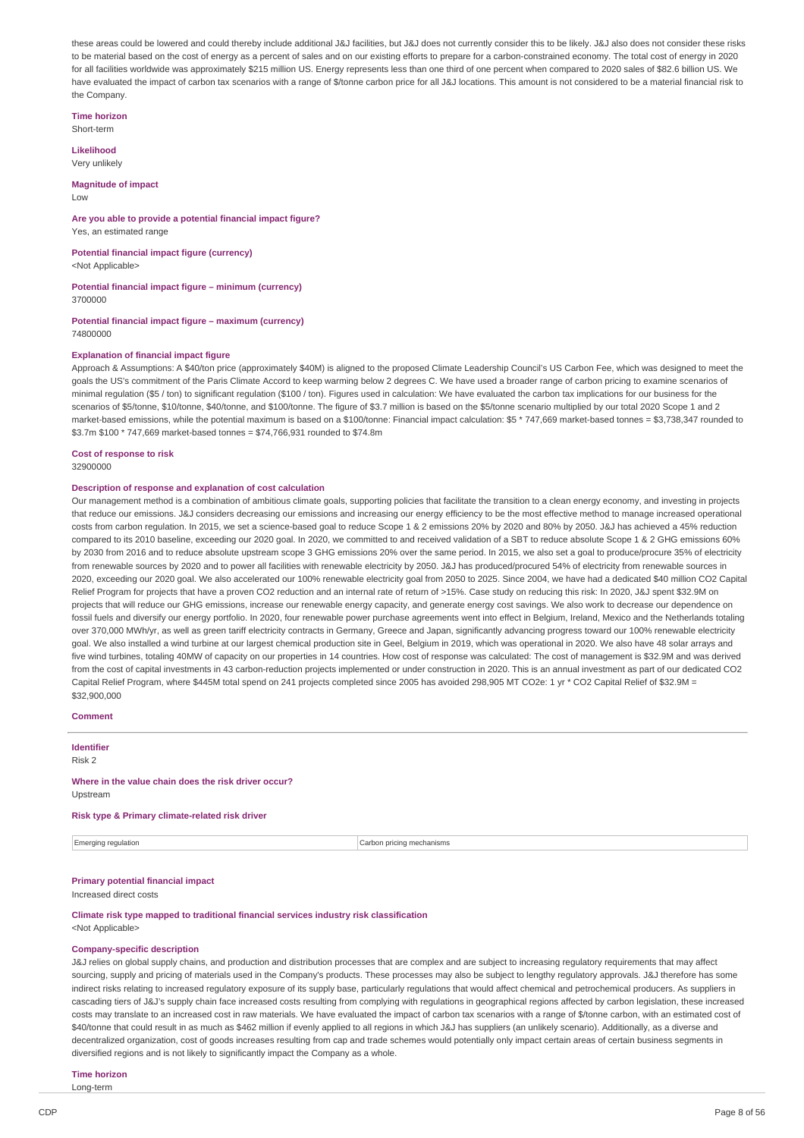these areas could be lowered and could thereby include additional J&J facilities, but J&J does not currently consider this to be likely. J&J also does not consider these risks to be material based on the cost of energy as a percent of sales and on our existing efforts to prepare for a carbon-constrained economy. The total cost of energy in 2020 for all facilities worldwide was approximately \$215 million US. Energy represents less than one third of one percent when compared to 2020 sales of \$82.6 billion US. We have evaluated the impact of carbon tax scenarios with a range of \$/tonne carbon price for all J&J locations. This amount is not considered to be a material financial risk to the Company.

**Time horizon**

Short-term

**Likelihood** Very unlikely

**Magnitude of impact**

Low

**Are you able to provide a potential financial impact figure?** Yes, an estimated range

**Potential financial impact figure (currency)** <Not Applicable>

**Potential financial impact figure – minimum (currency)**

3700000

**Potential financial impact figure – maximum (currency)** 74800000

### **Explanation of financial impact figure**

Approach & Assumptions: A \$40/ton price (approximately \$40M) is aligned to the proposed Climate Leadership Council's US Carbon Fee, which was designed to meet the goals the US's commitment of the Paris Climate Accord to keep warming below 2 degrees C. We have used a broader range of carbon pricing to examine scenarios of minimal regulation (\$5 / ton) to significant regulation (\$100 / ton). Figures used in calculation: We have evaluated the carbon tax implications for our business for the scenarios of \$5/tonne, \$10/tonne, \$40/tonne, and \$100/tonne. The figure of \$3.7 million is based on the \$5/tonne scenario multiplied by our total 2020 Scope 1 and 2 market-based emissions, while the potential maximum is based on a \$100/tonne: Financial impact calculation: \$5 \* 747,669 market-based tonnes = \$3,738,347 rounded to \$3.7m \$100 \* 747,669 market-based tonnes = \$74,766,931 rounded to \$74.8m

**Cost of response to risk**

32900000

#### **Description of response and explanation of cost calculation**

Our management method is a combination of ambitious climate goals, supporting policies that facilitate the transition to a clean energy economy, and investing in projects that reduce our emissions. J&J considers decreasing our emissions and increasing our energy efficiency to be the most effective method to manage increased operational costs from carbon regulation. In 2015, we set a science-based goal to reduce Scope 1 & 2 emissions 20% by 2020 and 80% by 2050. J&J has achieved a 45% reduction compared to its 2010 baseline, exceeding our 2020 goal. In 2020, we committed to and received validation of a SBT to reduce absolute Scope 1 & 2 GHG emissions 60% by 2030 from 2016 and to reduce absolute upstream scope 3 GHG emissions 20% over the same period. In 2015, we also set a goal to produce/procure 35% of electricity from renewable sources by 2020 and to power all facilities with renewable electricity by 2050. J&J has produced/procured 54% of electricity from renewable sources in 2020, exceeding our 2020 goal. We also accelerated our 100% renewable electricity goal from 2050 to 2025. Since 2004, we have had a dedicated \$40 million CO2 Capital Relief Program for projects that have a proven CO2 reduction and an internal rate of return of >15%. Case study on reducing this risk: In 2020, J&J spent \$32.9M on projects that will reduce our GHG emissions, increase our renewable energy capacity, and generate energy cost savings. We also work to decrease our dependence on fossil fuels and diversify our energy portfolio. In 2020, four renewable power purchase agreements went into effect in Belgium, Ireland, Mexico and the Netherlands totaling over 370,000 MWh/yr, as well as green tariff electricity contracts in Germany, Greece and Japan, significantly advancing progress toward our 100% renewable electricity goal. We also installed a wind turbine at our largest chemical production site in Geel, Belgium in 2019, which was operational in 2020. We also have 48 solar arrays and five wind turbines, totaling 40MW of capacity on our properties in 14 countries. How cost of response was calculated: The cost of management is \$32.9M and was derived from the cost of capital investments in 43 carbon-reduction projects implemented or under construction in 2020. This is an annual investment as part of our dedicated CO2 Capital Relief Program, where \$445M total spend on 241 projects completed since 2005 has avoided 298,905 MT CO2e: 1 yr \* CO2 Capital Relief of \$32.9M = \$32,900,000

**Comment**

**Identifier** Risk 2

### **Where in the value chain does the risk driver occur?**

Upstream

**Risk type & Primary climate-related risk driver**

**Emerging regulation** Carbon pricing mechanisms

### **Primary potential financial impact**

Increased direct costs

**Climate risk type mapped to traditional financial services industry risk classification** <Not Applicable>

#### **Company-specific description**

J&J relies on global supply chains, and production and distribution processes that are complex and are subject to increasing regulatory requirements that may affect sourcing, supply and pricing of materials used in the Company's products. These processes may also be subject to lengthy regulatory approvals. J&J therefore has some indirect risks relating to increased regulatory exposure of its supply base, particularly regulations that would affect chemical and petrochemical producers. As suppliers in cascading tiers of J&J's supply chain face increased costs resulting from complying with regulations in geographical regions affected by carbon legislation, these increased costs may translate to an increased cost in raw materials. We have evaluated the impact of carbon tax scenarios with a range of \$/tonne carbon, with an estimated cost of \$40/tonne that could result in as much as \$462 million if evenly applied to all regions in which J&J has suppliers (an unlikely scenario). Additionally, as a diverse and decentralized organization, cost of goods increases resulting from cap and trade schemes would potentially only impact certain areas of certain business segments in diversified regions and is not likely to significantly impact the Company as a whole.

### **Time horizon**

Long-term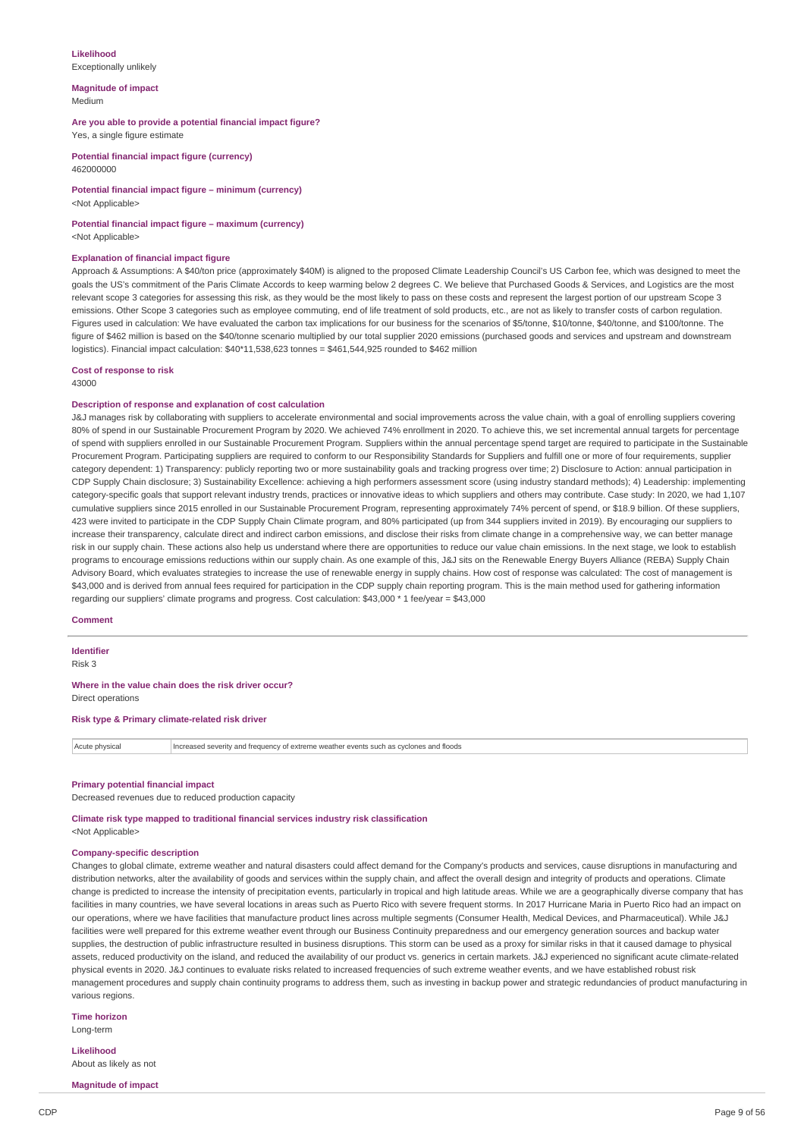#### **Likelihood** Exceptionally unlikely

**Magnitude of impact** Medium

**Are you able to provide a potential financial impact figure?** Yes, a single figure estimate

**Potential financial impact figure (currency)** 462000000

**Potential financial impact figure – minimum (currency)** <Not Applicable>

#### **Potential financial impact figure – maximum (currency)** <Not Annlicable>

#### **Explanation of financial impact figure**

Approach & Assumptions: A \$40/ton price (approximately \$40M) is aligned to the proposed Climate Leadership Council's US Carbon fee, which was designed to meet the goals the US's commitment of the Paris Climate Accords to keep warming below 2 degrees C. We believe that Purchased Goods & Services, and Logistics are the most relevant scope 3 categories for assessing this risk, as they would be the most likely to pass on these costs and represent the largest portion of our upstream Scope 3 emissions. Other Scope 3 categories such as employee commuting, end of life treatment of sold products, etc., are not as likely to transfer costs of carbon regulation. Figures used in calculation: We have evaluated the carbon tax implications for our business for the scenarios of \$5/tonne, \$10/tonne, \$40/tonne, and \$100/tonne. The figure of \$462 million is based on the \$40/tonne scenario multiplied by our total supplier 2020 emissions (purchased goods and services and upstream and downstream logistics). Financial impact calculation: \$40\*11,538,623 tonnes = \$461,544,925 rounded to \$462 million

#### **Cost of response to risk**

43000

### **Description of response and explanation of cost calculation**

J&J manages risk by collaborating with suppliers to accelerate environmental and social improvements across the value chain, with a goal of enrolling suppliers covering 80% of spend in our Sustainable Procurement Program by 2020. We achieved 74% enrollment in 2020. To achieve this, we set incremental annual targets for percentage of spend with suppliers enrolled in our Sustainable Procurement Program. Suppliers within the annual percentage spend target are required to participate in the Sustainable Procurement Program. Participating suppliers are required to conform to our Responsibility Standards for Suppliers and fulfill one or more of four requirements, supplier category dependent: 1) Transparency: publicly reporting two or more sustainability goals and tracking progress over time; 2) Disclosure to Action: annual participation in CDP Supply Chain disclosure; 3) Sustainability Excellence: achieving a high performers assessment score (using industry standard methods); 4) Leadership: implementing category-specific goals that support relevant industry trends, practices or innovative ideas to which suppliers and others may contribute. Case study: In 2020, we had 1,107 cumulative suppliers since 2015 enrolled in our Sustainable Procurement Program, representing approximately 74% percent of spend, or \$18.9 billion. Of these suppliers, 423 were invited to participate in the CDP Supply Chain Climate program, and 80% participated (up from 344 suppliers invited in 2019). By encouraging our suppliers to increase their transparency, calculate direct and indirect carbon emissions, and disclose their risks from climate change in a comprehensive way, we can better manage risk in our supply chain. These actions also help us understand where there are opportunities to reduce our value chain emissions. In the next stage, we look to establish programs to encourage emissions reductions within our supply chain. As one example of this, J&J sits on the Renewable Energy Buyers Alliance (REBA) Supply Chain Advisory Board, which evaluates strategies to increase the use of renewable energy in supply chains. How cost of response was calculated: The cost of management is \$43,000 and is derived from annual fees required for participation in the CDP supply chain reporting program. This is the main method used for gathering information regarding our suppliers' climate programs and progress. Cost calculation: \$43,000 \* 1 fee/year = \$43,000

### **Comment**

### **Identifier**

Risk 3

### **Where in the value chain does the risk driver occur?**

Direct operations

### **Risk type & Primary climate-related risk driver**

| Acute physical | Increased severity and frequency of extreme weather events such as cyclones and floods |
|----------------|----------------------------------------------------------------------------------------|
|----------------|----------------------------------------------------------------------------------------|

#### **Primary potential financial impact**

Decreased revenues due to reduced production capacity

**Climate risk type mapped to traditional financial services industry risk classification** <Not Applicable>

### **Company-specific description**

Changes to global climate, extreme weather and natural disasters could affect demand for the Company's products and services, cause disruptions in manufacturing and distribution networks, alter the availability of goods and services within the supply chain, and affect the overall design and integrity of products and operations. Climate change is predicted to increase the intensity of precipitation events, particularly in tropical and high latitude areas. While we are a geographically diverse company that has facilities in many countries, we have several locations in areas such as Puerto Rico with severe frequent storms. In 2017 Hurricane Maria in Puerto Rico had an impact on our operations, where we have facilities that manufacture product lines across multiple segments (Consumer Health, Medical Devices, and Pharmaceutical). While J&J facilities were well prepared for this extreme weather event through our Business Continuity preparedness and our emergency generation sources and backup water supplies, the destruction of public infrastructure resulted in business disruptions. This storm can be used as a proxy for similar risks in that it caused damage to physical assets, reduced productivity on the island, and reduced the availability of our product vs. generics in certain markets. J&J experienced no significant acute climate-related physical events in 2020. J&J continues to evaluate risks related to increased frequencies of such extreme weather events, and we have established robust risk management procedures and supply chain continuity programs to address them, such as investing in backup power and strategic redundancies of product manufacturing in various regions.

#### **Time horizon**

Long-term

**Likelihood** About as likely as not

**Magnitude of impact**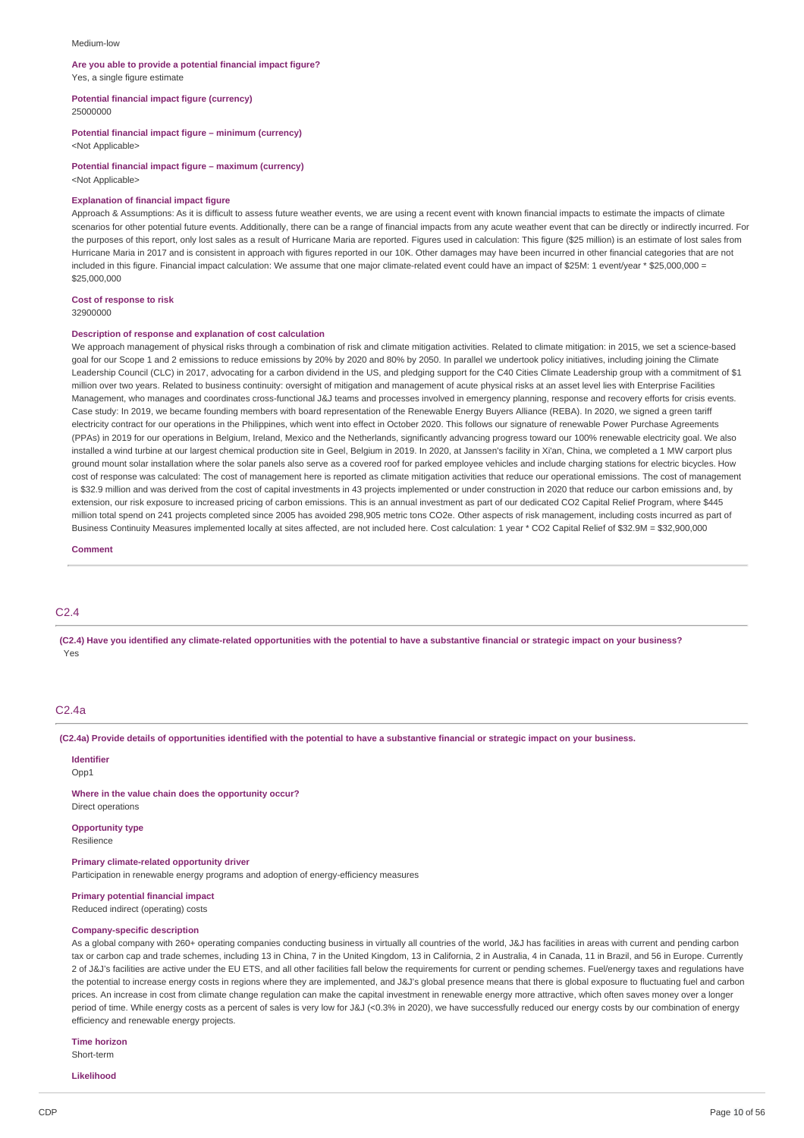#### Medium-low

#### **Are you able to provide a potential financial impact figure?**

Yes, a single figure estimate

**Potential financial impact figure (currency)**

25000000

#### **Potential financial impact figure – minimum (currency)**

<Not Applicable>

#### **Potential financial impact figure – maximum (currency)** <Not Applicable>

### **Explanation of financial impact figure**

Approach & Assumptions: As it is difficult to assess future weather events, we are using a recent event with known financial impacts to estimate the impacts of climate scenarios for other potential future events. Additionally, there can be a range of financial impacts from any acute weather event that can be directly or indirectly incurred. For the purposes of this report, only lost sales as a result of Hurricane Maria are reported. Figures used in calculation: This figure (\$25 million) is an estimate of lost sales from Hurricane Maria in 2017 and is consistent in approach with figures reported in our 10K. Other damages may have been incurred in other financial categories that are not included in this figure. Financial impact calculation: We assume that one major climate-related event could have an impact of \$25M: 1 event/year \* \$25,000,000 = \$25,000,000

#### **Cost of response to risk**

32900000

### **Description of response and explanation of cost calculation**

We approach management of physical risks through a combination of risk and climate mitigation activities. Related to climate mitigation: in 2015, we set a science-based goal for our Scope 1 and 2 emissions to reduce emissions by 20% by 2020 and 80% by 2050. In parallel we undertook policy initiatives, including joining the Climate Leadership Council (CLC) in 2017, advocating for a carbon dividend in the US, and pledging support for the C40 Cities Climate Leadership group with a commitment of \$1 million over two years. Related to business continuity: oversight of mitigation and management of acute physical risks at an asset level lies with Enterprise Facilities Management, who manages and coordinates cross-functional J&J teams and processes involved in emergency planning, response and recovery efforts for crisis events. Case study: In 2019, we became founding members with board representation of the Renewable Energy Buyers Alliance (REBA). In 2020, we signed a green tariff electricity contract for our operations in the Philippines, which went into effect in October 2020. This follows our signature of renewable Power Purchase Agreements (PPAs) in 2019 for our operations in Belgium, Ireland, Mexico and the Netherlands, significantly advancing progress toward our 100% renewable electricity goal. We also installed a wind turbine at our largest chemical production site in Geel, Belgium in 2019. In 2020, at Janssen's facility in Xi'an, China, we completed a 1 MW carport plus ground mount solar installation where the solar panels also serve as a covered roof for parked employee vehicles and include charging stations for electric bicycles. How cost of response was calculated: The cost of management here is reported as climate mitigation activities that reduce our operational emissions. The cost of management is \$32.9 million and was derived from the cost of capital investments in 43 projects implemented or under construction in 2020 that reduce our carbon emissions and, by extension, our risk exposure to increased pricing of carbon emissions. This is an annual investment as part of our dedicated CO2 Capital Relief Program, where \$445 million total spend on 241 projects completed since 2005 has avoided 298,905 metric tons CO2e. Other aspects of risk management, including costs incurred as part of Business Continuity Measures implemented locally at sites affected, are not included here. Cost calculation: 1 year \* CO2 Capital Relief of \$32.9M = \$32,900,000

#### **Comment**

### C2.4

(C2.4) Have you identified any climate-related opportunities with the potential to have a substantive financial or strategic impact on your business? Yes

### C2.4a

(C2.4a) Provide details of opportunities identified with the potential to have a substantive financial or strategic impact on your business.

**Identifier** Opp1

**Where in the value chain does the opportunity occur?** Direct operations

**Opportunity type** Resilience

**Primary climate-related opportunity driver**

Participation in renewable energy programs and adoption of energy-efficiency measures

### **Primary potential financial impact**

Reduced indirect (operating) costs

#### **Company-specific description**

As a global company with 260+ operating companies conducting business in virtually all countries of the world, J&J has facilities in areas with current and pending carbon tax or carbon cap and trade schemes, including 13 in China, 7 in the United Kingdom, 13 in California, 2 in Australia, 4 in Canada, 11 in Brazil, and 56 in Europe. Currently 2 of J&J's facilities are active under the EU ETS. and all other facilities fall below the requirements for current or pending schemes. Fuel/energy taxes and regulations have the potential to increase energy costs in regions where they are implemented, and J&J's global presence means that there is global exposure to fluctuating fuel and carbon prices. An increase in cost from climate change regulation can make the capital investment in renewable energy more attractive, which often saves money over a longer period of time. While energy costs as a percent of sales is very low for J&J (<0.3% in 2020), we have successfully reduced our energy costs by our combination of energy efficiency and renewable energy projects.

#### **Time horizon**

Short-term

**Likelihood**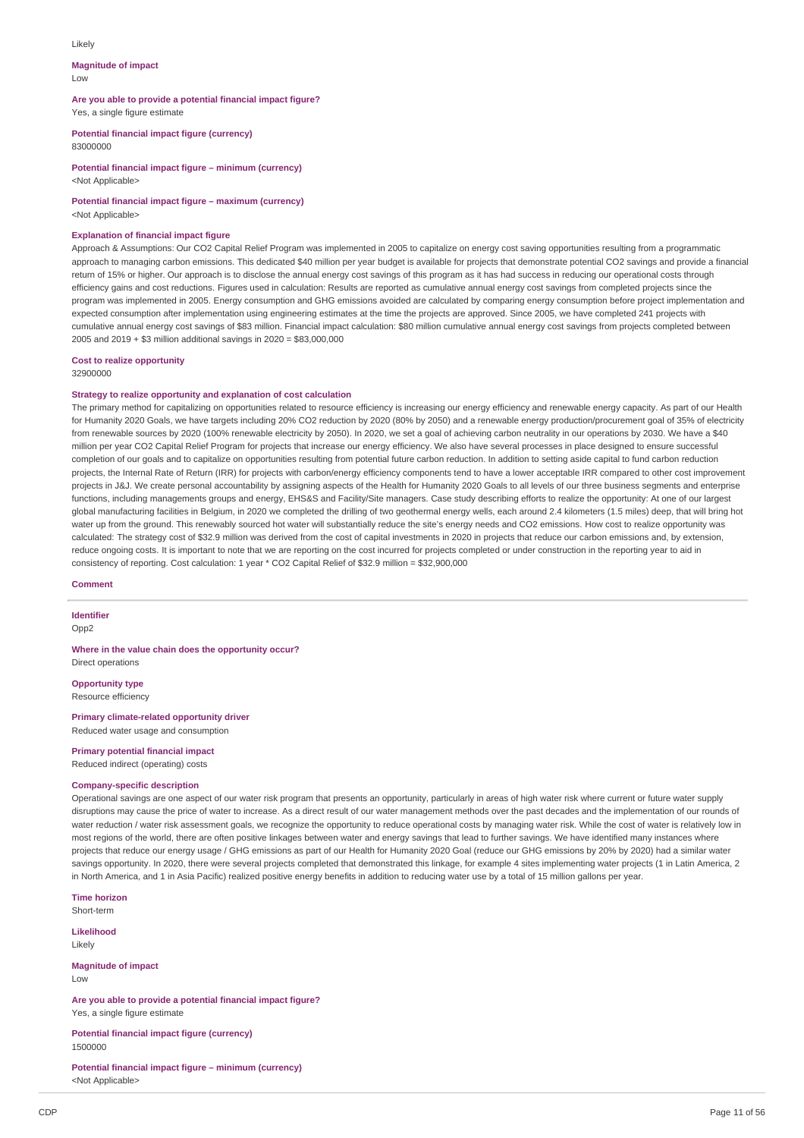#### Likely

#### **Magnitude of impact** Low

**Are you able to provide a potential financial impact figure?** Yes, a single figure estimate

**Potential financial impact figure (currency)**

83000000

**Potential financial impact figure – minimum (currency)** <Not Applicable>

**Potential financial impact figure – maximum (currency)** <Not Applicable>

## **Explanation of financial impact figure**

Approach & Assumptions: Our CO2 Capital Relief Program was implemented in 2005 to capitalize on energy cost saving opportunities resulting from a programmatic approach to managing carbon emissions. This dedicated \$40 million per year budget is available for projects that demonstrate potential CO2 savings and provide a financial return of 15% or higher. Our approach is to disclose the annual energy cost savings of this program as it has had success in reducing our operational costs through efficiency gains and cost reductions. Figures used in calculation: Results are reported as cumulative annual energy cost savings from completed projects since the program was implemented in 2005. Energy consumption and GHG emissions avoided are calculated by comparing energy consumption before project implementation and expected consumption after implementation using engineering estimates at the time the projects are approved. Since 2005, we have completed 241 projects with cumulative annual energy cost savings of \$83 million. Financial impact calculation: \$80 million cumulative annual energy cost savings from projects completed between 2005 and 2019 + \$3 million additional savings in 2020 = \$83,000,000

**Cost to realize opportunity**

32900000

### **Strategy to realize opportunity and explanation of cost calculation**

The primary method for capitalizing on opportunities related to resource efficiency is increasing our energy efficiency and renewable energy capacity. As part of our Health for Humanity 2020 Goals, we have targets including 20% CO2 reduction by 2020 (80% by 2050) and a renewable energy production/procurement goal of 35% of electricity from renewable sources by 2020 (100% renewable electricity by 2050). In 2020, we set a goal of achieving carbon neutrality in our operations by 2030. We have a \$40 million per year CO2 Capital Relief Program for projects that increase our energy efficiency. We also have several processes in place designed to ensure successful completion of our goals and to capitalize on opportunities resulting from potential future carbon reduction. In addition to setting aside capital to fund carbon reduction projects, the Internal Rate of Return (IRR) for projects with carbon/energy efficiency components tend to have a lower acceptable IRR compared to other cost improvement projects in J&J. We create personal accountability by assigning aspects of the Health for Humanity 2020 Goals to all levels of our three business segments and enterprise functions, including managements groups and energy, EHS&S and Facility/Site managers. Case study describing efforts to realize the opportunity: At one of our largest global manufacturing facilities in Belgium, in 2020 we completed the drilling of two geothermal energy wells, each around 2.4 kilometers (1.5 miles) deep, that will bring hot water up from the ground. This renewably sourced hot water will substantially reduce the site's energy needs and CO2 emissions. How cost to realize opportunity was calculated: The strategy cost of \$32.9 million was derived from the cost of capital investments in 2020 in projects that reduce our carbon emissions and, by extension, reduce ongoing costs. It is important to note that we are reporting on the cost incurred for projects completed or under construction in the reporting year to aid in consistency of reporting. Cost calculation: 1 year \* CO2 Capital Relief of \$32.9 million = \$32,900,000

**Comment**

**Identifier** Opp<sub>2</sub>

**Where in the value chain does the opportunity occur?** Direct operations

**Opportunity type** Resource efficiency

**Primary climate-related opportunity driver** Reduced water usage and consumption

### **Primary potential financial impact**

Reduced indirect (operating) costs

#### **Company-specific description**

Operational savings are one aspect of our water risk program that presents an opportunity, particularly in areas of high water risk where current or future water supply disruptions may cause the price of water to increase. As a direct result of our water management methods over the past decades and the implementation of our rounds of water reduction / water risk assessment goals, we recognize the opportunity to reduce operational costs by managing water risk. While the cost of water is relatively low in most regions of the world, there are often positive linkages between water and energy savings that lead to further savings. We have identified many instances where projects that reduce our energy usage / GHG emissions as part of our Health for Humanity 2020 Goal (reduce our GHG emissions by 20% by 2020) had a similar water savings opportunity. In 2020, there were several projects completed that demonstrated this linkage, for example 4 sites implementing water projects (1 in Latin America, 2 in North America, and 1 in Asia Pacific) realized positive energy benefits in addition to reducing water use by a total of 15 million gallons per year.

**Time horizon**

Short-term

**Likelihood** Likely

**Magnitude of impact**

Low

**Are you able to provide a potential financial impact figure?** Yes, a single figure estimate

**Potential financial impact figure (currency)** 1500000

**Potential financial impact figure – minimum (currency)** <Not Applicable>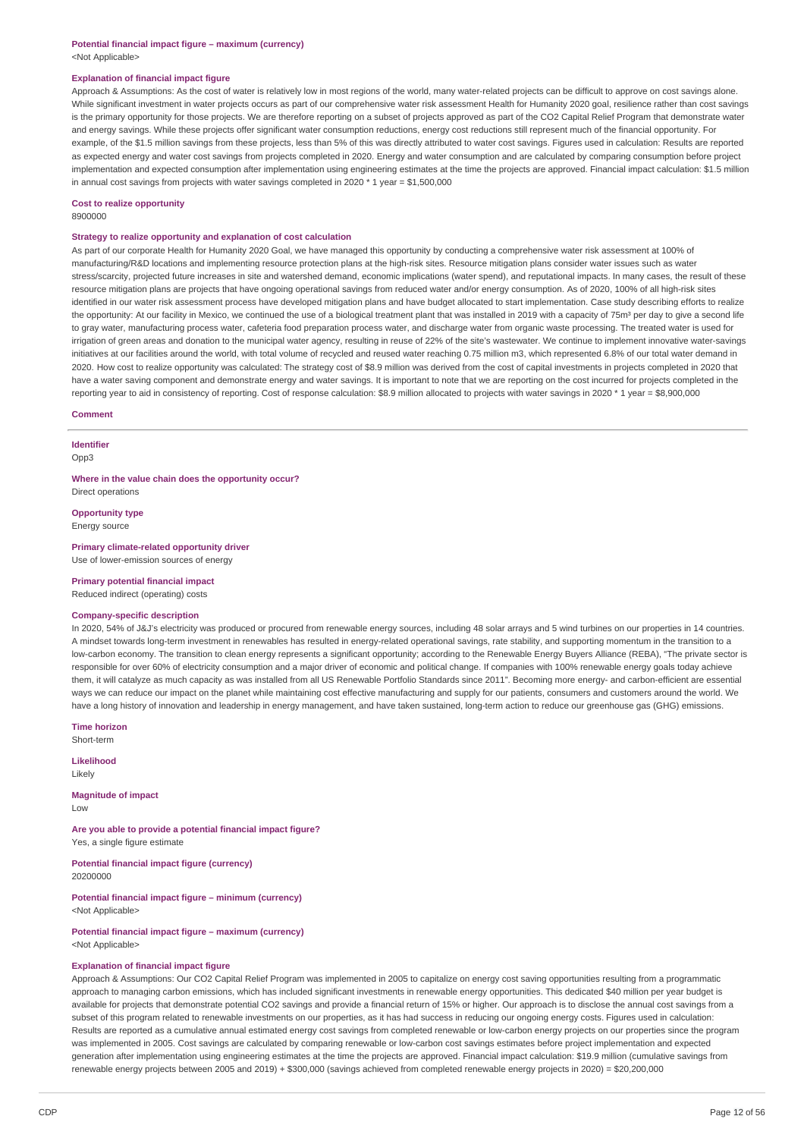### **Explanation of financial impact figure**

Approach & Assumptions: As the cost of water is relatively low in most regions of the world, many water-related projects can be difficult to approve on cost savings alone. While significant investment in water projects occurs as part of our comprehensive water risk assessment Health for Humanity 2020 goal, resilience rather than cost savings is the primary opportunity for those projects. We are therefore reporting on a subset of projects approved as part of the CO2 Capital Relief Program that demonstrate water and energy savings. While these projects offer significant water consumption reductions, energy cost reductions still represent much of the financial opportunity. For example, of the \$1.5 million savings from these projects, less than 5% of this was directly attributed to water cost savings. Figures used in calculation: Results are reported as expected energy and water cost savings from projects completed in 2020. Energy and water consumption and are calculated by comparing consumption before project implementation and expected consumption after implementation using engineering estimates at the time the projects are approved. Financial impact calculation: \$1.5 million in annual cost savings from projects with water savings completed in 2020  $*$  1 year = \$1,500,000

### **Cost to realize opportunity**

8900000

#### **Strategy to realize opportunity and explanation of cost calculation**

As part of our corporate Health for Humanity 2020 Goal, we have managed this opportunity by conducting a comprehensive water risk assessment at 100% of manufacturing/R&D locations and implementing resource protection plans at the high-risk sites. Resource mitigation plans consider water issues such as water stress/scarcity, projected future increases in site and watershed demand, economic implications (water spend), and reputational impacts. In many cases, the result of these resource mitigation plans are projects that have ongoing operational savings from reduced water and/or energy consumption. As of 2020, 100% of all high-risk sites identified in our water risk assessment process have developed mitigation plans and have budget allocated to start implementation. Case study describing efforts to realize the opportunity: At our facility in Mexico, we continued the use of a biological treatment plant that was installed in 2019 with a capacity of 75m<sup>3</sup> per day to give a second life to gray water, manufacturing process water, cafeteria food preparation process water, and discharge water from organic waste processing. The treated water is used for irrigation of green areas and donation to the municipal water agency, resulting in reuse of 22% of the site's wastewater. We continue to implement innovative water-savings initiatives at our facilities around the world, with total volume of recycled and reused water reaching 0.75 million m3, which represented 6.8% of our total water demand in 2020. How cost to realize opportunity was calculated: The strategy cost of \$8.9 million was derived from the cost of capital investments in projects completed in 2020 that have a water saving component and demonstrate energy and water savings. It is important to note that we are reporting on the cost incurred for projects completed in the reporting year to aid in consistency of reporting. Cost of response calculation: \$8.9 million allocated to projects with water savings in 2020 \* 1 year = \$8,900,000

#### **Comment**

### **Identifier**

Opp3

**Where in the value chain does the opportunity occur?** Direct operations

**Opportunity type**

Energy source

**Primary climate-related opportunity driver** Use of lower-emission sources of energy

#### **Primary potential financial impact**

Reduced indirect (operating) costs

### **Company-specific description**

In 2020, 54% of J&J's electricity was produced or procured from renewable energy sources, including 48 solar arrays and 5 wind turbines on our properties in 14 countries. A mindset towards long-term investment in renewables has resulted in energy-related operational savings, rate stability, and supporting momentum in the transition to a low-carbon economy. The transition to clean energy represents a significant opportunity; according to the Renewable Energy Buyers Alliance (REBA), "The private sector is responsible for over 60% of electricity consumption and a major driver of economic and political change. If companies with 100% renewable energy goals today achieve them, it will catalyze as much capacity as was installed from all US Renewable Portfolio Standards since 2011". Becoming more energy- and carbon-efficient are essential ways we can reduce our impact on the planet while maintaining cost effective manufacturing and supply for our patients, consumers and customers around the world. We have a long history of innovation and leadership in energy management, and have taken sustained, long-term action to reduce our greenhouse gas (GHG) emissions.

**Time horizon**

Short-term

**Likelihood** Likely

**Magnitude of impact** Low

**Are you able to provide a potential financial impact figure?** Yes, a single figure estimate

**Potential financial impact figure (currency)** 20200000

**Potential financial impact figure – minimum (currency)** <Not Applicable>

**Potential financial impact figure – maximum (currency)** <Not Applicable>

#### **Explanation of financial impact figure**

Approach & Assumptions: Our CO2 Capital Relief Program was implemented in 2005 to capitalize on energy cost saving opportunities resulting from a programmatic approach to managing carbon emissions, which has included significant investments in renewable energy opportunities. This dedicated \$40 million per year budget is available for projects that demonstrate potential CO2 savings and provide a financial return of 15% or higher. Our approach is to disclose the annual cost savings from a subset of this program related to renewable investments on our properties, as it has had success in reducing our ongoing energy costs. Figures used in calculation: Results are reported as a cumulative annual estimated energy cost savings from completed renewable or low-carbon energy projects on our properties since the program was implemented in 2005. Cost savings are calculated by comparing renewable or low-carbon cost savings estimates before project implementation and expected generation after implementation using engineering estimates at the time the projects are approved. Financial impact calculation: \$19.9 million (cumulative savings from renewable energy projects between 2005 and 2019) + \$300,000 (savings achieved from completed renewable energy projects in 2020) = \$20,200,000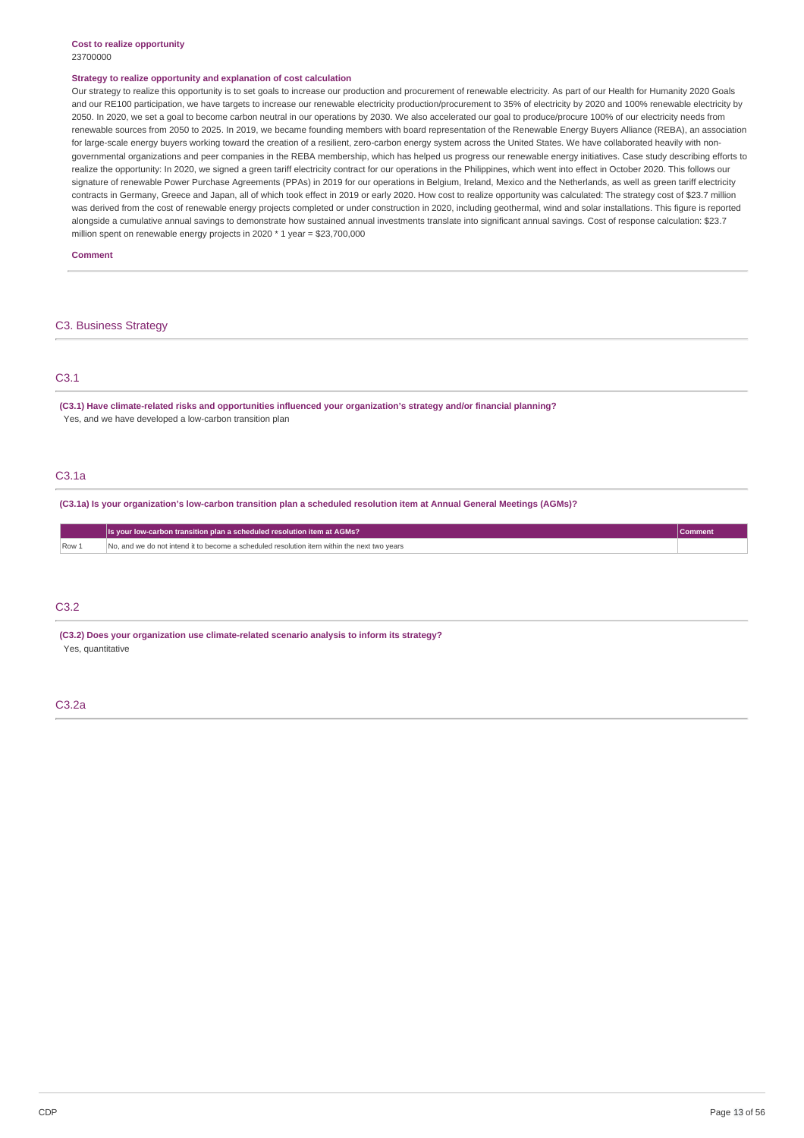#### **Cost to realize opportunity** 23700000

#### **Strategy to realize opportunity and explanation of cost calculation**

Our strategy to realize this opportunity is to set goals to increase our production and procurement of renewable electricity. As part of our Health for Humanity 2020 Goals and our RE100 participation, we have targets to increase our renewable electricity production/procurement to 35% of electricity by 2020 and 100% renewable electricity by 2050. In 2020, we set a goal to become carbon neutral in our operations by 2030. We also accelerated our goal to produce/procure 100% of our electricity needs from renewable sources from 2050 to 2025. In 2019, we became founding members with board representation of the Renewable Energy Buyers Alliance (REBA), an association for large-scale energy buyers working toward the creation of a resilient, zero-carbon energy system across the United States. We have collaborated heavily with nongovernmental organizations and peer companies in the REBA membership, which has helped us progress our renewable energy initiatives. Case study describing efforts to realize the opportunity: In 2020, we signed a green tariff electricity contract for our operations in the Philippines, which went into effect in October 2020. This follows our signature of renewable Power Purchase Agreements (PPAs) in 2019 for our operations in Belgium, Ireland, Mexico and the Netherlands, as well as green tariff electricity contracts in Germany, Greece and Japan, all of which took effect in 2019 or early 2020. How cost to realize opportunity was calculated: The strategy cost of \$23.7 million was derived from the cost of renewable energy projects completed or under construction in 2020, including geothermal, wind and solar installations. This figure is reported alongside a cumulative annual savings to demonstrate how sustained annual investments translate into significant annual savings. Cost of response calculation: \$23.7 million spent on renewable energy projects in 2020 \* 1 year = \$23,700,000

**Comment**

#### C3. Business Strategy

### C3.1

**(C3.1) Have climate-related risks and opportunities influenced your organization's strategy and/or financial planning?** Yes, and we have developed a low-carbon transition plan

### C3.1a

(C3.1a) Is your organization's low-carbon transition plan a scheduled resolution item at Annual General Meetings (AGMs)?

|     | Is your low-carbon transition plan a scheduled resolution item at AGMs?                     |  |
|-----|---------------------------------------------------------------------------------------------|--|
| Row | No, and we do not intend it to become a scheduled resolution item within the next two vears |  |

### C3.2

**(C3.2) Does your organization use climate-related scenario analysis to inform its strategy?** Yes, quantitative

### C3.2a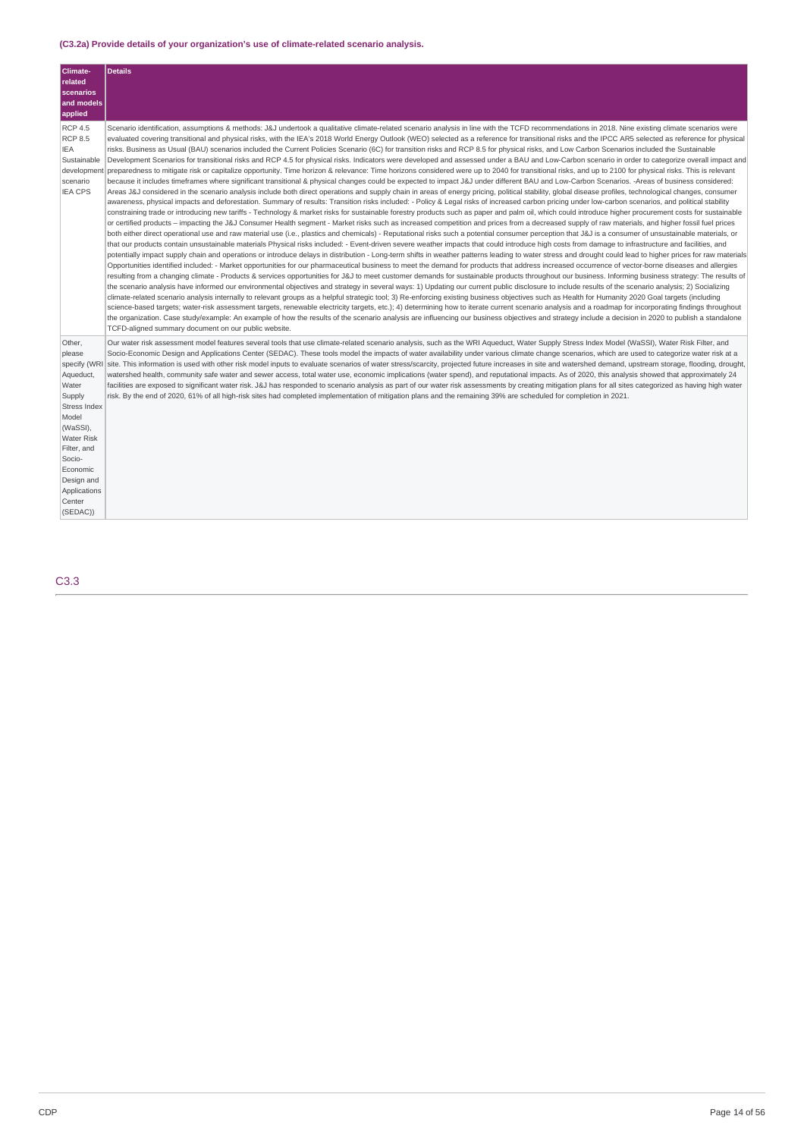### **(C3.2a) Provide details of your organization's use of climate-related scenario analysis.**

| <b>Climate-</b><br>related<br>scenarios<br>and models<br>applied                                                                                                                                                           | <b>Details</b>                                                                                                                                                                                                                                                                                                                                                                                                                                                                                                                                                                                                                                                                                                                                                                                                                                                                                                                                                                                                                                                                                                                                                                                                                                                                                                                                                                                                                                                                                                                                                                                                                                                                                                                                                                                                                                                                                                                                                                                                                                                                                                                                                                                                                                                                                                                                                                                                                                                                                                                                                                                                                                                                                                                                                                                                                                                                                                                                                                                                                                                                                                                                                                                                                                                                                                                                                                                                                                                                                                                                                                                                                                                                                                                                                                                                                                                                                                                                                                                     |
|----------------------------------------------------------------------------------------------------------------------------------------------------------------------------------------------------------------------------|----------------------------------------------------------------------------------------------------------------------------------------------------------------------------------------------------------------------------------------------------------------------------------------------------------------------------------------------------------------------------------------------------------------------------------------------------------------------------------------------------------------------------------------------------------------------------------------------------------------------------------------------------------------------------------------------------------------------------------------------------------------------------------------------------------------------------------------------------------------------------------------------------------------------------------------------------------------------------------------------------------------------------------------------------------------------------------------------------------------------------------------------------------------------------------------------------------------------------------------------------------------------------------------------------------------------------------------------------------------------------------------------------------------------------------------------------------------------------------------------------------------------------------------------------------------------------------------------------------------------------------------------------------------------------------------------------------------------------------------------------------------------------------------------------------------------------------------------------------------------------------------------------------------------------------------------------------------------------------------------------------------------------------------------------------------------------------------------------------------------------------------------------------------------------------------------------------------------------------------------------------------------------------------------------------------------------------------------------------------------------------------------------------------------------------------------------------------------------------------------------------------------------------------------------------------------------------------------------------------------------------------------------------------------------------------------------------------------------------------------------------------------------------------------------------------------------------------------------------------------------------------------------------------------------------------------------------------------------------------------------------------------------------------------------------------------------------------------------------------------------------------------------------------------------------------------------------------------------------------------------------------------------------------------------------------------------------------------------------------------------------------------------------------------------------------------------------------------------------------------------------------------------------------------------------------------------------------------------------------------------------------------------------------------------------------------------------------------------------------------------------------------------------------------------------------------------------------------------------------------------------------------------------------------------------------------------------------------------------------------------|
| <b>RCP 4.5</b><br><b>RCP 8.5</b><br><b>IEA</b><br>Sustainable<br>developmen<br>scenario<br><b>IEA CPS</b>                                                                                                                  | Scenario identification, assumptions & methods: J&J undertook a qualitative climate-related scenario analysis in line with the TCFD recommendations in 2018. Nine existing climate scenarios were<br>evaluated covering transitional and physical risks, with the IEA's 2018 World Energy Outlook (WEO) selected as a reference for transitional risks and the IPCC AR5 selected as reference for physical<br>risks. Business as Usual (BAU) scenarios included the Current Policies Scenario (6C) for transition risks and RCP 8.5 for physical risks, and Low Carbon Scenarios included the Sustainable<br>Development Scenarios for transitional risks and RCP 4.5 for physical risks. Indicators were developed and assessed under a BAU and Low-Carbon scenario in order to categorize overall impact and<br>preparedness to mitigate risk or capitalize opportunity. Time horizon & relevance: Time horizons considered were up to 2040 for transitional risks, and up to 2100 for physical risks. This is relevant<br>because it includes timeframes where significant transitional & physical changes could be expected to impact J&J under different BAU and Low-Carbon Scenarios. -Areas of business considered:<br>Areas J&J considered in the scenario analysis include both direct operations and supply chain in areas of energy pricing, political stability, global disease profiles, technological changes, consumer<br>awareness, physical impacts and deforestation. Summary of results: Transition risks included: - Policy & Legal risks of increased carbon pricing under low-carbon scenarios, and political stability<br>constraining trade or introducing new tariffs - Technology & market risks for sustainable forestry products such as paper and palm oil, which could introduce higher procurement costs for sustainable<br>or certified products - impacting the J&J Consumer Health segment - Market risks such as increased competition and prices from a decreased supply of raw materials, and higher fossil fuel prices<br>both either direct operational use and raw material use (i.e., plastics and chemicals) - Reputational risks such a potential consumer perception that J&J is a consumer of unsustainable materials, or<br>that our products contain unsustainable materials Physical risks included: - Event-driven severe weather impacts that could introduce high costs from damage to infrastructure and facilities, and<br>potentially impact supply chain and operations or introduce delays in distribution - Long-term shifts in weather patterns leading to water stress and drought could lead to higher prices for raw materials<br>Opportunities identified included: - Market opportunities for our pharmaceutical business to meet the demand for products that address increased occurrence of vector-borne diseases and allergies<br>resulting from a changing climate - Products & services opportunities for J&J to meet customer demands for sustainable products throughout our business. Informing business strategy: The results of<br>the scenario analysis have informed our environmental objectives and strategy in several ways: 1) Updating our current public disclosure to include results of the scenario analysis; 2) Socializing<br>climate-related scenario analysis internally to relevant groups as a helpful strategic tool; 3) Re-enforcing existing business objectives such as Health for Humanity 2020 Goal targets (including<br>science-based targets; water-risk assessment targets, renewable electricity targets, etc.); 4) determining how to iterate current scenario analysis and a roadmap for incorporating findings throughout<br>the organization. Case study/example: An example of how the results of the scenario analysis are influencing our business objectives and strategy include a decision in 2020 to publish a standalone<br>TCFD-aligned summary document on our public website. |
| Other,<br>please<br>specify (WRI<br>Aqueduct,<br>Water<br>Supply<br><b>Stress Index</b><br>Model<br>(WaSSI),<br><b>Water Risk</b><br>Filter, and<br>Socio-<br>Economic<br>Design and<br>Applications<br>Center<br>(SEDAC)) | Our water risk assessment model features several tools that use climate-related scenario analysis, such as the WRI Aqueduct, Water Supply Stress Index Model (WaSSI), Water Risk Filter, and<br>Socio-Economic Design and Applications Center (SEDAC). These tools model the impacts of water availability under various climate change scenarios, which are used to categorize water risk at a<br>site. This information is used with other risk model inputs to evaluate scenarios of water stress/scarcity, projected future increases in site and watershed demand, upstream storage, flooding, drought,<br>watershed health, community safe water and sewer access, total water use, economic implications (water spend), and reputational impacts. As of 2020, this analysis showed that approximately 24<br>facilities are exposed to significant water risk. J&J has responded to scenario analysis as part of our water risk assessments by creating mitigation plans for all sites categorized as having high water<br>risk. By the end of 2020, 61% of all high-risk sites had completed implementation of mitigation plans and the remaining 39% are scheduled for completion in 2021.                                                                                                                                                                                                                                                                                                                                                                                                                                                                                                                                                                                                                                                                                                                                                                                                                                                                                                                                                                                                                                                                                                                                                                                                                                                                                                                                                                                                                                                                                                                                                                                                                                                                                                                                                                                                                                                                                                                                                                                                                                                                                                                                                                                                                                                                                                                                                                                                                                                                                                                                                                                                                                                                                                                                                                                                 |

C3.3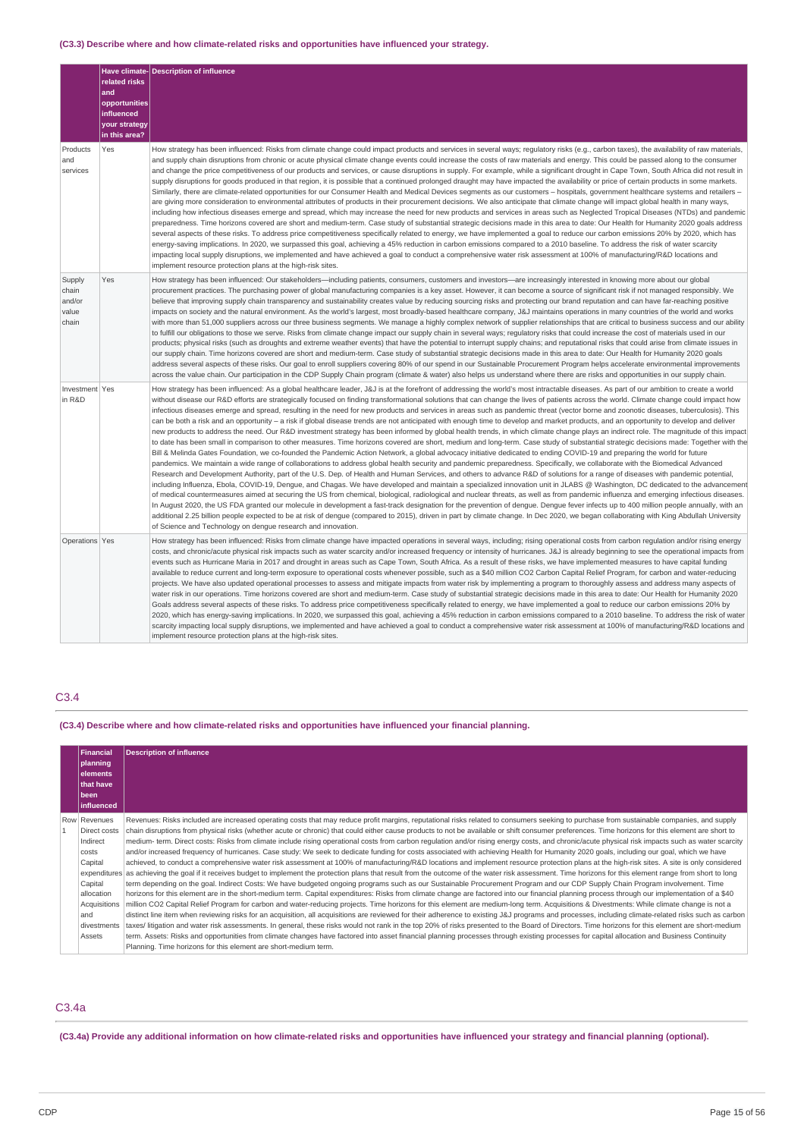### **(C3.3) Describe where and how climate-related risks and opportunities have influenced your strategy.**

|                                             | related risks<br>and<br>opportunities<br>influenced<br>your strategy<br>in this area? | Have climate-Description of influence                                                                                                                                                                                                                                                                                                                                                                                                                                                                                                                                                                                                                                                                                                                                                                                                                                                                                                                                                                                                                                                                                                                                                                                                                                                                                                                                                                                                                                                                                                                                                                                                                                                                                                                                                                                                                                                                                                                                                                                                                                                                                                                                                                                                                                                                                                                                                                                                                                                                                              |
|---------------------------------------------|---------------------------------------------------------------------------------------|------------------------------------------------------------------------------------------------------------------------------------------------------------------------------------------------------------------------------------------------------------------------------------------------------------------------------------------------------------------------------------------------------------------------------------------------------------------------------------------------------------------------------------------------------------------------------------------------------------------------------------------------------------------------------------------------------------------------------------------------------------------------------------------------------------------------------------------------------------------------------------------------------------------------------------------------------------------------------------------------------------------------------------------------------------------------------------------------------------------------------------------------------------------------------------------------------------------------------------------------------------------------------------------------------------------------------------------------------------------------------------------------------------------------------------------------------------------------------------------------------------------------------------------------------------------------------------------------------------------------------------------------------------------------------------------------------------------------------------------------------------------------------------------------------------------------------------------------------------------------------------------------------------------------------------------------------------------------------------------------------------------------------------------------------------------------------------------------------------------------------------------------------------------------------------------------------------------------------------------------------------------------------------------------------------------------------------------------------------------------------------------------------------------------------------------------------------------------------------------------------------------------------------|
| Products<br>and<br>services                 | Yes                                                                                   | How strategy has been influenced: Risks from climate change could impact products and services in several ways; regulatory risks (e.g., carbon taxes), the availability of raw materials,<br>and supply chain disruptions from chronic or acute physical climate change events could increase the costs of raw materials and energy. This could be passed along to the consumer<br>and change the price competitiveness of our products and services, or cause disruptions in supply. For example, while a significant drought in Cape Town, South Africa did not result in<br>supply disruptions for goods produced in that region, it is possible that a continued prolonged draught may have impacted the availability or price of certain products in some markets.<br>Similarly, there are climate-related opportunities for our Consumer Health and Medical Devices segments as our customers - hospitals, government healthcare systems and retailers -<br>are giving more consideration to environmental attributes of products in their procurement decisions. We also anticipate that climate change will impact global health in many ways,<br>including how infectious diseases emerge and spread, which may increase the need for new products and services in areas such as Neglected Tropical Diseases (NTDs) and pandemic<br>preparedness. Time horizons covered are short and medium-term. Case study of substantial strategic decisions made in this area to date: Our Health for Humanity 2020 goals address<br>several aspects of these risks. To address price competitiveness specifically related to energy, we have implemented a goal to reduce our carbon emissions 20% by 2020, which has<br>energy-saving implications. In 2020, we surpassed this goal, achieving a 45% reduction in carbon emissions compared to a 2010 baseline. To address the risk of water scarcity<br>impacting local supply disruptions, we implemented and have achieved a goal to conduct a comprehensive water risk assessment at 100% of manufacturing/R&D locations and<br>implement resource protection plans at the high-risk sites.                                                                                                                                                                                                                                                                                                                                                                                    |
| Supply<br>chain<br>and/or<br>value<br>chain | Yes                                                                                   | How strategy has been influenced: Our stakeholders-including patients, consumers, customers and investors-are increasingly interested in knowing more about our global<br>procurement practices. The purchasing power of global manufacturing companies is a key asset. However, it can become a source of significant risk if not managed responsibly. We<br>believe that improving supply chain transparency and sustainability creates value by reducing sourcing risks and protecting our brand reputation and can have far-reaching positive<br>impacts on society and the natural environment. As the world's largest, most broadly-based healthcare company, J&J maintains operations in many countries of the world and works<br>with more than 51,000 suppliers across our three business segments. We manage a highly complex network of supplier relationships that are critical to business success and our ability<br>to fulfill our obligations to those we serve. Risks from climate change impact our supply chain in several ways; regulatory risks that could increase the cost of materials used in our<br>products; physical risks (such as droughts and extreme weather events) that have the potential to interrupt supply chains; and reputational risks that could arise from climate issues in<br>our supply chain. Time horizons covered are short and medium-term. Case study of substantial strategic decisions made in this area to date: Our Health for Humanity 2020 goals<br>address several aspects of these risks. Our goal to enroll suppliers covering 80% of our spend in our Sustainable Procurement Program helps accelerate environmental improvements<br>across the value chain. Our participation in the CDP Supply Chain program (climate & water) also helps us understand where there are risks and opportunities in our supply chain.                                                                                                                                                                                                                                                                                                                                                                                                                                                                                                                                                                                                                                                |
| Investment Yes<br>in R&D                    |                                                                                       | How strategy has been influenced: As a global healthcare leader, J&J is at the forefront of addressing the world's most intractable diseases. As part of our ambition to create a world<br>without disease our R&D efforts are strategically focused on finding transformational solutions that can change the lives of patients across the world. Climate change could impact how<br>infectious diseases emerge and spread, resulting in the need for new products and services in areas such as pandemic threat (vector borne and zoonotic diseases, tuberculosis). This<br>can be both a risk and an opportunity - a risk if global disease trends are not anticipated with enough time to develop and market products, and an opportunity to develop and deliver<br>new products to address the need. Our R&D investment strategy has been informed by global health trends, in which climate change plays an indirect role. The magnitude of this impact<br>to date has been small in comparison to other measures. Time horizons covered are short, medium and long-term. Case study of substantial strategic decisions made: Together with the<br>Bill & Melinda Gates Foundation, we co-founded the Pandemic Action Network, a global advocacy initiative dedicated to ending COVID-19 and preparing the world for future<br>pandemics. We maintain a wide range of collaborations to address global health security and pandemic preparedness. Specifically, we collaborate with the Biomedical Advanced<br>Research and Development Authority, part of the U.S. Dep. of Health and Human Services, and others to advance R&D of solutions for a range of diseases with pandemic potential,<br>including Influenza, Ebola, COVID-19, Dengue, and Chagas. We have developed and maintain a specialized innovation unit in JLABS @ Washington, DC dedicated to the advancement<br>of medical countermeasures aimed at securing the US from chemical, biological, radiological and nuclear threats, as well as from pandemic influenza and emerging infectious diseases.<br>In August 2020, the US FDA granted our molecule in development a fast-track designation for the prevention of dengue. Dengue fever infects up to 400 million people annually, with an<br>additional 2.25 billion people expected to be at risk of dengue (compared to 2015), driven in part by climate change. In Dec 2020, we began collaborating with King Abdullah University<br>of Science and Technology on dengue research and innovation. |
| Operations Yes                              |                                                                                       | How strategy has been influenced: Risks from climate change have impacted operations in several ways, including; rising operational costs from carbon regulation and/or rising energy<br>costs, and chronic/acute physical risk impacts such as water scarcity and/or increased frequency or intensity of hurricanes. J&J is already beginning to see the operational impacts from<br>events such as Hurricane Maria in 2017 and drought in areas such as Cape Town, South Africa. As a result of these risks, we have implemented measures to have capital funding<br>available to reduce current and long-term exposure to operational costs whenever possible, such as a \$40 million CO2 Carbon Capital Relief Program, for carbon and water-reducing<br>projects. We have also updated operational processes to assess and mitigate impacts from water risk by implementing a program to thoroughly assess and address many aspects of<br>water risk in our operations. Time horizons covered are short and medium-term. Case study of substantial strategic decisions made in this area to date: Our Health for Humanity 2020<br>Goals address several aspects of these risks. To address price competitiveness specifically related to energy, we have implemented a goal to reduce our carbon emissions 20% by<br>2020, which has energy-saving implications. In 2020, we surpassed this goal, achieving a 45% reduction in carbon emissions compared to a 2010 baseline. To address the risk of water<br>scarcity impacting local supply disruptions, we implemented and have achieved a goal to conduct a comprehensive water risk assessment at 100% of manufacturing/R&D locations and<br>implement resource protection plans at the high-risk sites.                                                                                                                                                                                                                                                                                                                                                                                                                                                                                                                                                                                                                                                                                                                                                                  |

### C3.4

### **(C3.4) Describe where and how climate-related risks and opportunities have influenced your financial planning.**

| <b>Financial</b>     | <b>Description of influence</b>                                                                                                                                                                               |  |  |  |
|----------------------|---------------------------------------------------------------------------------------------------------------------------------------------------------------------------------------------------------------|--|--|--|
| planning<br>elements |                                                                                                                                                                                                               |  |  |  |
| that have            |                                                                                                                                                                                                               |  |  |  |
| been<br>influenced   |                                                                                                                                                                                                               |  |  |  |
| Row Revenues         | Revenues: Risks included are increased operating costs that may reduce profit margins, reputational risks related to consumers seeking to purchase from sustainable companies, and supply                     |  |  |  |
| Direct costs         | chain disruptions from physical risks (whether acute or chronic) that could either cause products to not be available or shift consumer preferences. Time horizons for this element are short to              |  |  |  |
| Indirect             | medium- term. Direct costs: Risks from climate include rising operational costs from carbon regulation and/or rising energy costs, and chronic/acute physical risk impacts such as water scarcity             |  |  |  |
| costs                | and/or increased frequency of hurricanes. Case study: We seek to dedicate funding for costs associated with achieving Health for Humanity 2020 goals, including our goal, which we have                       |  |  |  |
| Capital              | achieved, to conduct a comprehensive water risk assessment at 100% of manufacturing/R&D locations and implement resource protection plans at the high-risk sites. A site is only considered                   |  |  |  |
|                      | expenditures as achieving the goal if it receives budget to implement the protection plans that result from the outcome of the water risk assessment. Time horizons for this element range from short to long |  |  |  |
| Capital              | term depending on the goal. Indirect Costs: We have budgeted ongoing programs such as our Sustainable Procurement Program and our CDP Supply Chain Program involvement. Time                                  |  |  |  |
| allocation           | horizons for this element are in the short-medium term. Capital expenditures: Risks from climate change are factored into our financial planning process through our implementation of a \$40                 |  |  |  |
| Acquisitions         | million CO2 Capital Relief Program for carbon and water-reducing projects. Time horizons for this element are medium-long term. Acquisitions & Divestments: While climate change is not a                     |  |  |  |
| and                  | distinct line item when reviewing risks for an acquisition, all acquisitions are reviewed for their adherence to existing J&J programs and processes, including climate-related risks such as carbon          |  |  |  |
| divestments          | taxes/ litigation and water risk assessments. In general, these risks would not rank in the top 20% of risks presented to the Board of Directors. Time horizons for this element are short-medium             |  |  |  |
| Assets               | term. Assets: Risks and opportunities from climate changes have factored into asset financial planning processes through existing processes for capital allocation and Business Continuity                    |  |  |  |
|                      | Planning. Time horizons for this element are short-medium term.                                                                                                                                               |  |  |  |

### C3.4a

### (C3.4a) Provide any additional information on how climate-related risks and opportunities have influenced your strategy and financial planning (optional).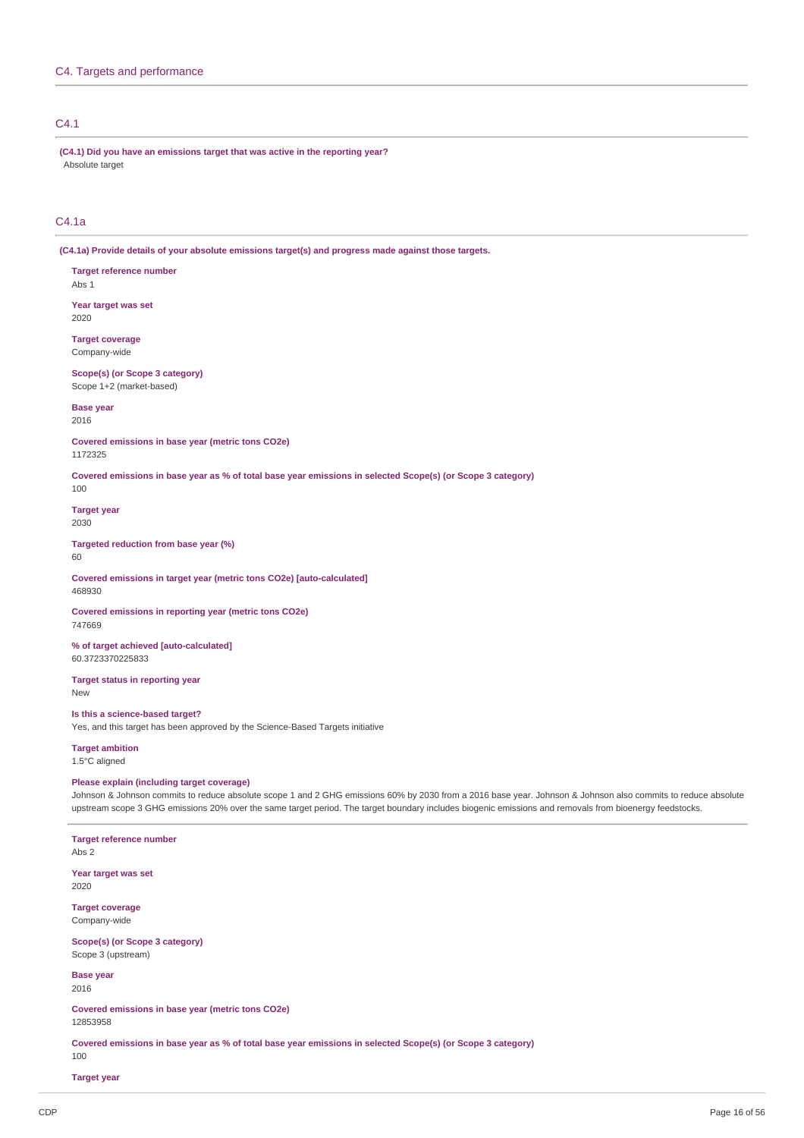### C4. Targets and performance

### C4.1

**(C4.1) Did you have an emissions target that was active in the reporting year?** Absolute target

### $C_{4.1a}$

**(C4.1a) Provide details of your absolute emissions target(s) and progress made against those targets.**

**Target reference number** Abs 1

**Year target was set** 2020

**Target coverage** Company-wide

**Scope(s) (or Scope 3 category)** Scope 1+2 (market-based)

**Base year**

2016

**Covered emissions in base year (metric tons CO2e)** 1172325

Covered emissions in base year as % of total base year emissions in selected Scope(s) (or Scope 3 category) 100

**Target year**

2030

**Targeted reduction from base year (%)** 60

**Covered emissions in target year (metric tons CO2e) [auto-calculated]** 468930

**Covered emissions in reporting year (metric tons CO2e)** 747669

**% of target achieved [auto-calculated]** 60.3723370225833

**Target status in reporting year** New

**Is this a science-based target?** Yes, and this target has been approved by the Science-Based Targets initiative

**Target ambition** 1.5°C aligned

### **Please explain (including target coverage)**

Johnson & Johnson commits to reduce absolute scope 1 and 2 GHG emissions 60% by 2030 from a 2016 base year. Johnson & Johnson also commits to reduce absolute upstream scope 3 GHG emissions 20% over the same target period. The target boundary includes biogenic emissions and removals from bioenergy feedstocks.

**Target reference number** Abs 2

**Year target was set** 2020

**Target coverage** Company-wide

**Scope(s) (or Scope 3 category)** Scope 3 (upstream)

**Base year** 2016

**Covered emissions in base year (metric tons CO2e)** 12853958

Covered emissions in base year as % of total base year emissions in selected Scope(s) (or Scope 3 category)

100

**Target year**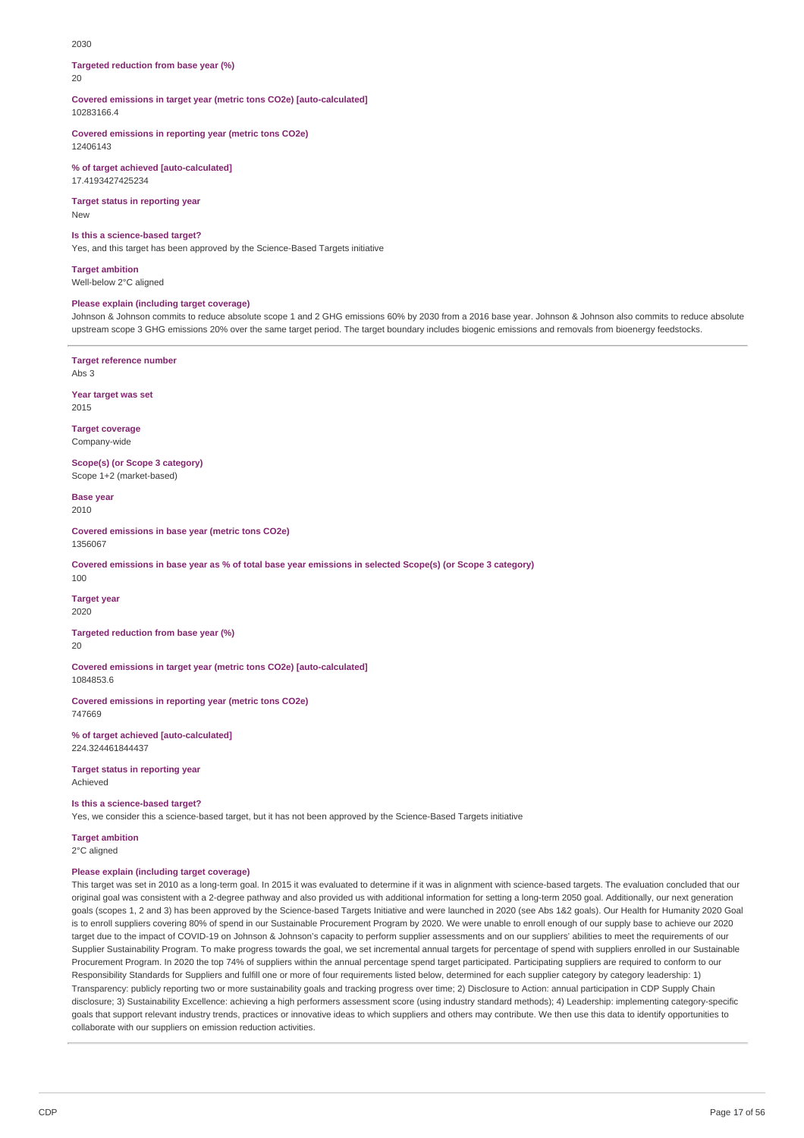#### 2030

**Targeted reduction from base year (%)**  $20$ 

**Covered emissions in target year (metric tons CO2e) [auto-calculated]** 10283166.4

**Covered emissions in reporting year (metric tons CO2e)** 12406143

**% of target achieved [auto-calculated]** 17.4193427425234

**Target status in reporting year** New

#### **Is this a science-based target?**

Yes, and this target has been approved by the Science-Based Targets initiative

**Target ambition**

Well-below 2°C aligned

### **Please explain (including target coverage)**

Johnson & Johnson commits to reduce absolute scope 1 and 2 GHG emissions 60% by 2030 from a 2016 base year. Johnson & Johnson also commits to reduce absolute upstream scope 3 GHG emissions 20% over the same target period. The target boundary includes biogenic emissions and removals from bioenergy feedstocks.

**Target reference number** Abs 3

**Year target was set** 2015

**Target coverage** Company-wide

**Scope(s) (or Scope 3 category)** Scope 1+2 (market-based)

**Base year** 2010

**Covered emissions in base year (metric tons CO2e)** 1356067

Covered emissions in base year as % of total base year emissions in selected Scope(s) (or Scope 3 category) 100

**Target year** 2020

**Targeted reduction from base year (%)** 20

**Covered emissions in target year (metric tons CO2e) [auto-calculated]** 1084853.6

**Covered emissions in reporting year (metric tons CO2e)** 747669

**% of target achieved [auto-calculated]** 224.324461844437

**Target status in reporting year** Achieved

### **Is this a science-based target?**

Yes, we consider this a science-based target, but it has not been approved by the Science-Based Targets initiative

**Target ambition** 2°C aligned

#### **Please explain (including target coverage)**

This target was set in 2010 as a long-term goal. In 2015 it was evaluated to determine if it was in alignment with science-based targets. The evaluation concluded that our original goal was consistent with a 2-degree pathway and also provided us with additional information for setting a long-term 2050 goal. Additionally, our next generation goals (scopes 1, 2 and 3) has been approved by the Science-based Targets Initiative and were launched in 2020 (see Abs 1&2 goals). Our Health for Humanity 2020 Goal is to enroll suppliers covering 80% of spend in our Sustainable Procurement Program by 2020. We were unable to enroll enough of our supply base to achieve our 2020 target due to the impact of COVID-19 on Johnson & Johnson's capacity to perform supplier assessments and on our suppliers' abilities to meet the requirements of our Supplier Sustainability Program. To make progress towards the goal, we set incremental annual targets for percentage of spend with suppliers enrolled in our Sustainable Procurement Program. In 2020 the top 74% of suppliers within the annual percentage spend target participated. Participating suppliers are required to conform to our Responsibility Standards for Suppliers and fulfill one or more of four requirements listed below, determined for each supplier category by category leadership: 1) Transparency: publicly reporting two or more sustainability goals and tracking progress over time; 2) Disclosure to Action: annual participation in CDP Supply Chain disclosure; 3) Sustainability Excellence: achieving a high performers assessment score (using industry standard methods); 4) Leadership: implementing category-specific goals that support relevant industry trends, practices or innovative ideas to which suppliers and others may contribute. We then use this data to identify opportunities to collaborate with our suppliers on emission reduction activities.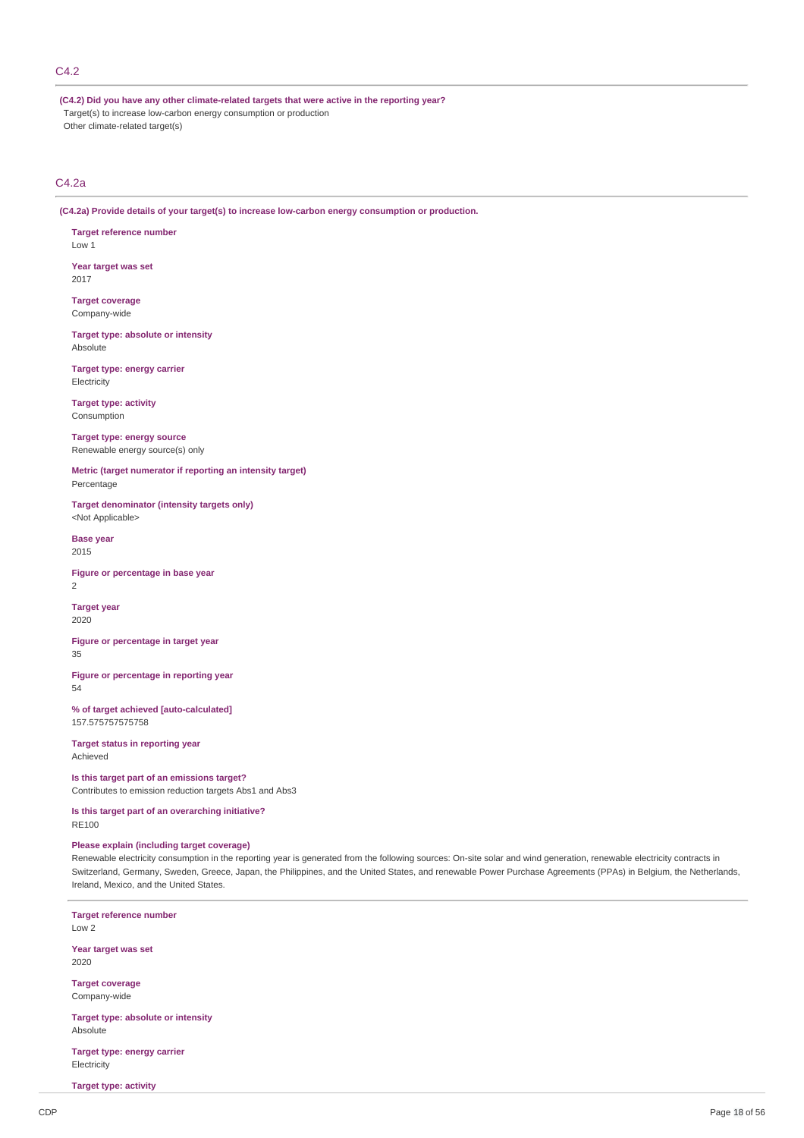### C4.2

**(C4.2) Did you have any other climate-related targets that were active in the reporting year?** Target(s) to increase low-carbon energy consumption or production Other climate-related target(s)

### C4.2a

**(C4.2a) Provide details of your target(s) to increase low-carbon energy consumption or production.**

**Target reference number** Low 1

**Year target was set** 2017

**Target coverage** Company-wide

**Target type: absolute or intensity** Absolute

**Target type: energy carrier Electricity** 

**Target type: activity** Consumption

**Target type: energy source** Renewable energy source(s) only

**Metric (target numerator if reporting an intensity target)** Percentage

**Target denominator (intensity targets only)** <Not Applicable>

**Base year** 2015

**Figure or percentage in base year** 2

**Target year** 2020

**Figure or percentage in target year** 35

**Figure or percentage in reporting year** 54

**% of target achieved [auto-calculated]** 157.575757575758

**Target status in reporting year** Achieved

**Is this target part of an emissions target?** Contributes to emission reduction targets Abs1 and Abs3

**Is this target part of an overarching initiative?** RE100

### **Please explain (including target coverage)**

Renewable electricity consumption in the reporting year is generated from the following sources: On-site solar and wind generation, renewable electricity contracts in Switzerland, Germany, Sweden, Greece, Japan, the Philippines, and the United States, and renewable Power Purchase Agreements (PPAs) in Belgium, the Netherlands, Ireland, Mexico, and the United States.

**Target reference number** Low 2 **Year target was set** 2020 **Target coverage** Company-wide **Target type: absolute or intensity** Absolute

**Target type: energy carrier Electricity** 

**Target type: activity**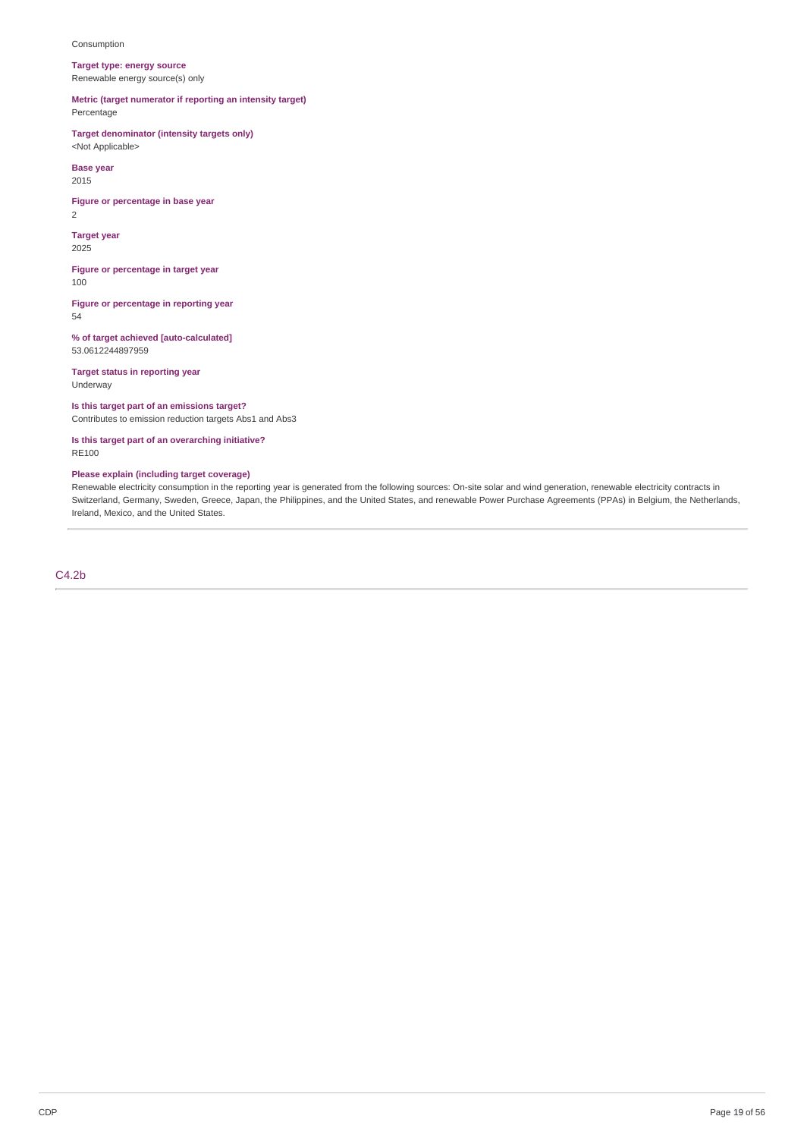### Consumption

**Target type: energy source** Renewable energy source(s) only

### **Metric (target numerator if reporting an intensity target)** Percentage

**Target denominator (intensity targets only)** <Not Applicable>

**Base year** 2015

**Figure or percentage in base year** 2

**Target year** 2025

**Figure or percentage in target year** 100

**Figure or percentage in reporting year** 54

**% of target achieved [auto-calculated]** 53.0612244897959

**Target status in reporting year** Underway

### **Is this target part of an emissions target?**

Contributes to emission reduction targets Abs1 and Abs3

**Is this target part of an overarching initiative?** RE100

### **Please explain (including target coverage)**

Renewable electricity consumption in the reporting year is generated from the following sources: On-site solar and wind generation, renewable electricity contracts in Switzerland, Germany, Sweden, Greece, Japan, the Philippines, and the United States, and renewable Power Purchase Agreements (PPAs) in Belgium, the Netherlands, Ireland, Mexico, and the United States.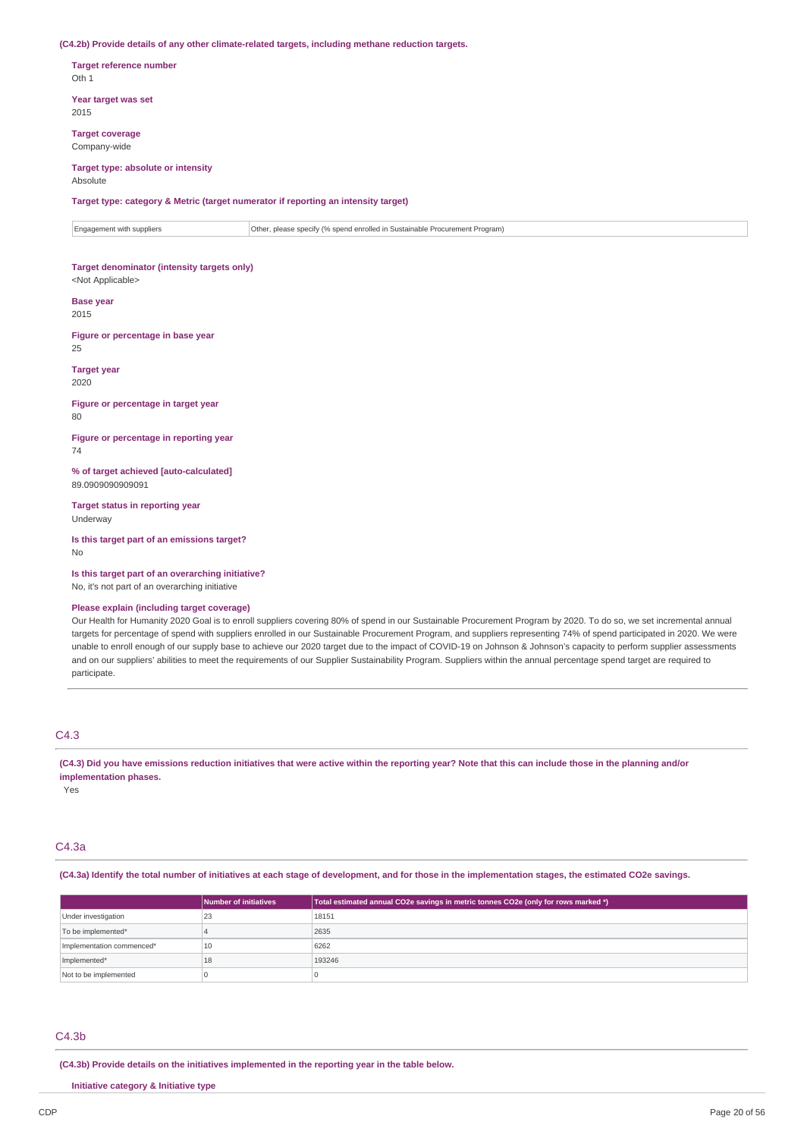**(C4.2b) Provide details of any other climate-related targets, including methane reduction targets.**

**Target reference number** Oth 1

**Year target was set** 2015

**Target coverage** Company-wide

### **Target type: absolute or intensity**

Absolute

**Target type: category & Metric (target numerator if reporting an intensity target)**

Engagement with suppliers  $\vert$  Other, please specify (% spend enrolled in Sustainable Procurement Program)

### **Target denominator (intensity targets only)** <Not Applicable>

**Base year** 2015

**Figure or percentage in base year** 25

**Target year** 2020

**Figure or percentage in target year** 80

**Figure or percentage in reporting year** 74

**% of target achieved [auto-calculated]** 89.0909090909091

**Target status in reporting year** Underway

**Is this target part of an emissions target?** No

**Is this target part of an overarching initiative?** No, it's not part of an overarching initiative

### **Please explain (including target coverage)**

Our Health for Humanity 2020 Goal is to enroll suppliers covering 80% of spend in our Sustainable Procurement Program by 2020. To do so, we set incremental annual targets for percentage of spend with suppliers enrolled in our Sustainable Procurement Program, and suppliers representing 74% of spend participated in 2020. We were unable to enroll enough of our supply base to achieve our 2020 target due to the impact of COVID-19 on Johnson & Johnson's capacity to perform supplier assessments and on our suppliers' abilities to meet the requirements of our Supplier Sustainability Program. Suppliers within the annual percentage spend target are required to participate.

### C4.3

(C4.3) Did you have emissions reduction initiatives that were active within the reporting year? Note that this can include those in the planning and/or **implementation phases.**

Yes

### C4.3a

(C4.3a) Identify the total number of initiatives at each stage of development, and for those in the implementation stages, the estimated CO2e savings.

|                           | Number of initiatives | Total estimated annual CO2e savings in metric tonnes CO2e (only for rows marked *) |
|---------------------------|-----------------------|------------------------------------------------------------------------------------|
| Under investigation       | 23                    | 18151                                                                              |
| To be implemented*        |                       | 2635                                                                               |
| Implementation commenced* | 10                    | 6262                                                                               |
| Implemented*              | 18                    | 193246                                                                             |
| Not to be implemented     |                       |                                                                                    |

### C4.3b

**(C4.3b) Provide details on the initiatives implemented in the reporting year in the table below.**

**Initiative category & Initiative type**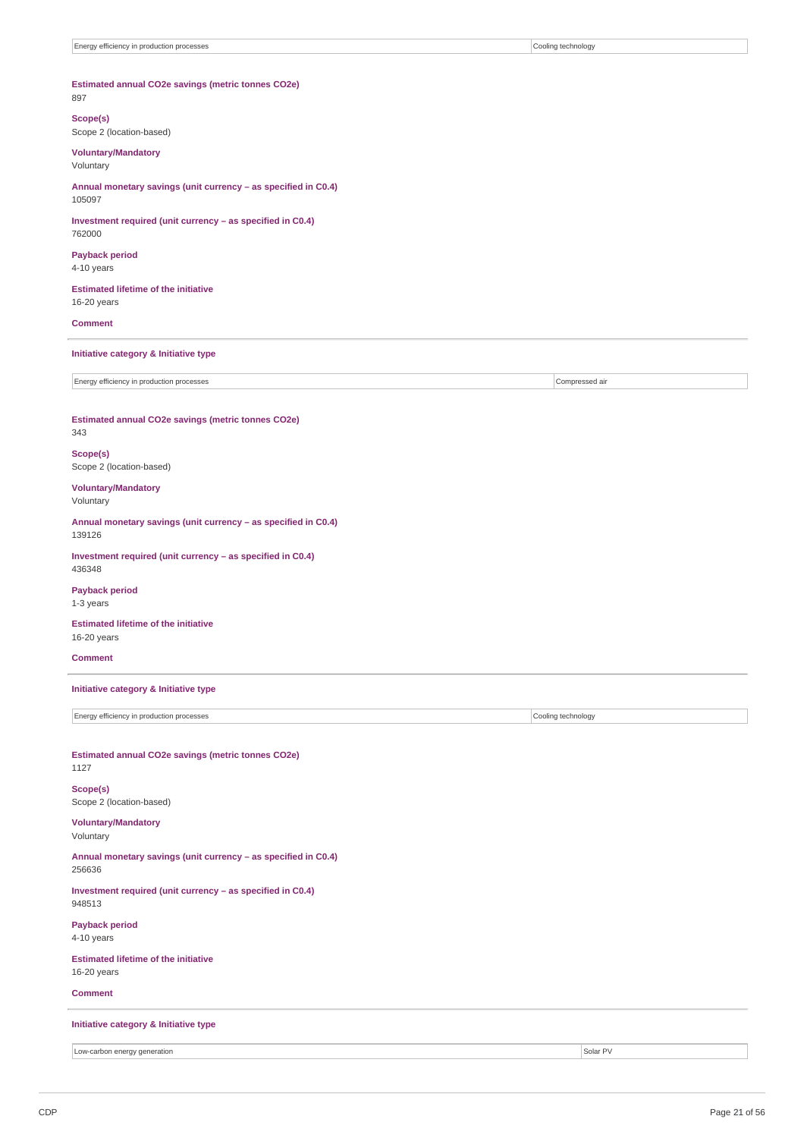### **Estimated annual CO2e savings (metric tonnes CO2e)** 897

### **Scope(s)**

Scope 2 (location-based)

### **Voluntary/Mandatory**

Voluntary

**Annual monetary savings (unit currency – as specified in C0.4)** 105097

**Investment required (unit currency – as specified in C0.4)** 762000

**Payback period** 4-10 years

**Estimated lifetime of the initiative** 16-20 years

### **Comment**

### **Initiative category & Initiative type**

Energy efficiency in production processes **Compressed air** Compressed air compressed air

**Estimated annual CO2e savings (metric tonnes CO2e)** 343

#### **Scope(s)** Scope 2 (location-based)

**Voluntary/Mandatory** Voluntary

**Annual monetary savings (unit currency – as specified in C0.4)** 139126

**Investment required (unit currency – as specified in C0.4)** 436348

**Payback period** 1-3 years

**Estimated lifetime of the initiative** 16-20 years

**Comment**

### **Initiative category & Initiative type**

Energy efficiency in production processes Cooling technology

#### **Estimated annual CO2e savings (metric tonnes CO2e)** 1127

**Scope(s)** Scope 2 (location-based)

### **Voluntary/Mandatory** Voluntary

**Annual monetary savings (unit currency – as specified in C0.4)** 256636

**Investment required (unit currency – as specified in C0.4)** 948513

**Payback period** 4-10 years

### **Estimated lifetime of the initiative** 16-20 years

### **Comment**

### **Initiative category & Initiative type**

Low-carbon energy generation Solar PV and the control of the state of the state of the state of the state of the state of the state of the state of the state of the state of the state of the state of the state of the state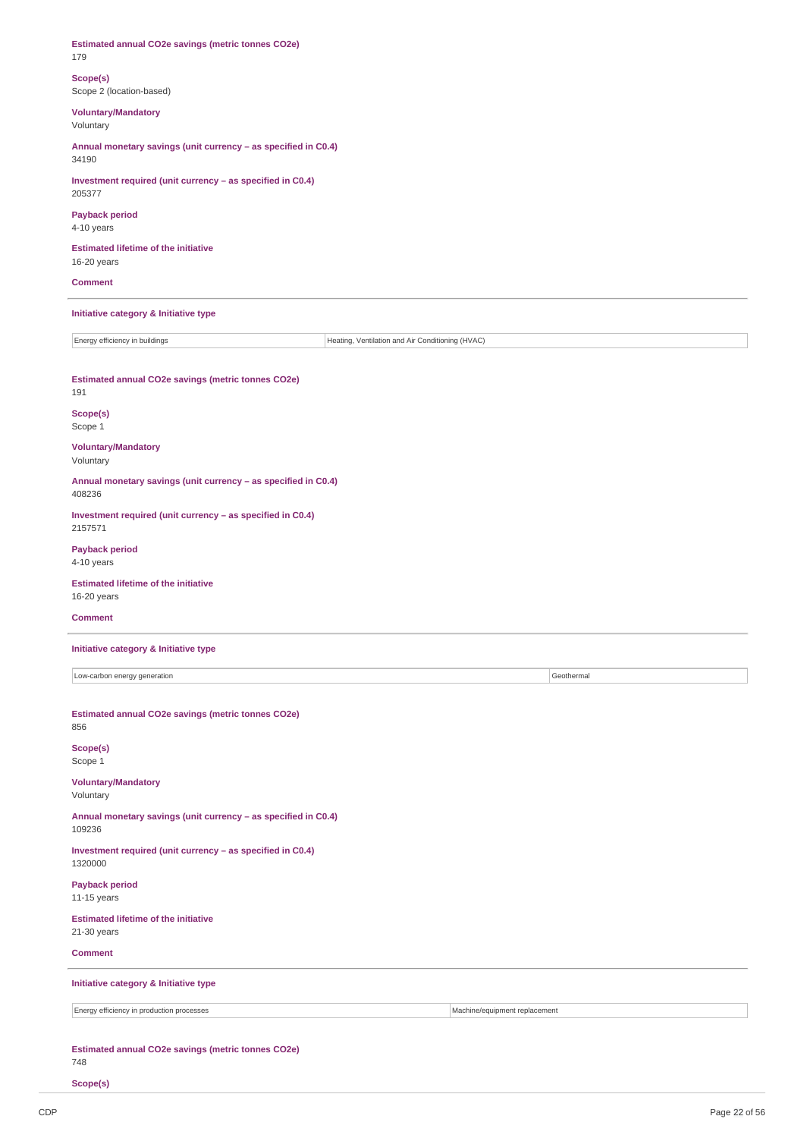| Estimated annual CO2e savings (metric tonnes CO2e)<br>179                          |                               |            |  |  |
|------------------------------------------------------------------------------------|-------------------------------|------------|--|--|
| Scope(s)<br>Scope 2 (location-based)                                               |                               |            |  |  |
| <b>Voluntary/Mandatory</b><br>Voluntary                                            |                               |            |  |  |
| Annual monetary savings (unit currency - as specified in C0.4)<br>34190            |                               |            |  |  |
| Investment required (unit currency - as specified in C0.4)<br>205377               |                               |            |  |  |
| <b>Payback period</b><br>4-10 years                                                |                               |            |  |  |
| <b>Estimated lifetime of the initiative</b><br>16-20 years                         |                               |            |  |  |
| <b>Comment</b>                                                                     |                               |            |  |  |
| Initiative category & Initiative type                                              |                               |            |  |  |
| Energy efficiency in buildings<br>Heating, Ventilation and Air Conditioning (HVAC) |                               |            |  |  |
| Estimated annual CO2e savings (metric tonnes CO2e)<br>191                          |                               |            |  |  |
| Scope(s)<br>Scope 1                                                                |                               |            |  |  |
| <b>Voluntary/Mandatory</b><br>Voluntary                                            |                               |            |  |  |
| Annual monetary savings (unit currency - as specified in C0.4)<br>408236           |                               |            |  |  |
| Investment required (unit currency - as specified in C0.4)<br>2157571              |                               |            |  |  |
| <b>Payback period</b><br>4-10 years                                                |                               |            |  |  |
| <b>Estimated lifetime of the initiative</b><br>16-20 years                         |                               |            |  |  |
| <b>Comment</b>                                                                     |                               |            |  |  |
| Initiative category & Initiative type                                              |                               |            |  |  |
| Low-carbon energy generation                                                       |                               | Geothermal |  |  |
| Estimated annual CO2e savings (metric tonnes CO2e)<br>856                          |                               |            |  |  |
| Scope(s)<br>Scope 1                                                                |                               |            |  |  |
| <b>Voluntary/Mandatory</b><br>Voluntary                                            |                               |            |  |  |
| Annual monetary savings (unit currency - as specified in C0.4)<br>109236           |                               |            |  |  |
| Investment required (unit currency - as specified in C0.4)<br>1320000              |                               |            |  |  |
| <b>Payback period</b><br>11-15 years                                               |                               |            |  |  |
| <b>Estimated lifetime of the initiative</b><br>21-30 years                         |                               |            |  |  |
| <b>Comment</b>                                                                     |                               |            |  |  |
| Initiative category & Initiative type                                              |                               |            |  |  |
| Energy efficiency in production processes                                          | Machine/equipment replacement |            |  |  |
| Estimated annual CO2e savings (metric tonnes CO2e)<br>748                          |                               |            |  |  |
| Scope(s)                                                                           |                               |            |  |  |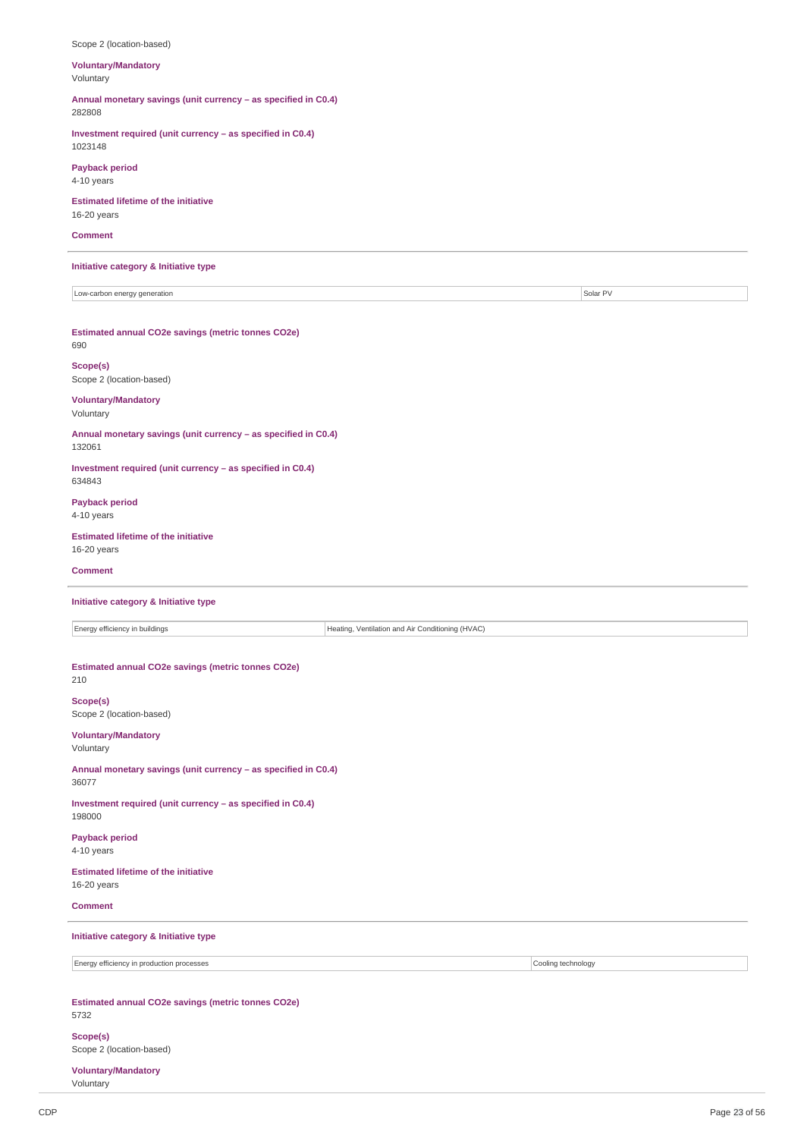| Scope 2 (location-based)                                                           |                    |  |  |
|------------------------------------------------------------------------------------|--------------------|--|--|
| <b>Voluntary/Mandatory</b><br>Voluntary                                            |                    |  |  |
| Annual monetary savings (unit currency - as specified in C0.4)<br>282808           |                    |  |  |
| Investment required (unit currency - as specified in C0.4)<br>1023148              |                    |  |  |
| <b>Payback period</b><br>4-10 years                                                |                    |  |  |
| <b>Estimated lifetime of the initiative</b><br>16-20 years                         |                    |  |  |
| <b>Comment</b>                                                                     |                    |  |  |
| Initiative category & Initiative type                                              |                    |  |  |
| Low-carbon energy generation                                                       | Solar PV           |  |  |
| Estimated annual CO2e savings (metric tonnes CO2e)<br>690                          |                    |  |  |
| Scope(s)<br>Scope 2 (location-based)                                               |                    |  |  |
| <b>Voluntary/Mandatory</b><br>Voluntary                                            |                    |  |  |
| Annual monetary savings (unit currency - as specified in C0.4)<br>132061           |                    |  |  |
| Investment required (unit currency - as specified in C0.4)<br>634843               |                    |  |  |
| <b>Payback period</b><br>4-10 years                                                |                    |  |  |
| <b>Estimated lifetime of the initiative</b><br>16-20 years                         |                    |  |  |
| <b>Comment</b>                                                                     |                    |  |  |
| Initiative category & Initiative type                                              |                    |  |  |
| Energy efficiency in buildings<br>Heating, Ventilation and Air Conditioning (HVAC) |                    |  |  |
| Estimated annual CO2e savings (metric tonnes CO2e)<br>210                          |                    |  |  |
| Scope(s)<br>Scope 2 (location-based)                                               |                    |  |  |
| <b>Voluntary/Mandatory</b><br>Voluntary                                            |                    |  |  |
| Annual monetary savings (unit currency - as specified in C0.4)<br>36077            |                    |  |  |
| Investment required (unit currency - as specified in C0.4)<br>198000               |                    |  |  |
| <b>Payback period</b><br>4-10 years                                                |                    |  |  |
| <b>Estimated lifetime of the initiative</b><br>16-20 years                         |                    |  |  |
| <b>Comment</b>                                                                     |                    |  |  |
| Initiative category & Initiative type                                              |                    |  |  |
| Energy efficiency in production processes                                          | Cooling technology |  |  |
| Estimated annual CO2e savings (metric tonnes CO2e)<br>5732                         |                    |  |  |
| Scope(s)<br>Scope 2 (location-based)                                               |                    |  |  |

**Voluntary/Mandatory** Voluntary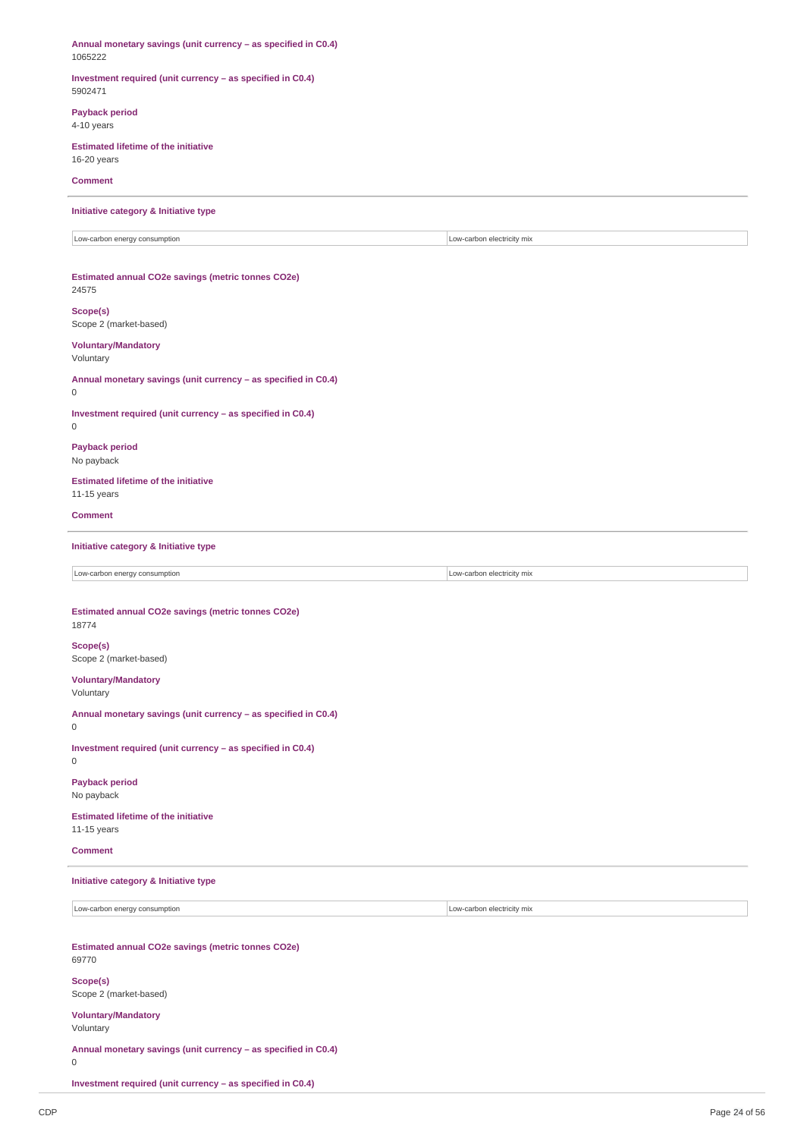**Annual monetary savings (unit currency – as specified in C0.4)** 1065222 **Investment required (unit currency – as specified in C0.4)** 5902471 **Payback period** 4-10 years **Estimated lifetime of the initiative** 16-20 years **Comment Initiative category & Initiative type** Low-carbon energy consumption **Low-carbon electricity mix Low-carbon electricity mix Estimated annual CO2e savings (metric tonnes CO2e)** 24575 **Scope(s)** Scope 2 (market-based) **Voluntary/Mandatory** Voluntary **Annual monetary savings (unit currency – as specified in C0.4)** 0 **Investment required (unit currency – as specified in C0.4)**  $\Omega$ **Payback period** No payback **Estimated lifetime of the initiative** 11-15 years **Comment Initiative category & Initiative type** Low-carbon energy consumption **Low-carbon electricity mix Estimated annual CO2e savings (metric tonnes CO2e)** 18774 **Scope(s)** Scope 2 (market-based) **Voluntary/Mandatory** Voluntary **Annual monetary savings (unit currency – as specified in C0.4)** 0 **Investment required (unit currency – as specified in C0.4)**  $\Omega$ **Payback period** No payback **Estimated lifetime of the initiative** 11-15 years **Comment Initiative category & Initiative type** Low-carbon energy consumption **Low-carbon electricity** mix **Estimated annual CO2e savings (metric tonnes CO2e)** 69770 **Scope(s)** Scope 2 (market-based) **Voluntary/Mandatory** Voluntary **Annual monetary savings (unit currency – as specified in C0.4)** 0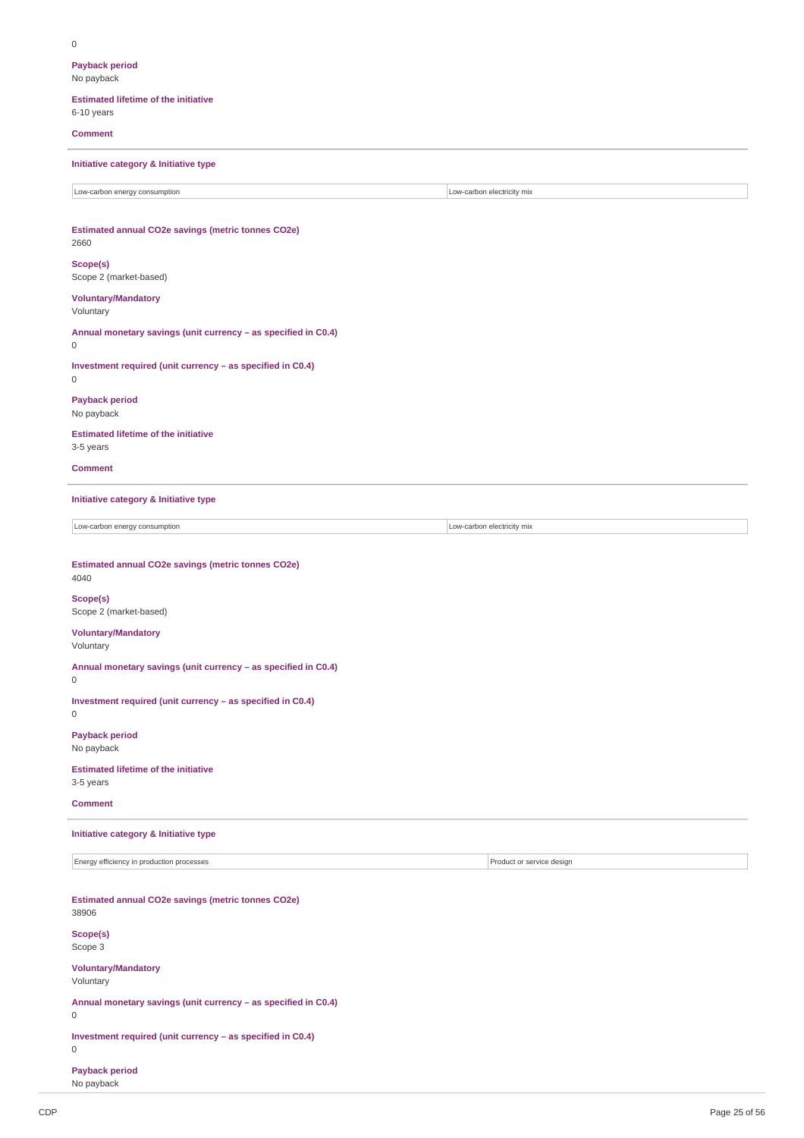**Payback period** No payback

#### **Estimated lifetime of the initiative**

6-10 years

### **Comment**

**Initiative category & Initiative type**

Low-carbon energy consumption  $\blacksquare$ 

### **Estimated annual CO2e savings (metric tonnes CO2e)** 2660

**Scope(s)** Scope 2 (market-based)

### **Voluntary/Mandatory**

Voluntary

### **Annual monetary savings (unit currency – as specified in C0.4)** 0

**Investment required (unit currency – as specified in C0.4)** 0

### **Payback period**

No payback

### **Estimated lifetime of the initiative**

3-5 years

**Comment**

### **Initiative category & Initiative type**

Low-carbon energy consumption **Low-carbon electricity mix** 

### **Estimated annual CO2e savings (metric tonnes CO2e)**

## 4040 **Scope(s)**

# Scope 2 (market-based)

### **Voluntary/Mandatory**

Voluntary

**Annual monetary savings (unit currency – as specified in C0.4)**

0

### **Investment required (unit currency – as specified in C0.4)**

0

### **Payback period** No payback

**Estimated lifetime of the initiative** 3-5 years

**Comment**

### **Initiative category & Initiative type**

Energy efficiency in production processes **Production and Contact of Service Area** Product or service design

**Estimated annual CO2e savings (metric tonnes CO2e)** 38906 **Scope(s)** Scope 3

### **Voluntary/Mandatory** Voluntary

**Annual monetary savings (unit currency – as specified in C0.4)**

### 0

**Investment required (unit currency – as specified in C0.4)**

# 0

**Payback period** No payback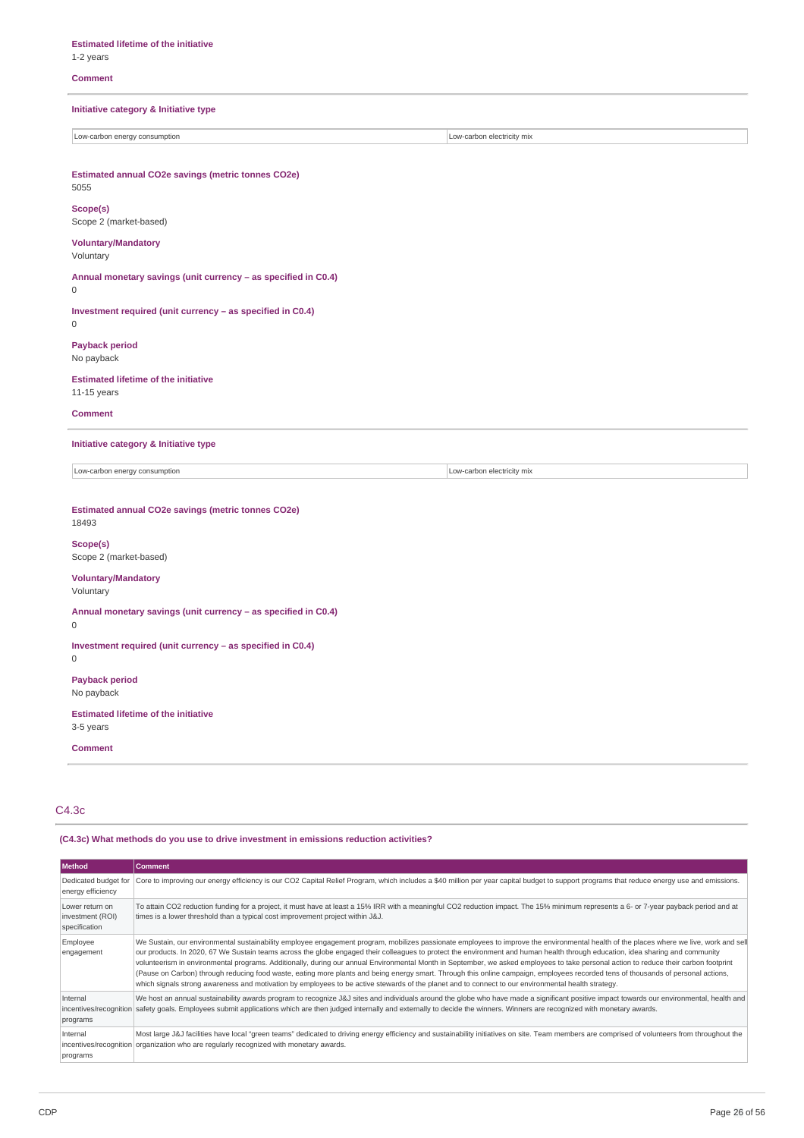**Estimated lifetime of the initiative** 1-2 years

### **Comment**

**Initiative category & Initiative type**

Low-carbon energy consumption **Low-carbon electricity** mix

**Estimated annual CO2e savings (metric tonnes CO2e)** 5055

**Scope(s)** Scope 2 (market-based)

# **Voluntary/Mandatory**

Voluntary

**Annual monetary savings (unit currency – as specified in C0.4)**  $\overline{0}$ 

**Investment required (unit currency – as specified in C0.4)**

 $\Omega$ 

**Payback period** No payback

**Estimated lifetime of the initiative** 11-15 years

#### **Comment**

**Initiative category & Initiative type**

Low-carbon energy consumption  $\Box$ 

### **Estimated annual CO2e savings (metric tonnes CO2e)**

# 18493

**Scope(s)** Scope 2 (market-based)

### **Voluntary/Mandatory**

Voluntary

**Annual monetary savings (unit currency – as specified in C0.4)**

0

**Investment required (unit currency – as specified in C0.4)** 0

**Payback period**

No payback

**Estimated lifetime of the initiative** 3-5 years

**Comment**

C4.3c

### **(C4.3c) What methods do you use to drive investment in emissions reduction activities?**

| <b>Method</b>                                        | <b>Comment</b>                                                                                                                                                                                                                                                                                                                                                                                                                                                                                                                                                                                                                                                                                                                                                                                                                                                                                                 |
|------------------------------------------------------|----------------------------------------------------------------------------------------------------------------------------------------------------------------------------------------------------------------------------------------------------------------------------------------------------------------------------------------------------------------------------------------------------------------------------------------------------------------------------------------------------------------------------------------------------------------------------------------------------------------------------------------------------------------------------------------------------------------------------------------------------------------------------------------------------------------------------------------------------------------------------------------------------------------|
| Dedicated budget for<br>energy efficiency            | Core to improving our energy efficiency is our CO2 Capital Relief Program, which includes a \$40 million per year capital budget to support programs that reduce energy use and emissions.                                                                                                                                                                                                                                                                                                                                                                                                                                                                                                                                                                                                                                                                                                                     |
| Lower return on<br>investment (ROI)<br>specification | To attain CO2 reduction funding for a project, it must have at least a 15% IRR with a meaningful CO2 reduction impact. The 15% minimum represents a 6- or 7-year payback period and at<br>times is a lower threshold than a typical cost improvement project within J&J.                                                                                                                                                                                                                                                                                                                                                                                                                                                                                                                                                                                                                                       |
| Employee<br>engagement                               | We Sustain, our environmental sustainability employee engagement program, mobilizes passionate employees to improve the environmental health of the places where we live, work and sell<br>our products. In 2020, 67 We Sustain teams across the globe engaged their colleagues to protect the environment and human health through education, idea sharing and community<br>volunteerism in environmental programs. Additionally, during our annual Environmental Month in September, we asked employees to take personal action to reduce their carbon footprint<br>(Pause on Carbon) through reducing food waste, eating more plants and being energy smart. Through this online campaign, employees recorded tens of thousands of personal actions,<br>which signals strong awareness and motivation by employees to be active stewards of the planet and to connect to our environmental health strategy. |
| Internal<br>programs                                 | We host an annual sustainability awards program to recognize J&J sites and individuals around the globe who have made a significant positive impact towards our environmental, health and<br>incentives/recognition safety goals. Employees submit applications which are then judged internally and externally to decide the winners. Winners are recognized with monetary awards.                                                                                                                                                                                                                                                                                                                                                                                                                                                                                                                            |
| Internal<br>programs                                 | Most large J&J facilities have local "green teams" dedicated to driving energy efficiency and sustainability initiatives on site. Team members are comprised of volunteers from throughout the<br>incentives/recognition organization who are regularly recognized with monetary awards.                                                                                                                                                                                                                                                                                                                                                                                                                                                                                                                                                                                                                       |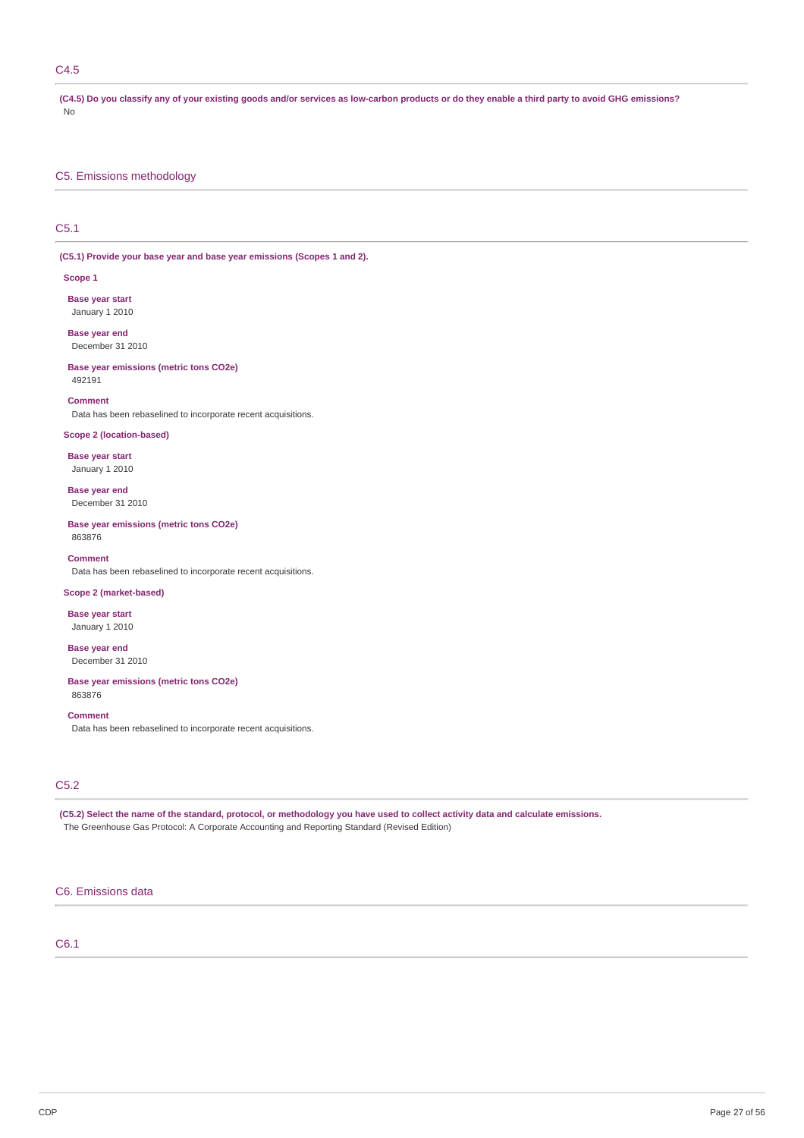### C4.5

(C4.5) Do you classify any of your existing goods and/or services as low-carbon products or do they enable a third party to avoid GHG emissions? No

### C5. Emissions methodology

### C5.1

**(C5.1) Provide your base year and base year emissions (Scopes 1 and 2).**

### **Scope 1**

**Base year start** January 1 2010

**Base year end** December 31 2010

**Base year emissions (metric tons CO2e)** 492191

#### **Comment**

Data has been rebaselined to incorporate recent acquisitions.

### **Scope 2 (location-based)**

**Base year start** January 1 2010

**Base year end** December 31 2010

**Base year emissions (metric tons CO2e)** 863876

### **Comment**

Data has been rebaselined to incorporate recent acquisitions.

### **Scope 2 (market-based)**

**Base year start** January 1 2010

**Base year end** December 31 2010

#### **Base year emissions (metric tons CO2e)** 863876

**Comment**

Data has been rebaselined to incorporate recent acquisitions.

### C5.2

(C5.2) Select the name of the standard, protocol, or methodology you have used to collect activity data and calculate emissions. The Greenhouse Gas Protocol: A Corporate Accounting and Reporting Standard (Revised Edition)

### C6. Emissions data

### C6.1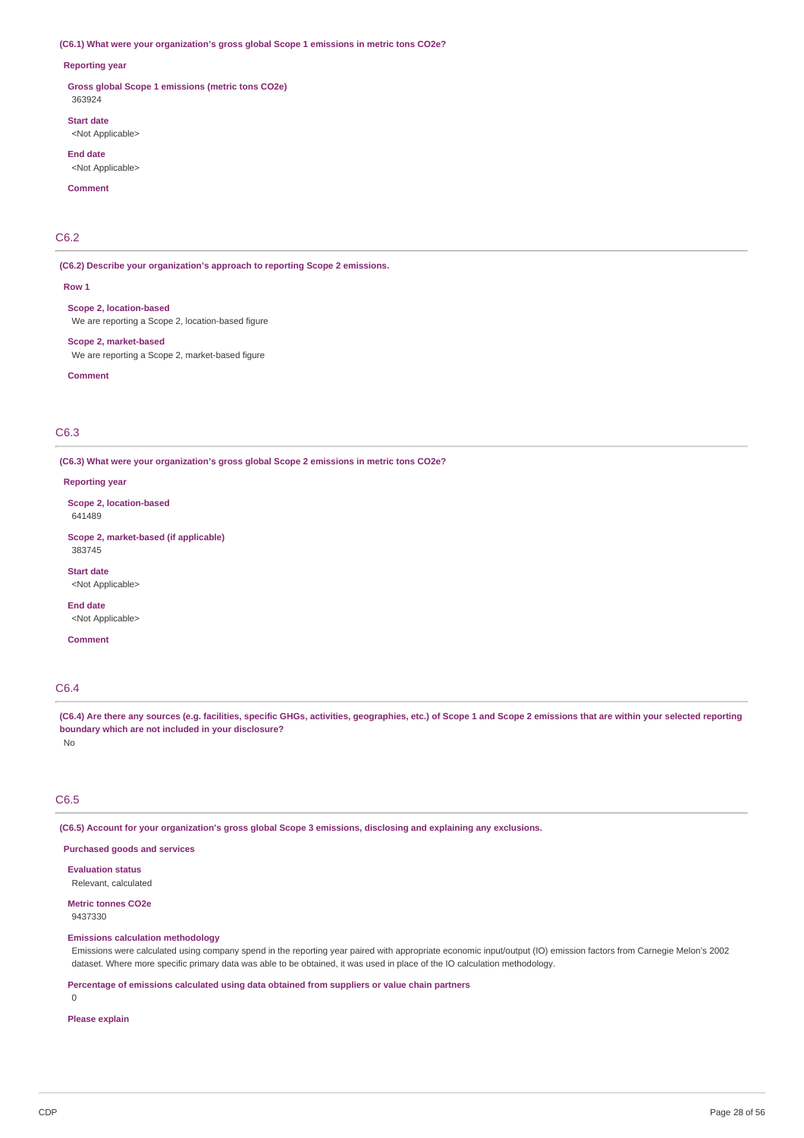#### **(C6.1) What were your organization's gross global Scope 1 emissions in metric tons CO2e?**

#### **Reporting year**

**Gross global Scope 1 emissions (metric tons CO2e)** 363924

**Start date** <Not Applicable>

**End date** <Not Applicable>

**Comment**

### C6.2

**(C6.2) Describe your organization's approach to reporting Scope 2 emissions.**

**Row 1**

**Scope 2, location-based** We are reporting a Scope 2, location-based figure

**Scope 2, market-based** We are reporting a Scope 2, market-based figure

**Comment**

### C6.3

**(C6.3) What were your organization's gross global Scope 2 emissions in metric tons CO2e?**

**Reporting year**

**Scope 2, location-based** 641489

**Scope 2, market-based (if applicable)** 383745

**Start date** <Not Applicable>

**End date** <Not Applicable>

**Comment**

### C6.4

(C6.4) Are there any sources (e.g. facilities, specific GHGs, activities, geographies, etc.) of Scope 1 and Scope 2 emissions that are within your selected reporting **boundary which are not included in your disclosure?**

No

### C6.5

**(C6.5) Account for your organization's gross global Scope 3 emissions, disclosing and explaining any exclusions.**

**Purchased goods and services**

**Evaluation status** Relevant, calculated

**Metric tonnes CO2e** 9437330

### **Emissions calculation methodology**

Emissions were calculated using company spend in the reporting year paired with appropriate economic input/output (IO) emission factors from Carnegie Melon's 2002 dataset. Where more specific primary data was able to be obtained, it was used in place of the IO calculation methodology.

**Percentage of emissions calculated using data obtained from suppliers or value chain partners**

0

### **Please explain**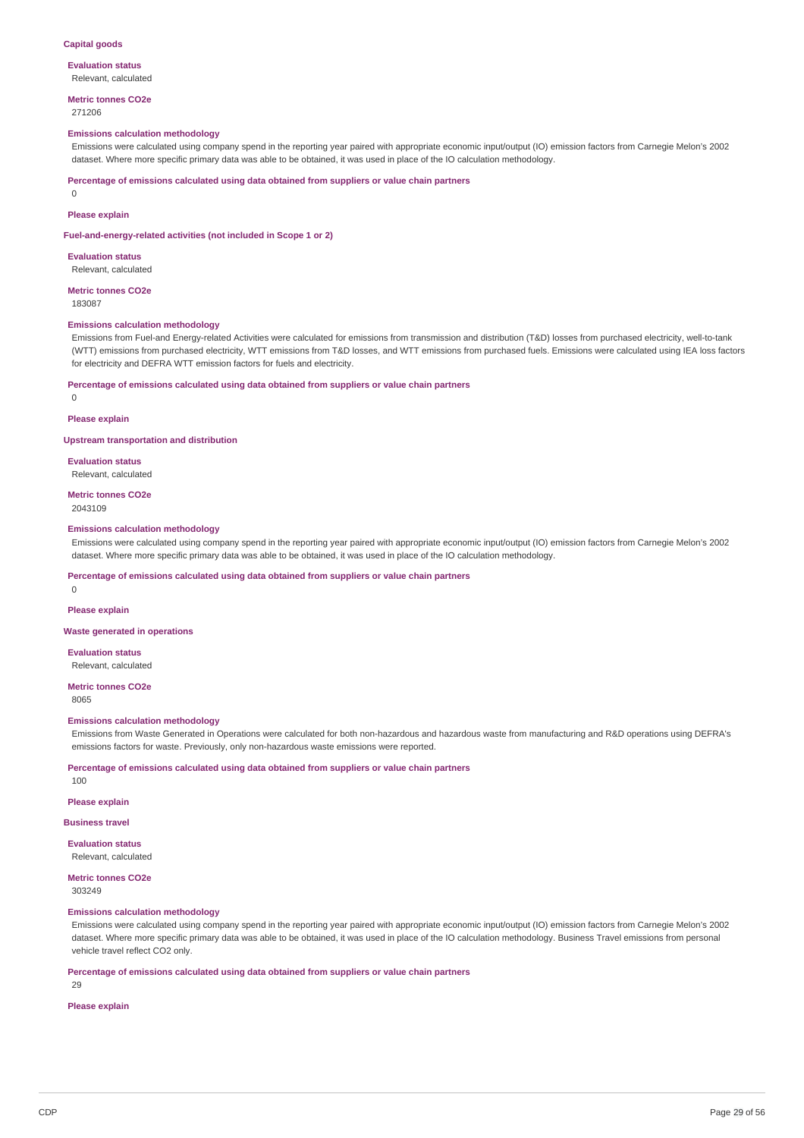#### **Capital goods**

#### **Evaluation status** Relevant, calculated

**Metric tonnes CO2e**

271206

#### **Emissions calculation methodology**

Emissions were calculated using company spend in the reporting year paired with appropriate economic input/output (IO) emission factors from Carnegie Melon's 2002 dataset. Where more specific primary data was able to be obtained, it was used in place of the IO calculation methodology.

**Percentage of emissions calculated using data obtained from suppliers or value chain partners**

0

### **Please explain**

**Fuel-and-energy-related activities (not included in Scope 1 or 2)**

**Evaluation status** Relevant, calculated

**Metric tonnes CO2e** 183087

# **Emissions calculation methodology**

Emissions from Fuel-and Energy-related Activities were calculated for emissions from transmission and distribution (T&D) losses from purchased electricity, well-to-tank (WTT) emissions from purchased electricity, WTT emissions from T&D losses, and WTT emissions from purchased fuels. Emissions were calculated using IEA loss factors for electricity and DEFRA WTT emission factors for fuels and electricity.

#### **Percentage of emissions calculated using data obtained from suppliers or value chain partners**

 $\theta$ 

### **Please explain**

**Upstream transportation and distribution**

**Evaluation status** Relevant, calculated

**Metric tonnes CO2e** 2043109

### **Emissions calculation methodology**

Emissions were calculated using company spend in the reporting year paired with appropriate economic input/output (IO) emission factors from Carnegie Melon's 2002 dataset. Where more specific primary data was able to be obtained, it was used in place of the IO calculation methodology.

**Percentage of emissions calculated using data obtained from suppliers or value chain partners**

### **Please explain**

**Waste generated in operations**

**Evaluation status** Relevant, calculated

**Metric tonnes CO2e**

8065

100

 $\Omega$ 

#### **Emissions calculation methodology**

Emissions from Waste Generated in Operations were calculated for both non-hazardous and hazardous waste from manufacturing and R&D operations using DEFRA's emissions factors for waste. Previously, only non-hazardous waste emissions were reported.

**Percentage of emissions calculated using data obtained from suppliers or value chain partners**

**Please explain**

#### **Business travel**

**Evaluation status** Relevant, calculated

### **Metric tonnes CO2e**

303249

### **Emissions calculation methodology**

Emissions were calculated using company spend in the reporting year paired with appropriate economic input/output (IO) emission factors from Carnegie Melon's 2002 dataset. Where more specific primary data was able to be obtained, it was used in place of the IO calculation methodology. Business Travel emissions from personal vehicle travel reflect CO2 only.

**Percentage of emissions calculated using data obtained from suppliers or value chain partners**

 $29$ 

### **Please explain**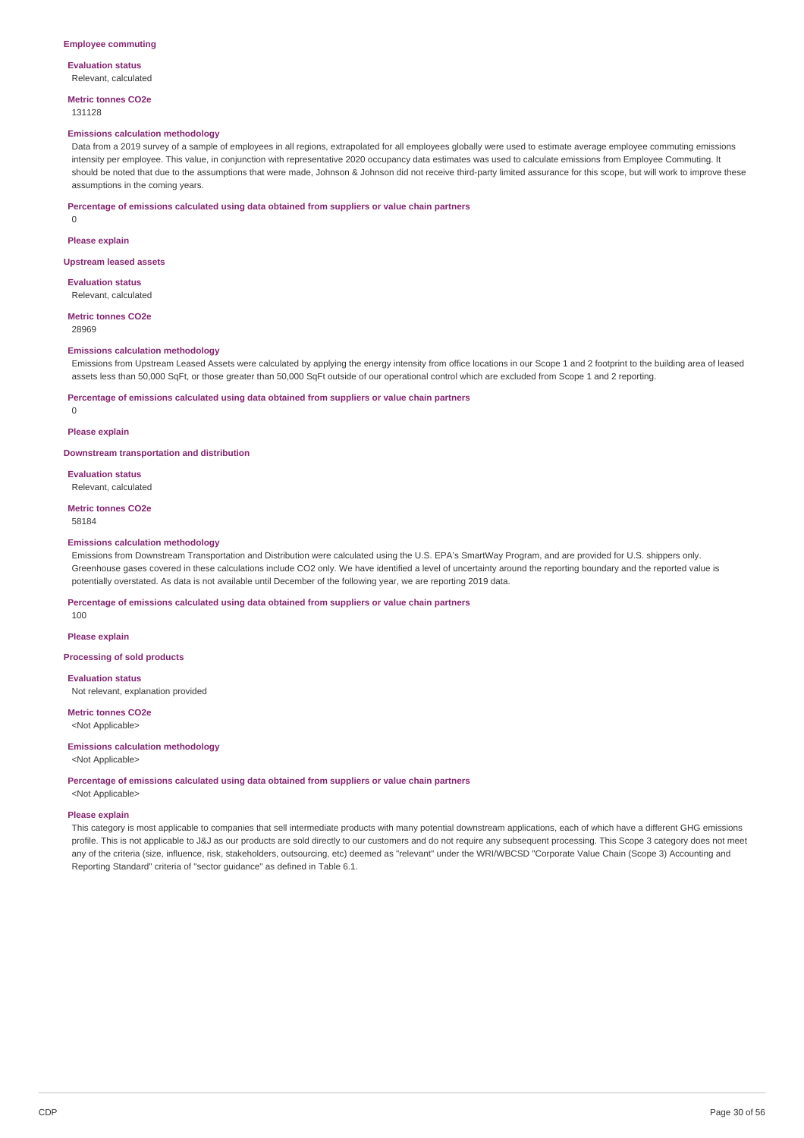#### **Evaluation status** Relevant, calculated

**Metric tonnes CO2e**

### 131128

### **Emissions calculation methodology**

Data from a 2019 survey of a sample of employees in all regions, extrapolated for all employees globally were used to estimate average employee commuting emissions intensity per employee. This value, in conjunction with representative 2020 occupancy data estimates was used to calculate emissions from Employee Commuting. It should be noted that due to the assumptions that were made, Johnson & Johnson did not receive third-party limited assurance for this scope, but will work to improve these assumptions in the coming years.

#### **Percentage of emissions calculated using data obtained from suppliers or value chain partners**

0

#### **Please explain**

#### **Upstream leased assets**

**Evaluation status** Relevant, calculated

#### **Metric tonnes CO2e**

28969

#### **Emissions calculation methodology**

Emissions from Upstream Leased Assets were calculated by applying the energy intensity from office locations in our Scope 1 and 2 footprint to the building area of leased assets less than 50,000 SqFt, or those greater than 50,000 SqFt outside of our operational control which are excluded from Scope 1 and 2 reporting.

#### **Percentage of emissions calculated using data obtained from suppliers or value chain partners**

 $\Omega$ 

#### **Please explain**

**Downstream transportation and distribution**

### **Evaluation status**

Relevant, calculated

## **Metric tonnes CO2e**

58184

#### **Emissions calculation methodology**

Emissions from Downstream Transportation and Distribution were calculated using the U.S. EPA's SmartWay Program, and are provided for U.S. shippers only. Greenhouse gases covered in these calculations include CO2 only. We have identified a level of uncertainty around the reporting boundary and the reported value is potentially overstated. As data is not available until December of the following year, we are reporting 2019 data.

#### **Percentage of emissions calculated using data obtained from suppliers or value chain partners**

100

**Please explain**

### **Processing of sold products**

**Evaluation status**

Not relevant, explanation provided

**Metric tonnes CO2e** <Not Applicable>

### **Emissions calculation methodology**

<Not Applicable>

### **Percentage of emissions calculated using data obtained from suppliers or value chain partners**

<Not Applicable>

#### **Please explain**

This category is most applicable to companies that sell intermediate products with many potential downstream applications, each of which have a different GHG emissions profile. This is not applicable to J&J as our products are sold directly to our customers and do not require any subsequent processing. This Scope 3 category does not meet any of the criteria (size, influence, risk, stakeholders, outsourcing, etc) deemed as "relevant" under the WRI/WBCSD "Corporate Value Chain (Scope 3) Accounting and Reporting Standard" criteria of "sector guidance" as defined in Table 6.1.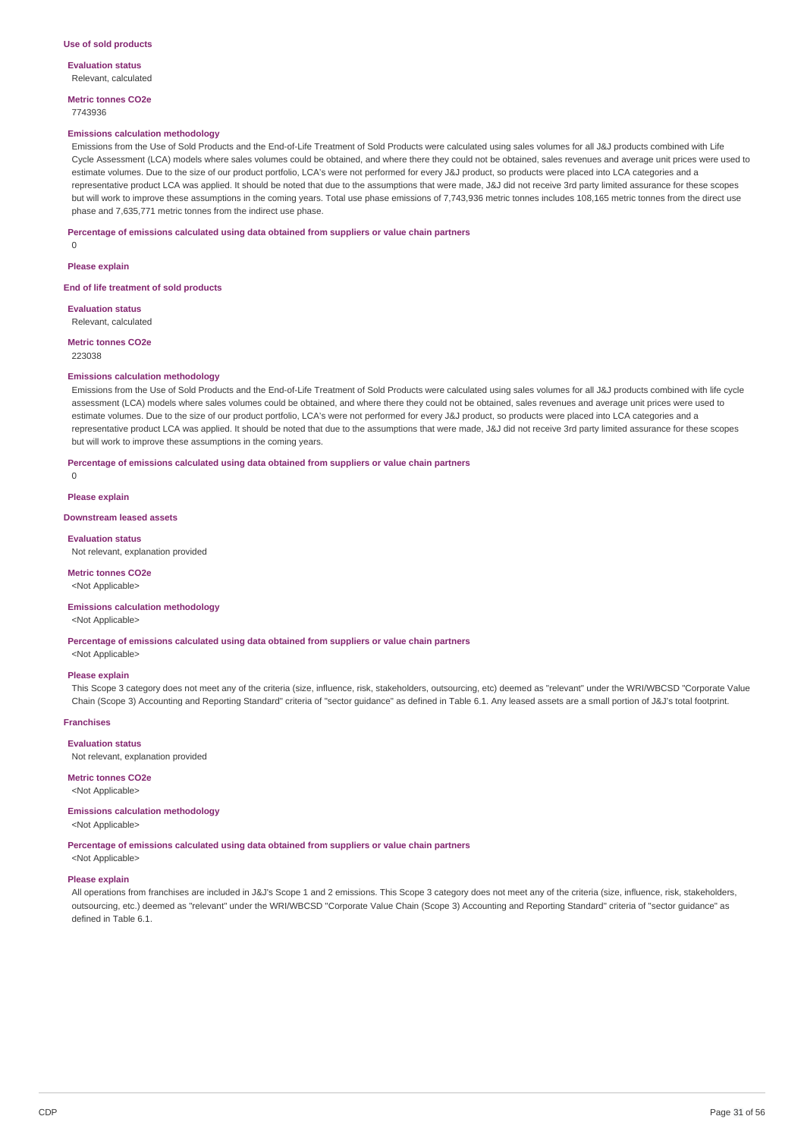**Evaluation status** Relevant, calculated

**Metric tonnes CO2e**

### 7743936

#### **Emissions calculation methodology**

Emissions from the Use of Sold Products and the End-of-Life Treatment of Sold Products were calculated using sales volumes for all J&J products combined with Life Cycle Assessment (LCA) models where sales volumes could be obtained, and where there they could not be obtained, sales revenues and average unit prices were used to estimate volumes. Due to the size of our product portfolio, LCA's were not performed for every J&J product, so products were placed into LCA categories and a representative product LCA was applied. It should be noted that due to the assumptions that were made, J&J did not receive 3rd party limited assurance for these scopes but will work to improve these assumptions in the coming years. Total use phase emissions of 7,743,936 metric tonnes includes 108,165 metric tonnes from the direct use phase and 7,635,771 metric tonnes from the indirect use phase.

#### **Percentage of emissions calculated using data obtained from suppliers or value chain partners**

 $\Omega$ **Please explain**

**End of life treatment of sold products**

**Evaluation status** Relevant, calculated

**Metric tonnes CO2e**

223038

#### **Emissions calculation methodology**

Emissions from the Use of Sold Products and the End-of-Life Treatment of Sold Products were calculated using sales volumes for all J&J products combined with life cycle assessment (LCA) models where sales volumes could be obtained, and where there they could not be obtained, sales revenues and average unit prices were used to estimate volumes. Due to the size of our product portfolio, LCA's were not performed for every J&J product, so products were placed into LCA categories and a representative product LCA was applied. It should be noted that due to the assumptions that were made, J&J did not receive 3rd party limited assurance for these scopes but will work to improve these assumptions in the coming years.

#### **Percentage of emissions calculated using data obtained from suppliers or value chain partners**

**Please explain**

 $\Omega$ 

### **Downstream leased assets**

#### **Evaluation status**

Not relevant, explanation provided

### **Metric tonnes CO2e**

<Not Applicable>

### **Emissions calculation methodology**

<Not Applicable>

**Percentage of emissions calculated using data obtained from suppliers or value chain partners**

<Not Applicable>

#### **Please explain**

This Scope 3 category does not meet any of the criteria (size, influence, risk, stakeholders, outsourcing, etc) deemed as "relevant" under the WRI/WBCSD "Corporate Value Chain (Scope 3) Accounting and Reporting Standard" criteria of "sector guidance" as defined in Table 6.1. Any leased assets are a small portion of J&J's total footprint.

#### **Franchises**

**Evaluation status**

Not relevant, explanation provided

### **Metric tonnes CO2e**

<Not Applicable>

### **Emissions calculation methodology**

<Not Applicable>

**Percentage of emissions calculated using data obtained from suppliers or value chain partners**

<Not Applicable>

#### **Please explain**

All operations from franchises are included in J&J's Scope 1 and 2 emissions. This Scope 3 category does not meet any of the criteria (size, influence, risk, stakeholders, outsourcing, etc.) deemed as "relevant" under the WRI/WBCSD "Corporate Value Chain (Scope 3) Accounting and Reporting Standard" criteria of "sector guidance" as defined in Table 6.1.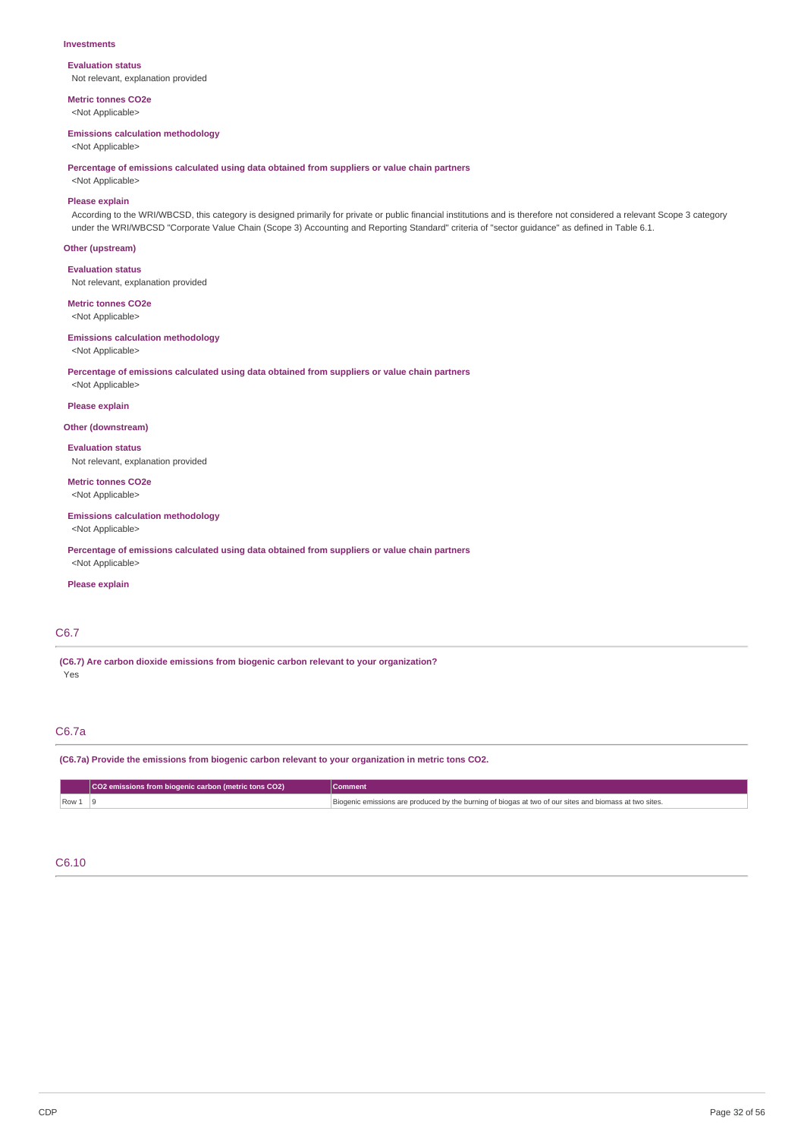#### **Investments**

**Evaluation status** Not relevant, explanation provided

**Metric tonnes CO2e** <Not Applicable>

#### **Emissions calculation methodology**

<Not Applicable>

**Percentage of emissions calculated using data obtained from suppliers or value chain partners**

<Not Applicable>

### **Please explain**

According to the WRI/WBCSD, this category is designed primarily for private or public financial institutions and is therefore not considered a relevant Scope 3 category under the WRI/WBCSD "Corporate Value Chain (Scope 3) Accounting and Reporting Standard" criteria of "sector guidance" as defined in Table 6.1.

### **Other (upstream)**

**Evaluation status**

Not relevant, explanation provided

**Metric tonnes CO2e**

<Not Applicable>

### **Emissions calculation methodology**

<Not Applicable>

**Percentage of emissions calculated using data obtained from suppliers or value chain partners** <Not Applicable>

**Please explain**

#### **Other (downstream)**

**Evaluation status** Not relevant, explanation provided

**Metric tonnes CO2e** <Not Applicable>

#### **Emissions calculation methodology**

<Not Applicable>

**Percentage of emissions calculated using data obtained from suppliers or value chain partners** <Not Applicable>

### **Please explain**

### C6.7

**(C6.7) Are carbon dioxide emissions from biogenic carbon relevant to your organization?** Yes

### C6.7a

**(C6.7a) Provide the emissions from biogenic carbon relevant to your organization in metric tons CO2.**

|       | CO2 emissions from biogenic carbon (metric tons CO2) | <b>Comment</b>                                                                                         |
|-------|------------------------------------------------------|--------------------------------------------------------------------------------------------------------|
| Row 1 |                                                      | Biogenic emissions are produced by the burning of biogas at two of our sites and biomass at two sites. |

### C6.10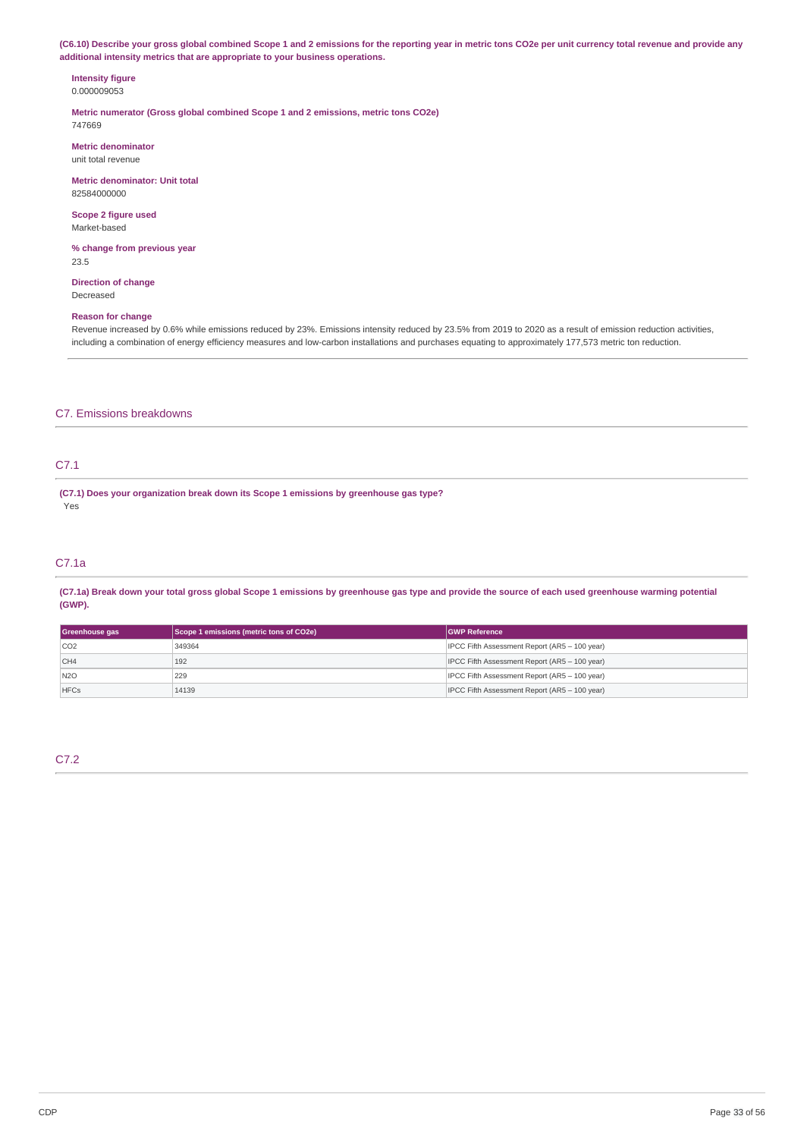(C6.10) Describe your gross global combined Scope 1 and 2 emissions for the reporting year in metric tons CO2e per unit currency total revenue and provide any **additional intensity metrics that are appropriate to your business operations.**

#### **Intensity figure** 0.000009053

**Metric numerator (Gross global combined Scope 1 and 2 emissions, metric tons CO2e)** 747669

**Metric denominator** unit total revenue

**Metric denominator: Unit total** 82584000000

**Scope 2 figure used** Market-based

**% change from previous year** 23.5

**Direction of change** Decreased

### **Reason for change**

Revenue increased by 0.6% while emissions reduced by 23%. Emissions intensity reduced by 23.5% from 2019 to 2020 as a result of emission reduction activities, including a combination of energy efficiency measures and low-carbon installations and purchases equating to approximately 177,573 metric ton reduction.

### C7. Emissions breakdowns

### C7.1

**(C7.1) Does your organization break down its Scope 1 emissions by greenhouse gas type?** Yes

### C7.1a

(C7.1a) Break down your total gross global Scope 1 emissions by greenhouse gas type and provide the source of each used greenhouse warming potential **(GWP).**

| Greenhouse gas | Scope 1 emissions (metric tons of CO2e) | <b>GWP Reference</b>                          |
|----------------|-----------------------------------------|-----------------------------------------------|
| CO2            | 349364                                  | IPCC Fifth Assessment Report (AR5 - 100 year) |
| CH4            | 192                                     | IPCC Fifth Assessment Report (AR5 - 100 year) |
| N2O            | 229                                     | IPCC Fifth Assessment Report (AR5 - 100 year) |
| <b>HFCs</b>    | 14139                                   | IPCC Fifth Assessment Report (AR5 - 100 year) |

### C7.2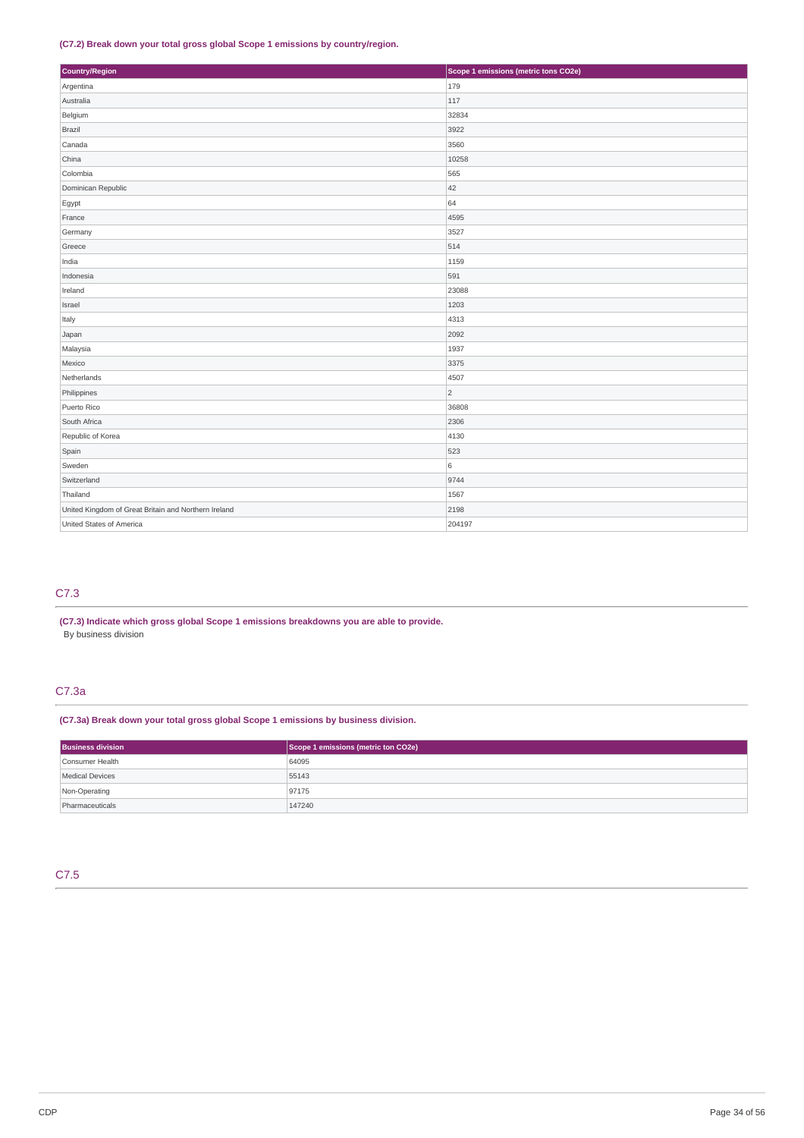### **(C7.2) Break down your total gross global Scope 1 emissions by country/region.**

| Country/Region                                       | Scope 1 emissions (metric tons CO2e) |
|------------------------------------------------------|--------------------------------------|
| Argentina                                            | 179                                  |
| Australia                                            | 117                                  |
| Belgium                                              | 32834                                |
| Brazil                                               | 3922                                 |
| Canada                                               | 3560                                 |
| China                                                | 10258                                |
| Colombia                                             | 565                                  |
| Dominican Republic                                   | 42                                   |
| Egypt                                                | 64                                   |
| France                                               | 4595                                 |
| Germany                                              | 3527                                 |
| Greece                                               | 514                                  |
| India                                                | 1159                                 |
| Indonesia                                            | 591                                  |
| Ireland                                              | 23088                                |
| Israel                                               | 1203                                 |
| Italy                                                | 4313                                 |
| Japan                                                | 2092                                 |
| Malaysia                                             | 1937                                 |
| Mexico                                               | 3375                                 |
| Netherlands                                          | 4507                                 |
| Philippines                                          | $\overline{2}$                       |
| Puerto Rico                                          | 36808                                |
| South Africa                                         | 2306                                 |
| Republic of Korea                                    | 4130                                 |
| Spain                                                | 523                                  |
| Sweden                                               | 6                                    |
| Switzerland                                          | 9744                                 |
| Thailand                                             | 1567                                 |
| United Kingdom of Great Britain and Northern Ireland | 2198                                 |
| United States of America                             | 204197                               |

### C7.3

**(C7.3) Indicate which gross global Scope 1 emissions breakdowns you are able to provide.** By business division

### C7.3a

**(C7.3a) Break down your total gross global Scope 1 emissions by business division.**

| <b>Business division</b> | Scope 1 emissions (metric ton CO2e) |
|--------------------------|-------------------------------------|
| Consumer Health          | 64095                               |
| <b>Medical Devices</b>   | 55143                               |
| Non-Operating            | 97175                               |
| Pharmaceuticals          | 147240                              |

### C7.5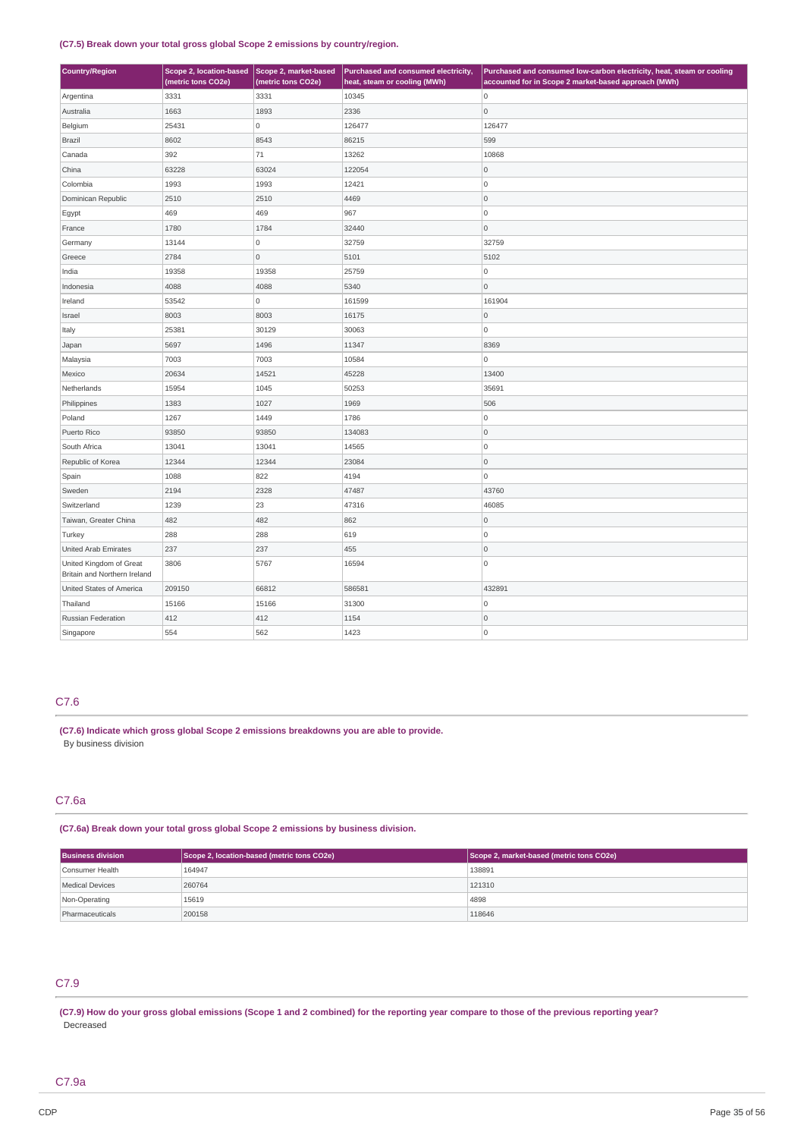### **(C7.5) Break down your total gross global Scope 2 emissions by country/region.**

| <b>Country/Region</b>                                   | Scope 2, location-based<br>(metric tons CO2e) | Scope 2, market-based<br>(metric tons CO2e) | Purchased and consumed electricity,<br>heat, steam or cooling (MWh) | Purchased and consumed low-carbon electricity, heat, steam or cooling<br>accounted for in Scope 2 market-based approach (MWh) |
|---------------------------------------------------------|-----------------------------------------------|---------------------------------------------|---------------------------------------------------------------------|-------------------------------------------------------------------------------------------------------------------------------|
| Argentina                                               | 3331                                          | 3331                                        | 10345                                                               | 0                                                                                                                             |
| Australia                                               | 1663                                          | 1893                                        | 2336                                                                | 0                                                                                                                             |
| Belgium                                                 | 25431                                         | 0                                           | 126477                                                              | 126477                                                                                                                        |
| Brazil                                                  | 8602                                          | 8543                                        | 86215                                                               | 599                                                                                                                           |
| Canada                                                  | 392                                           | 71                                          | 13262                                                               | 10868                                                                                                                         |
| China                                                   | 63228                                         | 63024                                       | 122054                                                              | $\overline{0}$                                                                                                                |
| Colombia                                                | 1993                                          | 1993                                        | 12421                                                               | O                                                                                                                             |
| Dominican Republic                                      | 2510                                          | 2510                                        | 4469                                                                | 0                                                                                                                             |
| Egypt                                                   | 469                                           | 469                                         | 967                                                                 | O                                                                                                                             |
| France                                                  | 1780                                          | 1784                                        | 32440                                                               | $\overline{0}$                                                                                                                |
| Germany                                                 | 13144                                         | 0                                           | 32759                                                               | 32759                                                                                                                         |
| Greece                                                  | 2784                                          | $\circ$                                     | 5101                                                                | 5102                                                                                                                          |
| India                                                   | 19358                                         | 19358                                       | 25759                                                               | 0                                                                                                                             |
| Indonesia                                               | 4088                                          | 4088                                        | 5340                                                                | 0                                                                                                                             |
| Ireland                                                 | 53542                                         | 0                                           | 161599                                                              | 161904                                                                                                                        |
| Israel                                                  | 8003                                          | 8003                                        | 16175                                                               | 0                                                                                                                             |
| Italy                                                   | 25381                                         | 30129                                       | 30063                                                               | $\overline{0}$                                                                                                                |
| Japan                                                   | 5697                                          | 1496                                        | 11347                                                               | 8369                                                                                                                          |
| Malaysia                                                | 7003                                          | 7003                                        | 10584                                                               | 0                                                                                                                             |
| Mexico                                                  | 20634                                         | 14521                                       | 45228                                                               | 13400                                                                                                                         |
| Netherlands                                             | 15954                                         | 1045                                        | 50253                                                               | 35691                                                                                                                         |
| Philippines                                             | 1383                                          | 1027                                        | 1969                                                                | 506                                                                                                                           |
| Poland                                                  | 1267                                          | 1449                                        | 1786                                                                | 0                                                                                                                             |
| Puerto Rico                                             | 93850                                         | 93850                                       | 134083                                                              | $\overline{0}$                                                                                                                |
| South Africa                                            | 13041                                         | 13041                                       | 14565                                                               | O                                                                                                                             |
| Republic of Korea                                       | 12344                                         | 12344                                       | 23084                                                               | $\overline{0}$                                                                                                                |
| Spain                                                   | 1088                                          | 822                                         | 4194                                                                | 0                                                                                                                             |
| Sweden                                                  | 2194                                          | 2328                                        | 47487                                                               | 43760                                                                                                                         |
| Switzerland                                             | 1239                                          | 23                                          | 47316                                                               | 46085                                                                                                                         |
| Taiwan, Greater China                                   | 482                                           | 482                                         | 862                                                                 | 0                                                                                                                             |
| Turkey                                                  | 288                                           | 288                                         | 619                                                                 | O                                                                                                                             |
| United Arab Emirates                                    | 237                                           | 237                                         | 455                                                                 | 0                                                                                                                             |
| United Kingdom of Great<br>Britain and Northern Ireland | 3806                                          | 5767                                        | 16594                                                               | $\overline{0}$                                                                                                                |
| United States of America                                | 209150                                        | 66812                                       | 586581                                                              | 432891                                                                                                                        |
| Thailand                                                | 15166                                         | 15166                                       | 31300                                                               | 0                                                                                                                             |
| Russian Federation                                      | 412                                           | 412                                         | 1154                                                                | $\overline{0}$                                                                                                                |
| Singapore                                               | 554                                           | 562                                         | 1423                                                                | $\overline{0}$                                                                                                                |

### C7.6

**(C7.6) Indicate which gross global Scope 2 emissions breakdowns you are able to provide.** By business division

### C7.6a

**(C7.6a) Break down your total gross global Scope 2 emissions by business division.**

| <b>Business division</b> | Scope 2, location-based (metric tons CO2e) | Scope 2, market-based (metric tons CO2e) |
|--------------------------|--------------------------------------------|------------------------------------------|
| Consumer Health          | 164947                                     | 138891                                   |
| Medical Devices          | 260764                                     | 121310                                   |
| Non-Operating            | 15619                                      | 4898                                     |
| Pharmaceuticals          | 200158                                     | 118646                                   |

### C7.9

(C7.9) How do your gross global emissions (Scope 1 and 2 combined) for the reporting year compare to those of the previous reporting year? Decreased

### C7.9a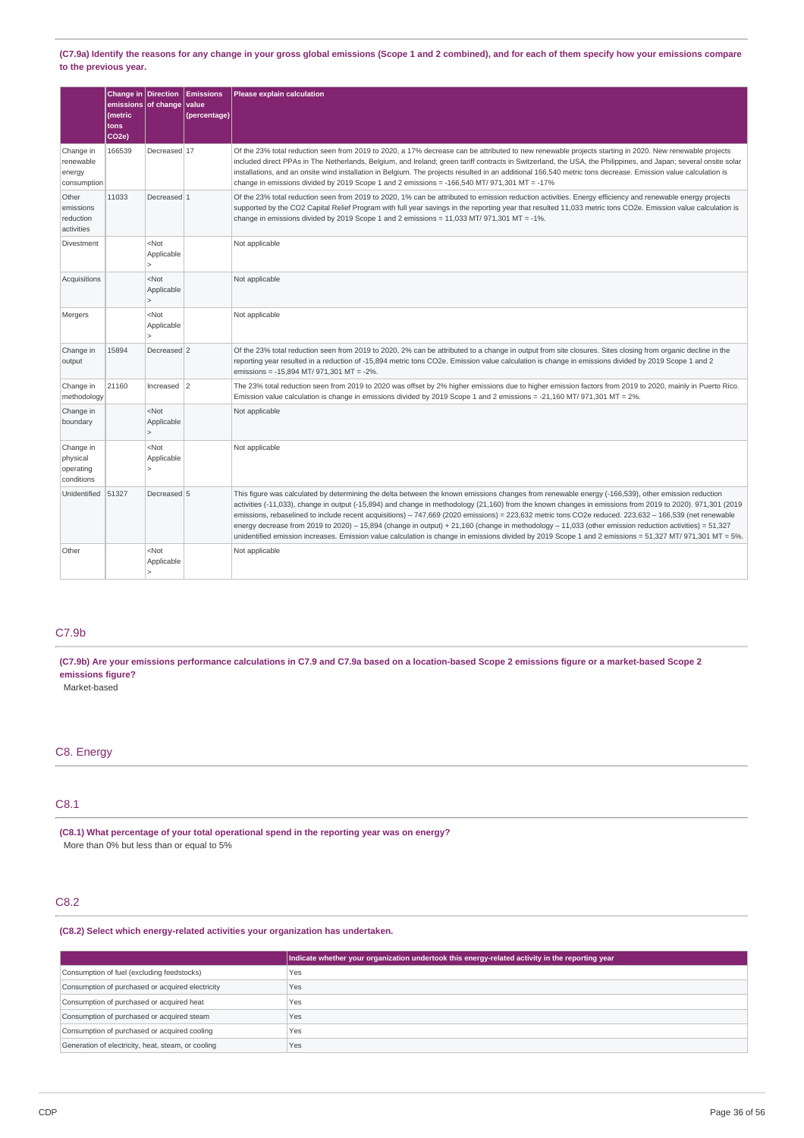(C7.9a) Identify the reasons for any change in your gross global emissions (Scope 1 and 2 combined), and for each of them specify how your emissions compare **to the previous year.**

|                                                  | Change in Direction<br>(metric<br>tons<br>CO <sub>2e</sub> ) | emissions of change value                         | Emissions<br>(percentage) | Please explain calculation                                                                                                                                                                                                                                                                                                                                                                                                                                                                                                                                                                                                                                                                                                                                                                      |
|--------------------------------------------------|--------------------------------------------------------------|---------------------------------------------------|---------------------------|-------------------------------------------------------------------------------------------------------------------------------------------------------------------------------------------------------------------------------------------------------------------------------------------------------------------------------------------------------------------------------------------------------------------------------------------------------------------------------------------------------------------------------------------------------------------------------------------------------------------------------------------------------------------------------------------------------------------------------------------------------------------------------------------------|
| Change in<br>renewable<br>energy<br>consumption  | 166539                                                       | Decreased 17                                      |                           | Of the 23% total reduction seen from 2019 to 2020, a 17% decrease can be attributed to new renewable projects starting in 2020. New renewable projects<br>included direct PPAs in The Netherlands, Belgium, and Ireland; green tariff contracts in Switzerland, the USA, the Philippines, and Japan; several onsite solar<br>installations, and an onsite wind installation in Belgium. The projects resulted in an additional 166,540 metric tons decrease. Emission value calculation is<br>change in emissions divided by 2019 Scope 1 and 2 emissions = $-166,540$ MT/ 971,301 MT = $-17\%$                                                                                                                                                                                                 |
| Other<br>emissions<br>reduction<br>activities    | 11033                                                        | Decreased 1                                       |                           | Of the 23% total reduction seen from 2019 to 2020, 1% can be attributed to emission reduction activities. Energy efficiency and renewable energy projects<br>supported by the CO2 Capital Relief Program with full year savings in the reporting year that resulted 11,033 metric tons CO2e. Emission value calculation is<br>change in emissions divided by 2019 Scope 1 and 2 emissions = $11,033$ MT/ 971,301 MT = -1%.                                                                                                                                                                                                                                                                                                                                                                      |
| Divestment                                       |                                                              | $<$ Not<br>Applicable                             |                           | Not applicable                                                                                                                                                                                                                                                                                                                                                                                                                                                                                                                                                                                                                                                                                                                                                                                  |
| Acquisitions                                     |                                                              | $<$ Not<br>Applicable<br>$\mathbf{r}$             |                           | Not applicable                                                                                                                                                                                                                                                                                                                                                                                                                                                                                                                                                                                                                                                                                                                                                                                  |
| Mergers                                          |                                                              | $<$ Not<br>Applicable<br>$\overline{\phantom{a}}$ |                           | Not applicable                                                                                                                                                                                                                                                                                                                                                                                                                                                                                                                                                                                                                                                                                                                                                                                  |
| Change in<br>output                              | 15894                                                        | Decreased 2                                       |                           | Of the 23% total reduction seen from 2019 to 2020, 2% can be attributed to a change in output from site closures. Sites closing from organic decline in the<br>reporting year resulted in a reduction of -15,894 metric tons CO2e. Emission value calculation is change in emissions divided by 2019 Scope 1 and 2<br>emissions = -15,894 MT/ 971,301 MT = -2%.                                                                                                                                                                                                                                                                                                                                                                                                                                 |
| Change in<br>methodology                         | 21160                                                        | $Increase \mid 2$                                 |                           | The 23% total reduction seen from 2019 to 2020 was offset by 2% higher emissions due to higher emission factors from 2019 to 2020, mainly in Puerto Rico.<br>Emission value calculation is change in emissions divided by 2019 Scope 1 and 2 emissions = -21,160 MT/ 971,301 MT = 2%.                                                                                                                                                                                                                                                                                                                                                                                                                                                                                                           |
| Change in<br>boundary                            |                                                              | $<$ Not<br>Applicable<br>$\overline{ }$           |                           | Not applicable                                                                                                                                                                                                                                                                                                                                                                                                                                                                                                                                                                                                                                                                                                                                                                                  |
| Change in<br>physical<br>operating<br>conditions |                                                              | $<$ Not<br>Applicable<br>$\geq$                   |                           | Not applicable                                                                                                                                                                                                                                                                                                                                                                                                                                                                                                                                                                                                                                                                                                                                                                                  |
| Unidentified                                     | 51327                                                        | Decreased 5                                       |                           | This figure was calculated by determining the delta between the known emissions changes from renewable energy (-166,539), other emission reduction<br>activities (-11,033), change in output (-15,894) and change in methodology (21,160) from the known changes in emissions from 2019 to 2020). 971,301 (2019<br>emissions, rebaselined to include recent acquisitions) - 747,669 (2020 emissions) = 223,632 metric tons CO2e reduced. 223,632 - 166,539 (net renewable<br>energy decrease from 2019 to 2020) - 15,894 (change in output) + 21,160 (change in methodology - 11,033 (other emission reduction activities) = 51,327<br>unidentified emission increases. Emission value calculation is change in emissions divided by 2019 Scope 1 and 2 emissions = 51,327 MT/ 971,301 MT = 5%. |
| Other                                            |                                                              | $<$ Not<br>Applicable<br>$\geq$                   |                           | Not applicable                                                                                                                                                                                                                                                                                                                                                                                                                                                                                                                                                                                                                                                                                                                                                                                  |

### C7.9b

(C7.9b) Are your emissions performance calculations in C7.9 and C7.9a based on a location-based Scope 2 emissions figure or a market-based Scope 2 **emissions figure?**

Market-based

## C8. Energy

### C8.1

**(C8.1) What percentage of your total operational spend in the reporting year was on energy?** More than 0% but less than or equal to 5%

### C8.2

**(C8.2) Select which energy-related activities your organization has undertaken.**

|                                                    | Indicate whether your organization undertook this energy-related activity in the reporting year |
|----------------------------------------------------|-------------------------------------------------------------------------------------------------|
| Consumption of fuel (excluding feedstocks)         | Yes                                                                                             |
| Consumption of purchased or acquired electricity   | Yes                                                                                             |
| Consumption of purchased or acquired heat          | Yes                                                                                             |
| Consumption of purchased or acquired steam         | Yes                                                                                             |
| Consumption of purchased or acquired cooling       | Yes                                                                                             |
| Generation of electricity, heat, steam, or cooling | Yes                                                                                             |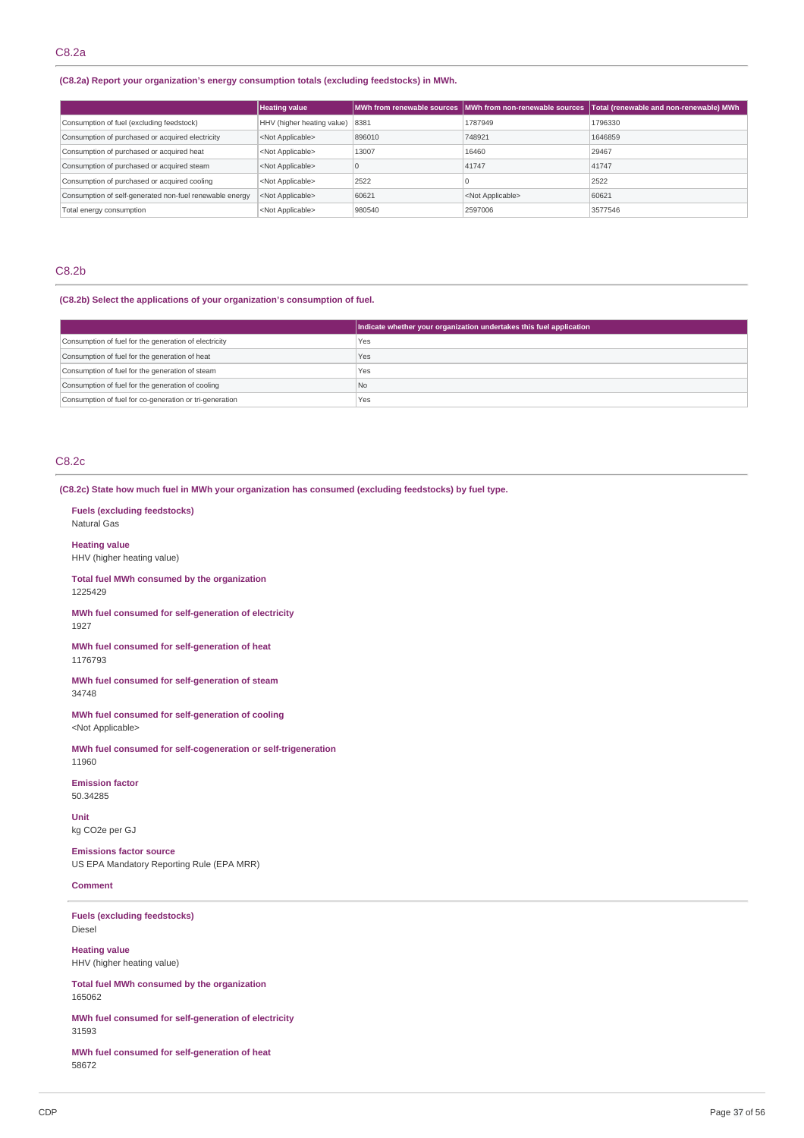### **(C8.2a) Report your organization's energy consumption totals (excluding feedstocks) in MWh.**

|                                                         | <b>Heating value</b>            |             |                           | MWh from renewable sources MWh from non-renewable sources Total (renewable and non-renewable) MWh |
|---------------------------------------------------------|---------------------------------|-------------|---------------------------|---------------------------------------------------------------------------------------------------|
| Consumption of fuel (excluding feedstock)               | HHV (higher heating value) 8381 |             | 1787949                   | 1796330                                                                                           |
| Consumption of purchased or acquired electricity        | <not applicable=""></not>       | 896010      | 748921                    | 1646859                                                                                           |
| Consumption of purchased or acquired heat               | <not applicable=""></not>       | 13007       | 16460                     | 29467                                                                                             |
| Consumption of purchased or acquired steam              | <not applicable=""></not>       | $\mathbf 0$ | 41747                     | 41747                                                                                             |
| Consumption of purchased or acquired cooling            | <not applicable=""></not>       | 2522        |                           | 2522                                                                                              |
| Consumption of self-generated non-fuel renewable energy | <not applicable=""></not>       | 60621       | <not applicable=""></not> | 60621                                                                                             |
| Total energy consumption                                | <not applicable=""></not>       | 980540      | 2597006                   | 3577546                                                                                           |

### C8.2b

### **(C8.2b) Select the applications of your organization's consumption of fuel.**

|                                                         | Indicate whether your organization undertakes this fuel application |
|---------------------------------------------------------|---------------------------------------------------------------------|
| Consumption of fuel for the generation of electricity   | Yes                                                                 |
| Consumption of fuel for the generation of heat          | Yes                                                                 |
| Consumption of fuel for the generation of steam         | Yes                                                                 |
| Consumption of fuel for the generation of cooling       | No.                                                                 |
| Consumption of fuel for co-generation or tri-generation | Yes                                                                 |

### C8.2c

#### **(C8.2c) State how much fuel in MWh your organization has consumed (excluding feedstocks) by fuel type.**

**Fuels (excluding feedstocks)** Natural Gas

**Heating value** HHV (higher heating value)

**Total fuel MWh consumed by the organization** 1225429

**MWh fuel consumed for self-generation of electricity** 1927

**MWh fuel consumed for self-generation of heat** 1176793

**MWh fuel consumed for self-generation of steam** 34748

**MWh fuel consumed for self-generation of cooling** <Not Applicable>

**MWh fuel consumed for self-cogeneration or self-trigeneration** 11960

**Emission factor** 50.34285

**Unit** kg CO2e per GJ

**Emissions factor source** US EPA Mandatory Reporting Rule (EPA MRR)

#### **Comment**

**Fuels (excluding feedstocks)** Diesel

**Heating value** HHV (higher heating value)

**Total fuel MWh consumed by the organization** 165062

**MWh fuel consumed for self-generation of electricity** 31593

**MWh fuel consumed for self-generation of heat** 58672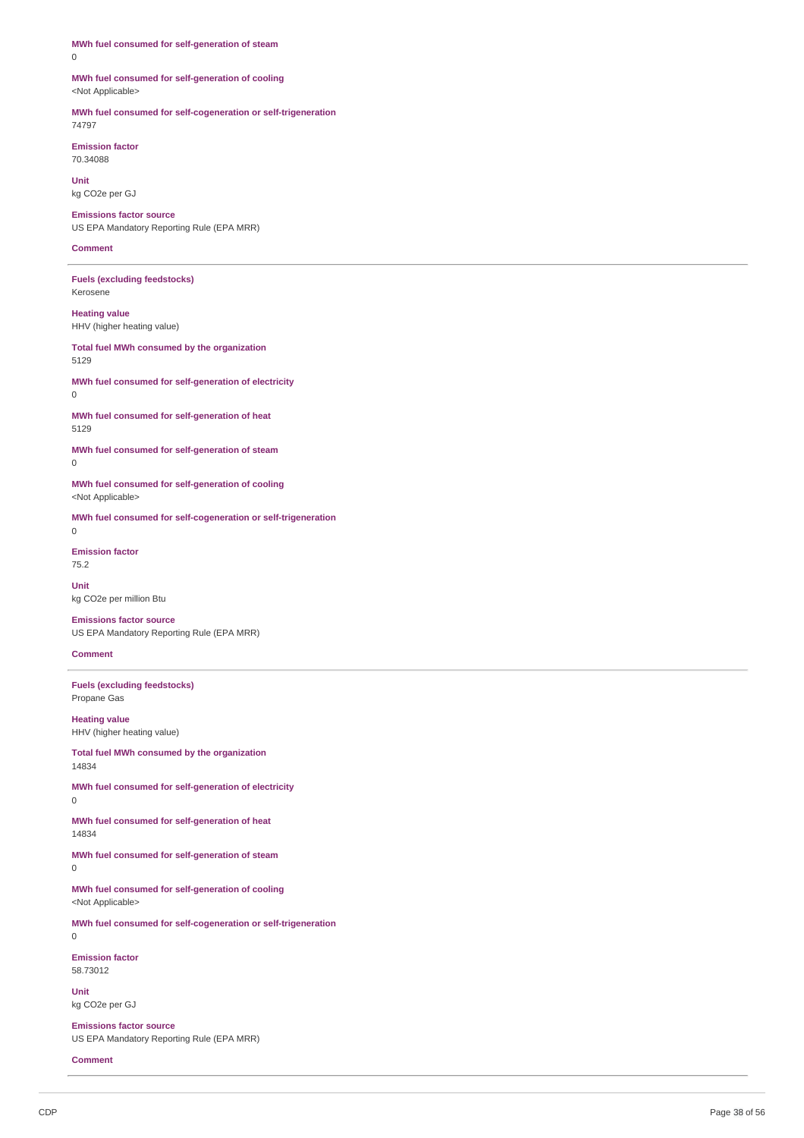| 0                                                                             |
|-------------------------------------------------------------------------------|
| MWh fuel consumed for self-generation of cooling<br><not applicable=""></not> |
| MWh fuel consumed for self-cogeneration or self-trigeneration<br>74797        |
| <b>Emission factor</b><br>70.34088                                            |
| <b>Unit</b><br>kg CO <sub>2</sub> e per GJ                                    |
| <b>Emissions factor source</b><br>US EPA Mandatory Reporting Rule (EPA MRR)   |
| <b>Comment</b>                                                                |
| <b>Fuels (excluding feedstocks)</b><br>Kerosene                               |
| <b>Heating value</b><br>HHV (higher heating value)                            |
| Total fuel MWh consumed by the organization<br>5129                           |
| MWh fuel consumed for self-generation of electricity<br>0                     |
| MWh fuel consumed for self-generation of heat<br>5129                         |
| MWh fuel consumed for self-generation of steam<br>0                           |
| MWh fuel consumed for self-generation of cooling<br><not applicable=""></not> |
| MWh fuel consumed for self-cogeneration or self-trigeneration<br>$\Omega$     |
|                                                                               |
| <b>Emission factor</b><br>75.2                                                |
| Unit<br>kg CO2e per million Btu                                               |
| <b>Emissions factor source</b><br>US EPA Mandatory Reporting Rule (EPA MRR)   |
| <b>Comment</b>                                                                |
| <b>Fuels (excluding feedstocks)</b><br>Propane Gas                            |
| <b>Heating value</b><br>HHV (higher heating value)                            |
| Total fuel MWh consumed by the organization<br>14834                          |
| MWh fuel consumed for self-generation of electricity<br>0                     |
| MWh fuel consumed for self-generation of heat<br>14834                        |
| MWh fuel consumed for self-generation of steam<br>0                           |
| MWh fuel consumed for self-generation of cooling<br><not applicable=""></not> |
| MWh fuel consumed for self-cogeneration or self-trigeneration<br>0            |
| <b>Emission factor</b><br>58.73012                                            |
| <b>Unit</b><br>kg CO2e per GJ                                                 |

**Comment**

 $\overline{a}$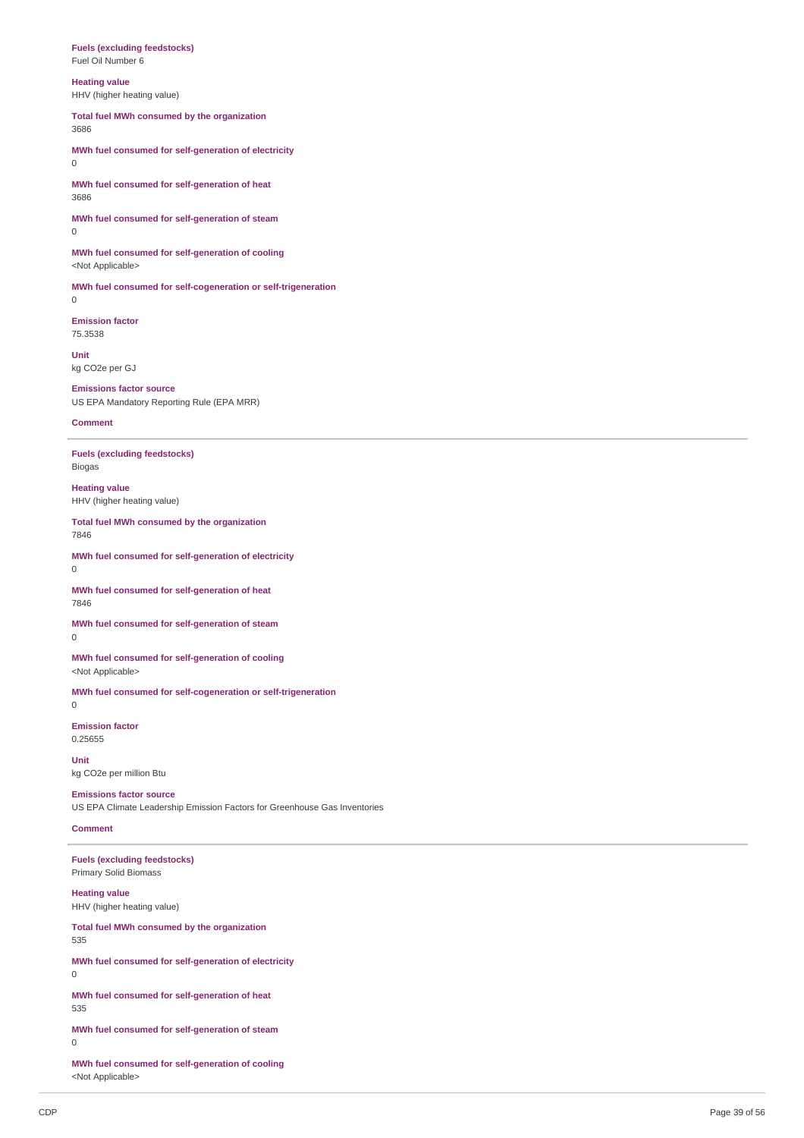#### **Fuels (excluding feedstocks)** Fuel Oil Number 6

**Heating value**

HHV (higher heating value)

**Total fuel MWh consumed by the organization** 3686

**MWh fuel consumed for self-generation of electricity**  $\Omega$ 

**MWh fuel consumed for self-generation of heat** 3686

**MWh fuel consumed for self-generation of steam** 0

**MWh fuel consumed for self-generation of cooling** <Not Applicable>

**MWh fuel consumed for self-cogeneration or self-trigeneration**  $\Omega$ 

**Emission factor** 75.3538

**Unit** kg CO2e per GJ

**Emissions factor source** US EPA Mandatory Reporting Rule (EPA MRR)

**Comment**

**Fuels (excluding feedstocks)** Biogas

**Heating value** HHV (higher heating value)

**Total fuel MWh consumed by the organization** 7846

**MWh fuel consumed for self-generation of electricity** 0

**MWh fuel consumed for self-generation of heat** 7846

**MWh fuel consumed for self-generation of steam** 0

**MWh fuel consumed for self-generation of cooling** <Not Applicable>

**MWh fuel consumed for self-cogeneration or self-trigeneration** 0

**Emission factor** 0.25655

**Unit** kg CO2e per million Btu

**Emissions factor source** US EPA Climate Leadership Emission Factors for Greenhouse Gas Inventories

### **Comment**

**Fuels (excluding feedstocks)** Primary Solid Biomass

**Heating value** HHV (higher heating value)

**Total fuel MWh consumed by the organization** 535

**MWh fuel consumed for self-generation of electricity** 0

**MWh fuel consumed for self-generation of heat** 535

**MWh fuel consumed for self-generation of steam** 0

**MWh fuel consumed for self-generation of cooling** <Not Applicable>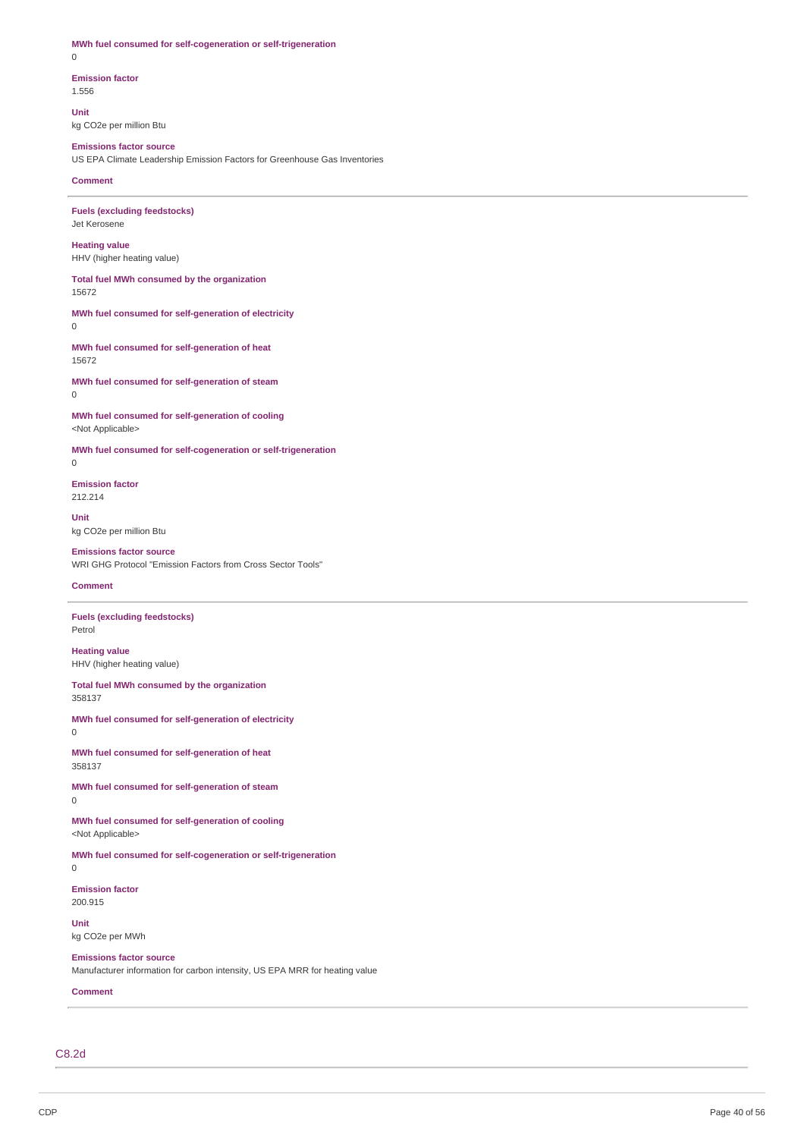**MWh fuel consumed for self-cogeneration or self-trigeneration** 0

**Emission factor** 1.556

**Unit** kg CO2e per million Btu

### **Emissions factor source** US EPA Climate Leadership Emission Factors for Greenhouse Gas Inventories

**Comment**

**Fuels (excluding feedstocks)** Jet Kerosene

**Heating value** HHV (higher heating value)

**Total fuel MWh consumed by the organization** 15672

**MWh fuel consumed for self-generation of electricity**  $\Omega$ 

**MWh fuel consumed for self-generation of heat** 15672

**MWh fuel consumed for self-generation of steam** 0

**MWh fuel consumed for self-generation of cooling** <Not Applicable>

**MWh fuel consumed for self-cogeneration or self-trigeneration**

0

**Emission factor** 212.214

**Unit** kg CO2e per million Btu

### **Emissions factor source** WRI GHG Protocol "Emission Factors from Cross Sector Tools"

#### **Comment**

**Fuels (excluding feedstocks)** Petrol

**Heating value** HHV (higher heating value)

**Total fuel MWh consumed by the organization** 358137

**MWh fuel consumed for self-generation of electricity** 0

**MWh fuel consumed for self-generation of heat** 358137

**MWh fuel consumed for self-generation of steam** 0

**MWh fuel consumed for self-generation of cooling** <Not Applicable>

**MWh fuel consumed for self-cogeneration or self-trigeneration** 0

**Emission factor** 200.915

**Unit** kg CO2e per MWh

**Emissions factor source** Manufacturer information for carbon intensity, US EPA MRR for heating value

**Comment**

C8.2d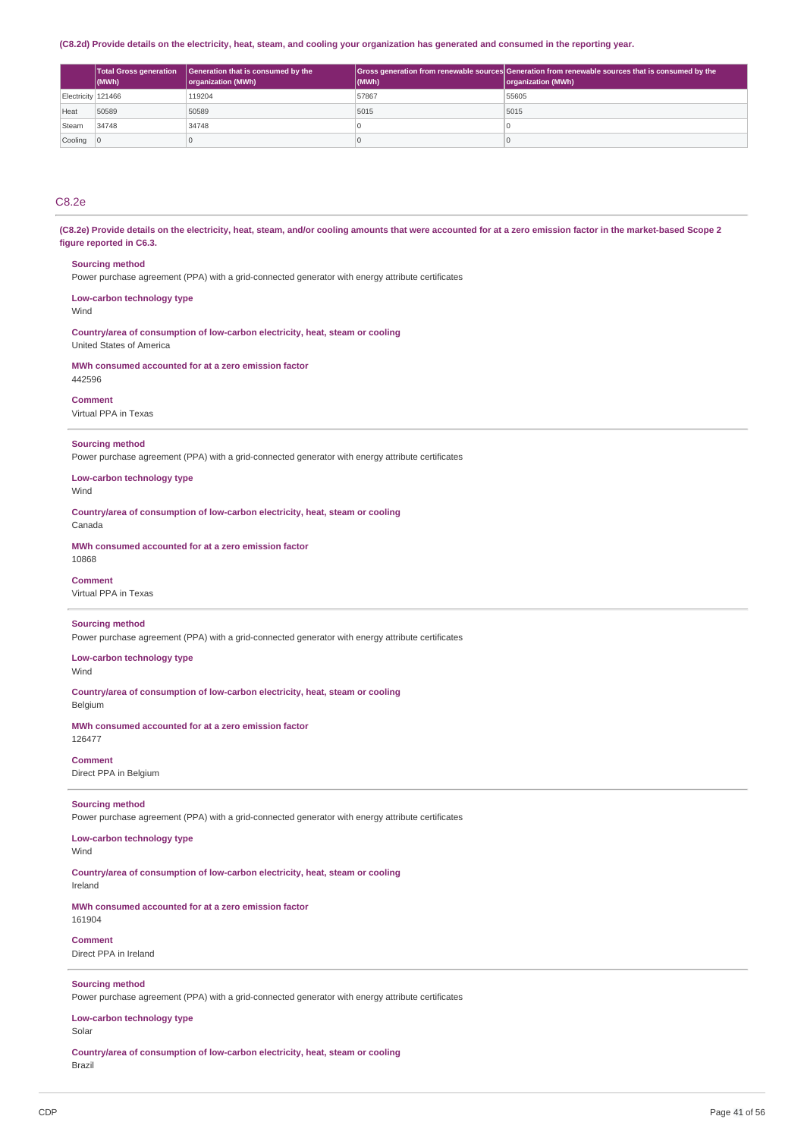#### (C8.2d) Provide details on the electricity, heat, steam, and cooling your organization has generated and consumed in the reporting year.

|                    | <b>Total Gross generation</b><br>(MWh) | Generation that is consumed by the<br>organization (MWh) | (MWh) | Gross generation from renewable sources Generation from renewable sources that is consumed by the<br>organization (MWh) |
|--------------------|----------------------------------------|----------------------------------------------------------|-------|-------------------------------------------------------------------------------------------------------------------------|
| Electricity 121466 |                                        | 119204                                                   | 57867 | 55605                                                                                                                   |
| Heat               | 50589                                  | 50589                                                    | 5015  | 5015                                                                                                                    |
| Steam              | 34748                                  | 34748                                                    |       |                                                                                                                         |
| Cooling            |                                        |                                                          |       |                                                                                                                         |

### C8.2e

(C8.2e) Provide details on the electricity, heat, steam, and/or cooling amounts that were accounted for at a zero emission factor in the market-based Scope 2 **figure reported in C6.3.**

#### **Sourcing method**

Power purchase agreement (PPA) with a grid-connected generator with energy attribute certificates

**Low-carbon technology type**

Wind

**Country/area of consumption of low-carbon electricity, heat, steam or cooling** United States of America

**MWh consumed accounted for at a zero emission factor** 442596

### **Comment**

Virtual PPA in Texas

#### **Sourcing method**

Power purchase agreement (PPA) with a grid-connected generator with energy attribute certificates

**Low-carbon technology type** Wind

**Country/area of consumption of low-carbon electricity, heat, steam or cooling** Canada

**MWh consumed accounted for at a zero emission factor**

### 10868

**Comment**

Virtual PPA in Texas

#### **Sourcing method**

Power purchase agreement (PPA) with a grid-connected generator with energy attribute certificates

**Low-carbon technology type**

Wind

**Country/area of consumption of low-carbon electricity, heat, steam or cooling** Belgium

**MWh consumed accounted for at a zero emission factor** 126477

### **Comment**

Direct PPA in Belgium

### **Sourcing method**

Power purchase agreement (PPA) with a grid-connected generator with energy attribute certificates

**Low-carbon technology type**

Wind

**Country/area of consumption of low-carbon electricity, heat, steam or cooling** Ireland

**MWh consumed accounted for at a zero emission factor** 161904

**Comment** Direct PPA in Ireland

#### **Sourcing method**

Power purchase agreement (PPA) with a grid-connected generator with energy attribute certificates

**Low-carbon technology type**

Solar

**Country/area of consumption of low-carbon electricity, heat, steam or cooling** Brazil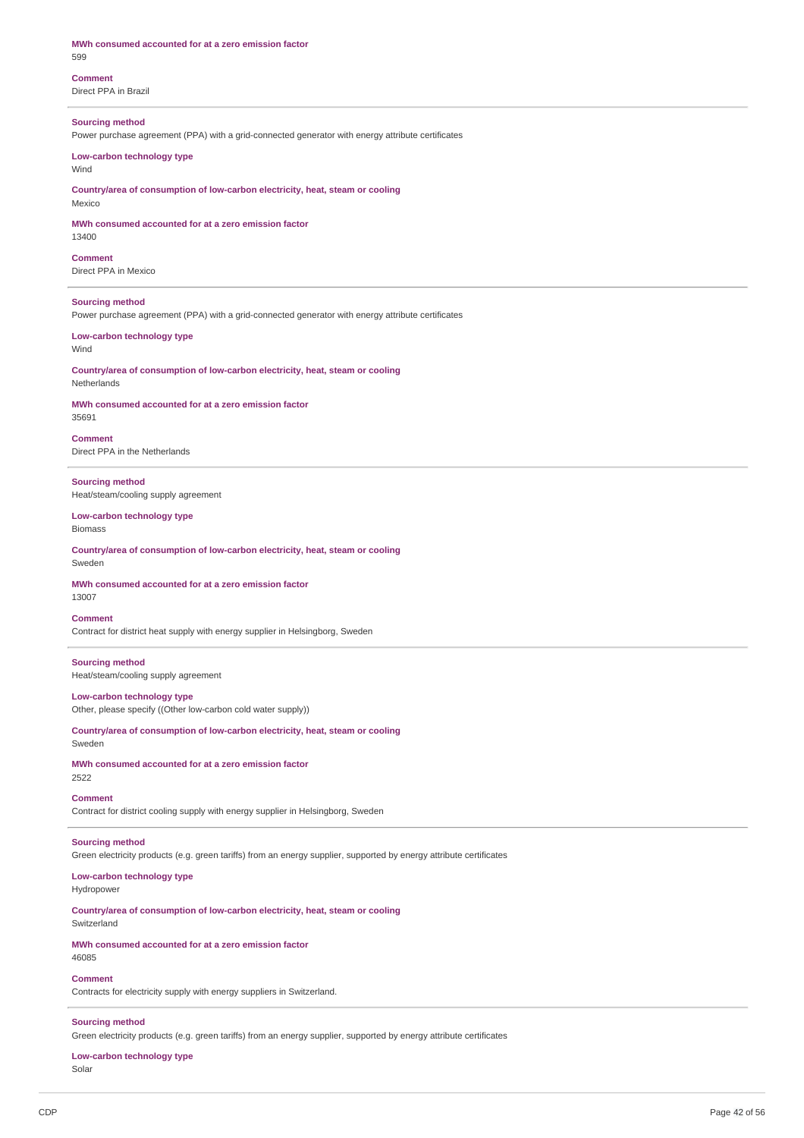### **MWh consumed accounted for at a zero emission factor** 599

**Comment** Direct PPA in Brazil

### **Sourcing method**

Power purchase agreement (PPA) with a grid-connected generator with energy attribute certificates

### **Low-carbon technology type**

Wind

**Country/area of consumption of low-carbon electricity, heat, steam or cooling** Mexico

#### **MWh consumed accounted for at a zero emission factor** 13400

**Comment** Direct PPA in Mexico

### **Sourcing method**

Power purchase agreement (PPA) with a grid-connected generator with energy attribute certificates

#### **Low-carbon technology type** Wind

**Country/area of consumption of low-carbon electricity, heat, steam or cooling** Netherlands

### **MWh consumed accounted for at a zero emission factor**

35691

**Comment** Direct PPA in the Netherlands

**Sourcing method** Heat/steam/cooling supply agreement

#### **Low-carbon technology type** Biomass

**Country/area of consumption of low-carbon electricity, heat, steam or cooling** Sweden

#### **MWh consumed accounted for at a zero emission factor** 13007

#### **Comment**

Contract for district heat supply with energy supplier in Helsingborg, Sweden

### **Sourcing method**

Heat/steam/cooling supply agreement

### **Low-carbon technology type**

Other, please specify ((Other low-carbon cold water supply))

**Country/area of consumption of low-carbon electricity, heat, steam or cooling** Sweden

#### **MWh consumed accounted for at a zero emission factor** 2522

### **Comment**

Contract for district cooling supply with energy supplier in Helsingborg, Sweden

### **Sourcing method**

Green electricity products (e.g. green tariffs) from an energy supplier, supported by energy attribute certificates

## **Low-carbon technology type**

Hydropower

**Country/area of consumption of low-carbon electricity, heat, steam or cooling** Switzerland

**MWh consumed accounted for at a zero emission factor** 46085

### **Comment**

Contracts for electricity supply with energy suppliers in Switzerland.

### **Sourcing method**

Green electricity products (e.g. green tariffs) from an energy supplier, supported by energy attribute certificates

#### **Low-carbon technology type** Solar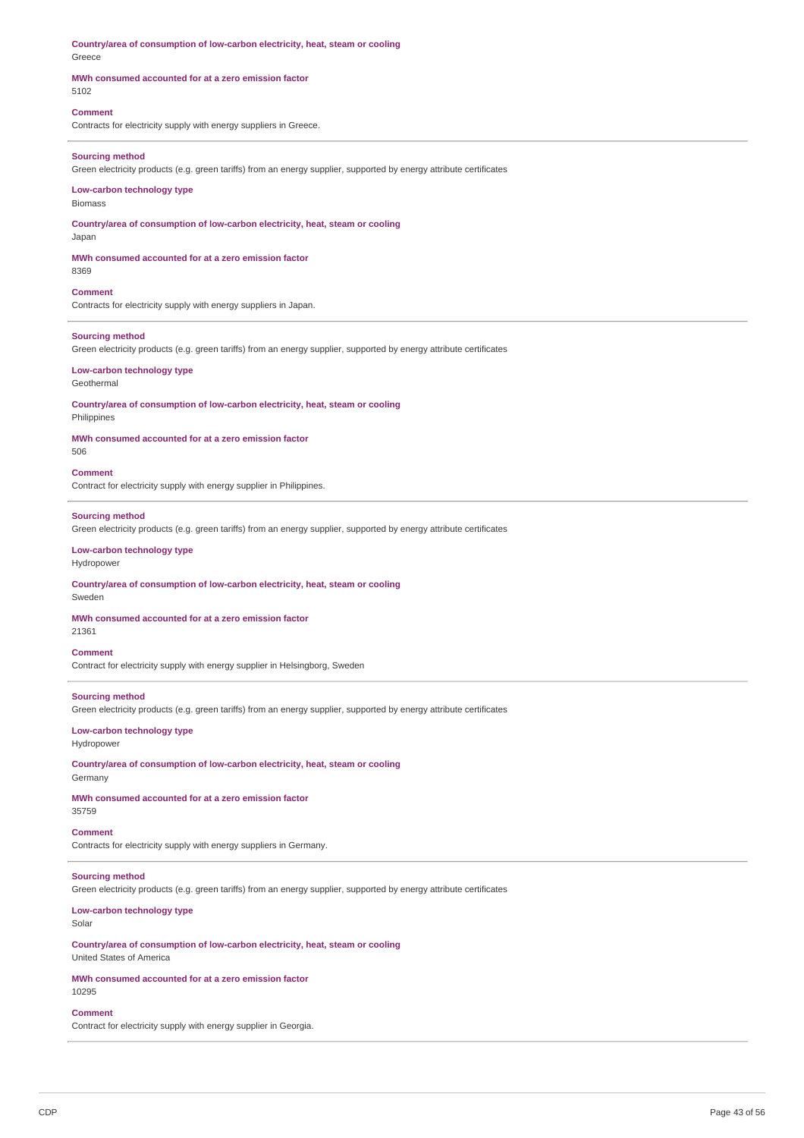**Country/area of consumption of low-carbon electricity, heat, steam or cooling** Greece

#### **MWh consumed accounted for at a zero emission factor** 5102

### **Comment**

Contracts for electricity supply with energy suppliers in Greece.

#### **Sourcing method**

Green electricity products (e.g. green tariffs) from an energy supplier, supported by energy attribute certificates

### **Low-carbon technology type**

Biomass

**Country/area of consumption of low-carbon electricity, heat, steam or cooling** Japan

**MWh consumed accounted for at a zero emission factor** 8369

#### **Comment**

Contracts for electricity supply with energy suppliers in Japan.

#### **Sourcing method**

Green electricity products (e.g. green tariffs) from an energy supplier, supported by energy attribute certificates

### **Low-carbon technology type**

Geothermal

**Country/area of consumption of low-carbon electricity, heat, steam or cooling** Philippines

### **MWh consumed accounted for at a zero emission factor**

506

#### **Comment**

Contract for electricity supply with energy supplier in Philippines.

#### **Sourcing method**

Green electricity products (e.g. green tariffs) from an energy supplier, supported by energy attribute certificates

### **Low-carbon technology type**

Hydropower

#### **Country/area of consumption of low-carbon electricity, heat, steam or cooling** Sweden

### **MWh consumed accounted for at a zero emission factor**

21361

### **Comment**

Contract for electricity supply with energy supplier in Helsingborg, Sweden

### **Sourcing method**

Green electricity products (e.g. green tariffs) from an energy supplier, supported by energy attribute certificates

#### **Low-carbon technology type** Hydropower

**Country/area of consumption of low-carbon electricity, heat, steam or cooling** Germany

### **MWh consumed accounted for at a zero emission factor** 35759

### **Comment**

Contracts for electricity supply with energy suppliers in Germany.

### **Sourcing method**

Green electricity products (e.g. green tariffs) from an energy supplier, supported by energy attribute certificates

### **Low-carbon technology type**

Solar

**Country/area of consumption of low-carbon electricity, heat, steam or cooling** United States of America

#### **MWh consumed accounted for at a zero emission factor** 10295

**Comment** Contract for electricity supply with energy supplier in Georgia.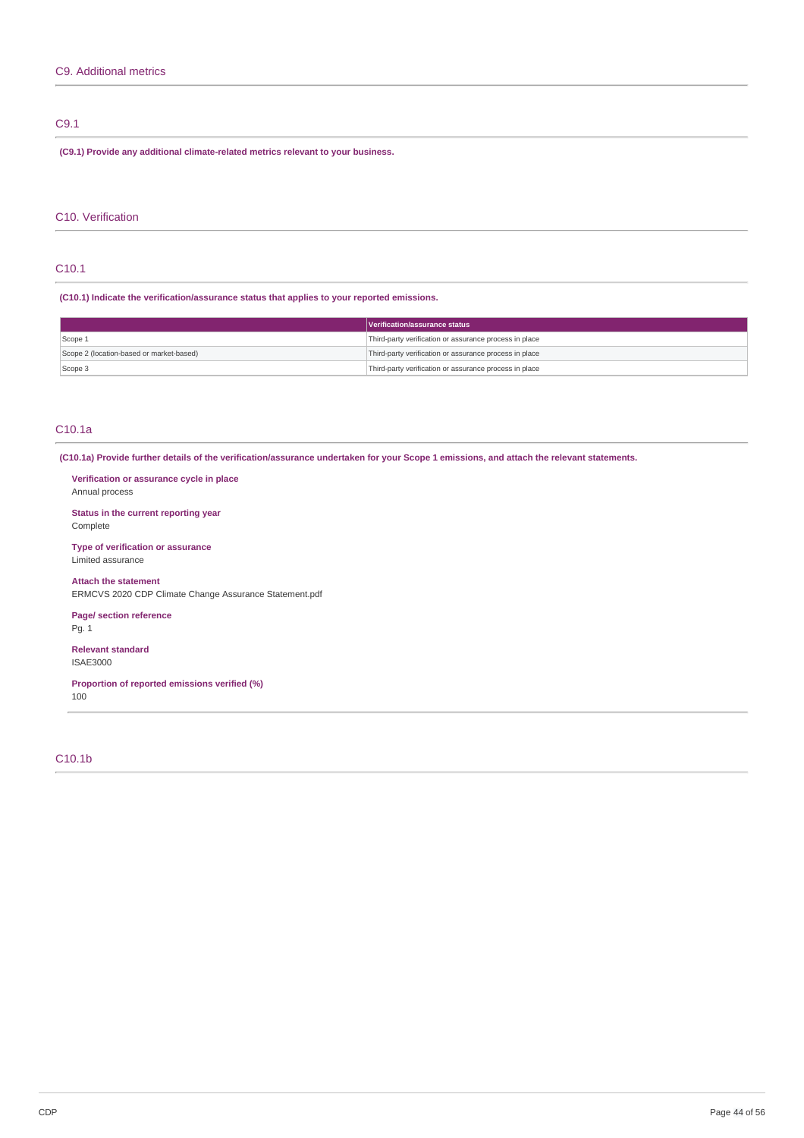### C9.1

**(C9.1) Provide any additional climate-related metrics relevant to your business.**

### C10. Verification

### C10.1

**(C10.1) Indicate the verification/assurance status that applies to your reported emissions.**

|                                          | Verification/assurance status                          |
|------------------------------------------|--------------------------------------------------------|
| Scope 1                                  | Third-party verification or assurance process in place |
| Scope 2 (location-based or market-based) | Third-party verification or assurance process in place |
| Scope 3                                  | Third-party verification or assurance process in place |

### C10.1a

(C10.1a) Provide further details of the verification/assurance undertaken for your Scope 1 emissions, and attach the relevant statements.

**Verification or assurance cycle in place** Annual process

**Status in the current reporting year** Complete

**Type of verification or assurance** Limited assurance

**Attach the statement** ERMCVS 2020 CDP Climate Change Assurance Statement.pdf

**Page/ section reference** Pg. 1

**Relevant standard** ISAE3000

**Proportion of reported emissions verified (%)** 100

C10.1b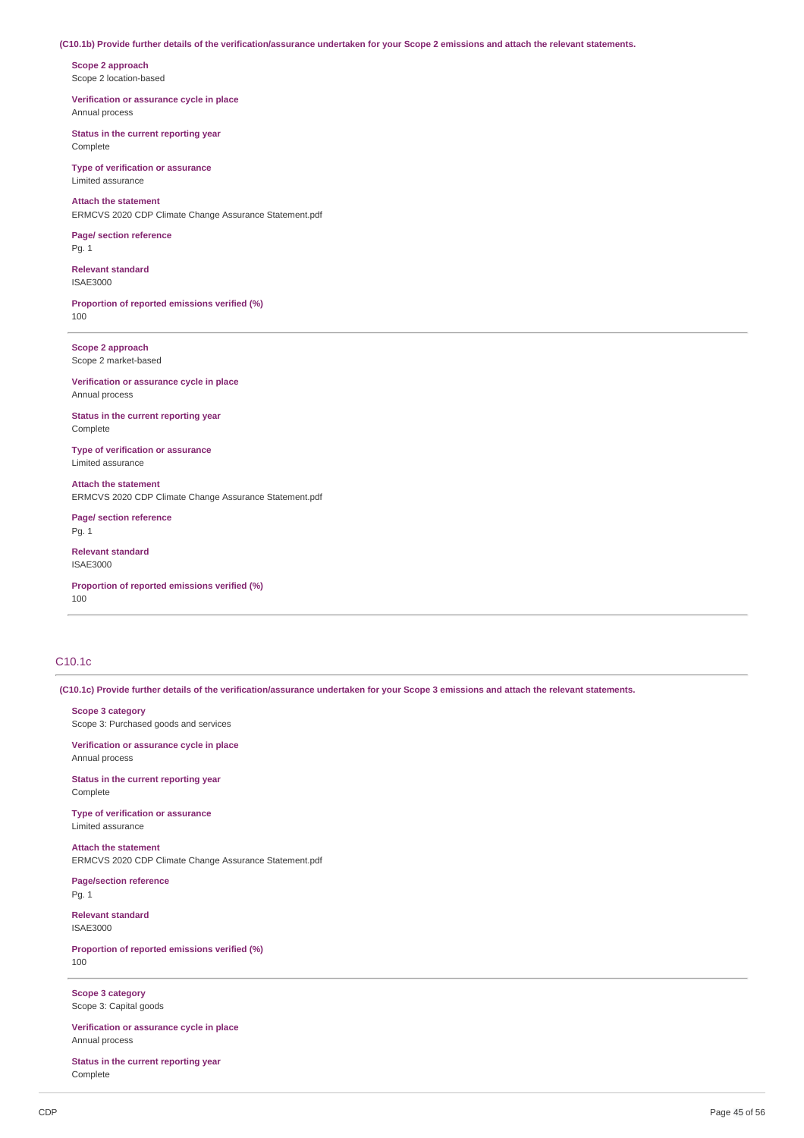#### (C10.1b) Provide further details of the verification/assurance undertaken for your Scope 2 emissions and attach the relevant statements.

**Scope 2 approach** Scope 2 location-based

**Verification or assurance cycle in place** Annual process

**Status in the current reporting year** Complete

**Type of verification or assurance** Limited assurance

**Attach the statement** ERMCVS 2020 CDP Climate Change Assurance Statement.pdf

**Page/ section reference** Pg. 1

**Relevant standard** ISAE3000

**Proportion of reported emissions verified (%)** 100

**Scope 2 approach** Scope 2 market-based

**Verification or assurance cycle in place** Annual process

**Status in the current reporting year** Complete

**Type of verification or assurance** Limited assurance

**Attach the statement** ERMCVS 2020 CDP Climate Change Assurance Statement.pdf

**Page/ section reference** Pg. 1

**Relevant standard** ISAE3000

**Proportion of reported emissions verified (%)** 100

### C10.1c

(C10.1c) Provide further details of the verification/assurance undertaken for your Scope 3 emissions and attach the relevant statements.

**Scope 3 category** Scope 3: Purchased goods and services

**Verification or assurance cycle in place** Annual process

**Status in the current reporting year** Complete

**Type of verification or assurance** Limited assurance

**Attach the statement** ERMCVS 2020 CDP Climate Change Assurance Statement.pdf

**Page/section reference** Pg. 1

**Relevant standard** ISAE3000

**Proportion of reported emissions verified (%)** 100

**Scope 3 category** Scope 3: Capital goods

**Verification or assurance cycle in place** Annual process

**Status in the current reporting year** Complete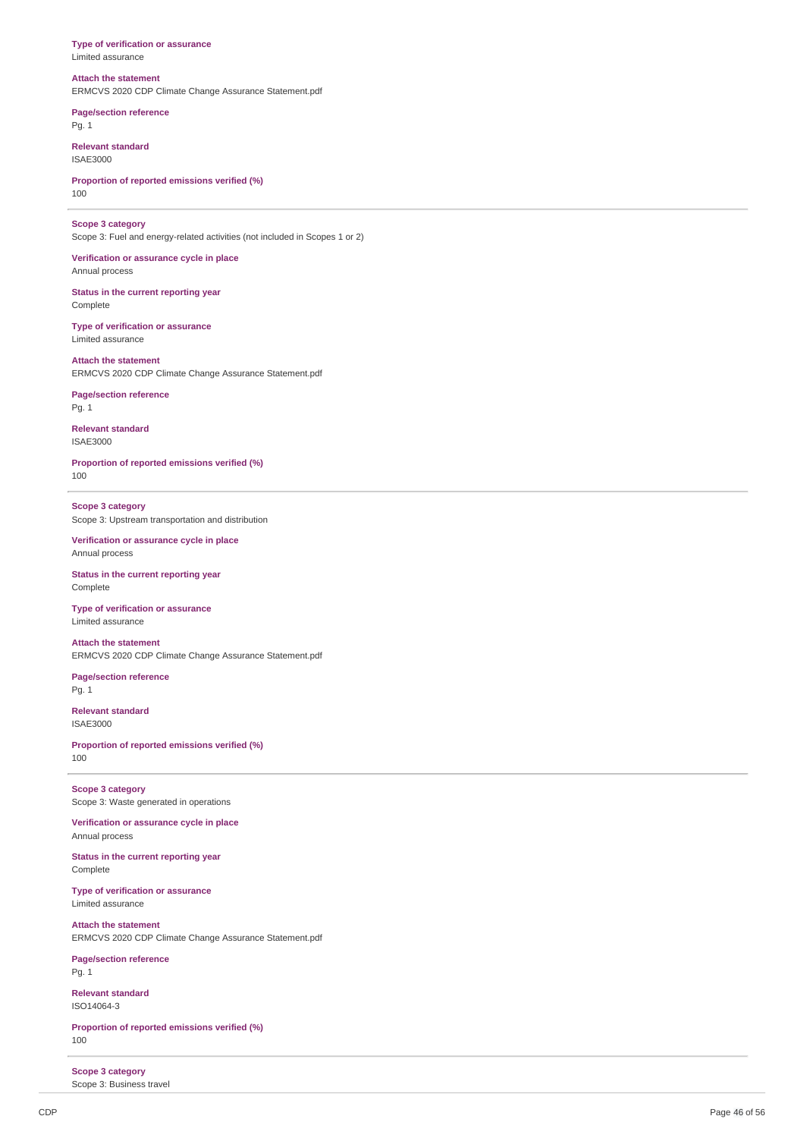#### **Type of verification or assurance** Limited assurance

### **Attach the statement**

ERMCVS 2020 CDP Climate Change Assurance Statement.pdf

**Page/section reference** Pg. 1

**Relevant standard** ISAE3000

**Proportion of reported emissions verified (%)** 100

**Scope 3 category**

Scope 3: Fuel and energy-related activities (not included in Scopes 1 or 2)

**Verification or assurance cycle in place** Annual process

**Status in the current reporting year** Complete

**Type of verification or assurance** Limited assurance

**Attach the statement** ERMCVS 2020 CDP Climate Change Assurance Statement.pdf

**Page/section reference** Pg. 1

**Relevant standard** ISAE3000

**Proportion of reported emissions verified (%)** 100

**Scope 3 category** Scope 3: Upstream transportation and distribution

**Verification or assurance cycle in place** Annual process

**Status in the current reporting year** Complete

**Type of verification or assurance** Limited assurance

**Attach the statement** ERMCVS 2020 CDP Climate Change Assurance Statement.pdf

**Page/section reference** Pg. 1

**Relevant standard** ISAE3000

**Proportion of reported emissions verified (%)** 100

**Scope 3 category** Scope 3: Waste generated in operations

**Verification or assurance cycle in place** Annual process

**Status in the current reporting year** Complete

**Type of verification or assurance** Limited assurance

**Attach the statement** ERMCVS 2020 CDP Climate Change Assurance Statement.pdf

**Page/section reference** Pg. 1

**Relevant standard** ISO14064-3

**Proportion of reported emissions verified (%)** 100

**Scope 3 category** Scope 3: Business travel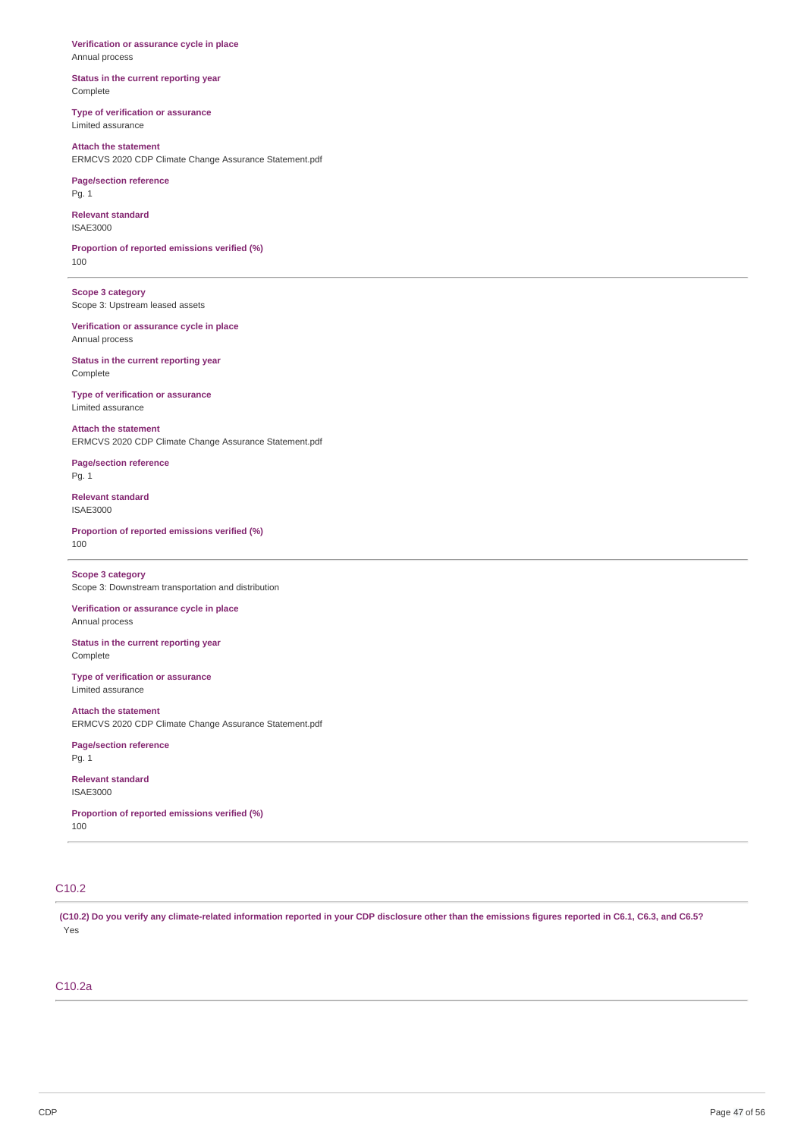**Verification or assurance cycle in place** Annual process

**Status in the current reporting year** Complete

**Type of verification or assurance** Limited assurance

**Attach the statement** ERMCVS 2020 CDP Climate Change Assurance Statement.pdf

**Page/section reference** Pg. 1

**Relevant standard** ISAE3000

**Proportion of reported emissions verified (%)** 100

**Scope 3 category** Scope 3: Upstream leased assets

**Verification or assurance cycle in place** Annual process

**Status in the current reporting year** Complete

**Type of verification or assurance** Limited assurance

**Attach the statement** ERMCVS 2020 CDP Climate Change Assurance Statement.pdf

**Page/section reference** Pg. 1

**Relevant standard** ISAE3000

**Proportion of reported emissions verified (%)** 100

**Scope 3 category** Scope 3: Downstream transportation and distribution

**Verification or assurance cycle in place** Annual process

**Status in the current reporting year** Complete

**Type of verification or assurance** Limited assurance

**Attach the statement** ERMCVS 2020 CDP Climate Change Assurance Statement.pdf

**Page/section reference** Pg. 1

**Relevant standard** ISAE3000

**Proportion of reported emissions verified (%)** 100

## C10.2

(C10.2) Do you verify any climate-related information reported in your CDP disclosure other than the emissions figures reported in C6.1, C6.3, and C6.5? Yes

### C10.2a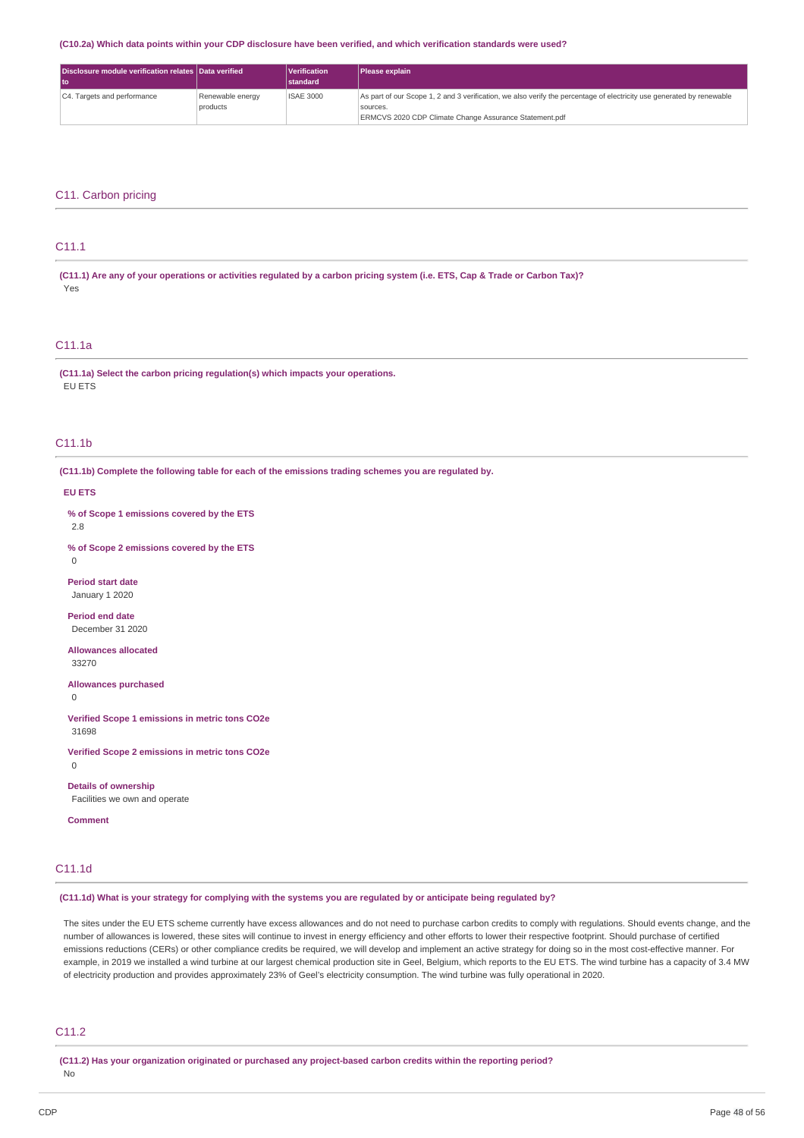#### (C10.2a) Which data points within your CDP disclosure have been verified, and which verification standards were used?

| Disclosure module verification relates Data verified |                  | <i><u><b>Nerification</b></u></i> | <b>Please explain</b>                                                                                                 |
|------------------------------------------------------|------------------|-----------------------------------|-----------------------------------------------------------------------------------------------------------------------|
|                                                      |                  | <b>standard</b>                   |                                                                                                                       |
| C4. Targets and performance                          | Renewable energy | <b>ISAE 3000</b>                  | As part of our Scope 1, 2 and 3 verification, we also verify the percentage of electricity use generated by renewable |
|                                                      | products         |                                   | sources.                                                                                                              |
|                                                      |                  |                                   | ERMCVS 2020 CDP Climate Change Assurance Statement.pdf                                                                |

### C11. Carbon pricing

### C11.1

(C11.1) Are any of your operations or activities regulated by a carbon pricing system (i.e. ETS, Cap & Trade or Carbon Tax)? Yes

### C11.1a

**(C11.1a) Select the carbon pricing regulation(s) which impacts your operations.** EU ETS

### C11.1b

**(C11.1b) Complete the following table for each of the emissions trading schemes you are regulated by.**

#### **EU ETS**

**% of Scope 1 emissions covered by the ETS**

2.8

**% of Scope 2 emissions covered by the ETS**

 $\Omega$ 

**Period start date** January 1 2020

**Period end date** December 31 2020

**Allowances allocated** 33270

**Allowances purchased**

 $\Omega$ 

**Verified Scope 1 emissions in metric tons CO2e** 31698

**Verified Scope 2 emissions in metric tons CO2e**

 $\Omega$ 

**Details of ownership** Facilities we own and operate

**Comment**

### C11.1d

(C11.1d) What is your strategy for complying with the systems you are regulated by or anticipate being regulated by?

The sites under the EU ETS scheme currently have excess allowances and do not need to purchase carbon credits to comply with regulations. Should events change, and the number of allowances is lowered, these sites will continue to invest in energy efficiency and other efforts to lower their respective footprint. Should purchase of certified emissions reductions (CERs) or other compliance credits be required, we will develop and implement an active strategy for doing so in the most cost-effective manner. For example, in 2019 we installed a wind turbine at our largest chemical production site in Geel, Belgium, which reports to the EU ETS. The wind turbine has a capacity of 3.4 MW of electricity production and provides approximately 23% of Geel's electricity consumption. The wind turbine was fully operational in 2020.

### C11.2

**(C11.2) Has your organization originated or purchased any project-based carbon credits within the reporting period?**

No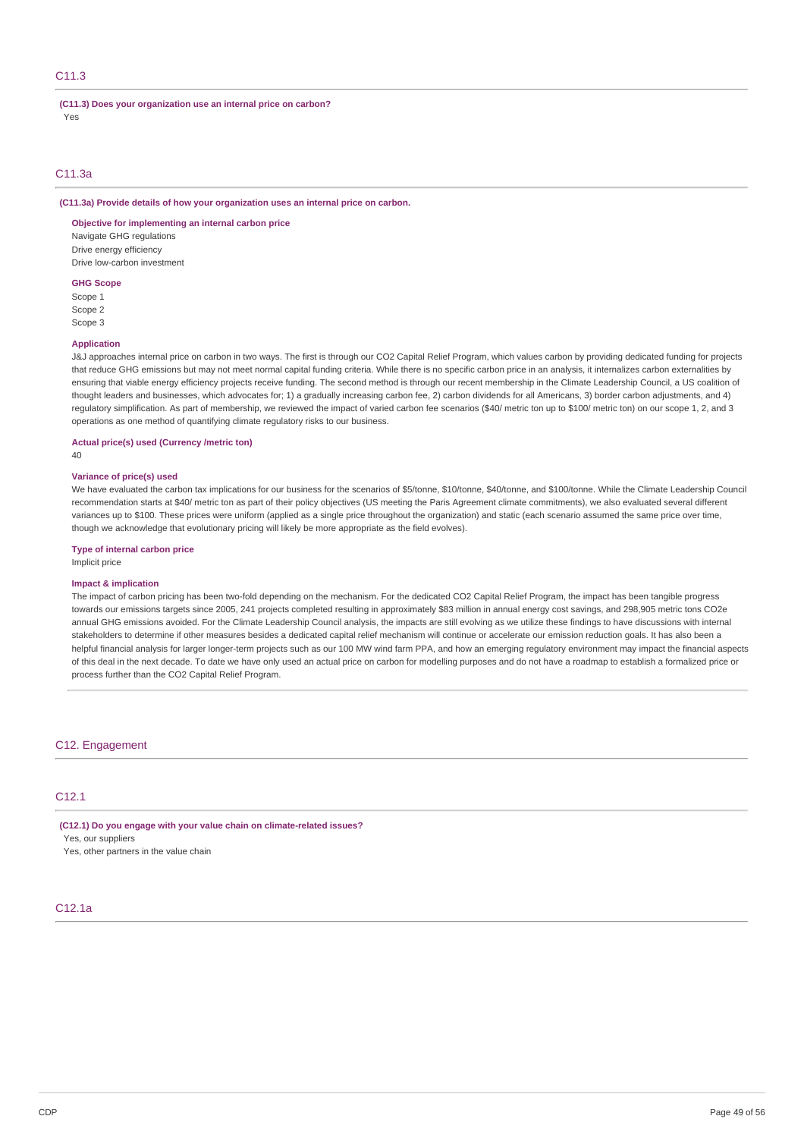### C11.3

**(C11.3) Does your organization use an internal price on carbon?** Yes

### C11.3a

### **(C11.3a) Provide details of how your organization uses an internal price on carbon.**

**Objective for implementing an internal carbon price** Navigate GHG regulations

Drive energy efficiency Drive low-carbon investment

### **GHG Scope**

Scope 1 Scope 2 Scope 3

#### **Application**

J&J approaches internal price on carbon in two ways. The first is through our CO2 Capital Relief Program, which values carbon by providing dedicated funding for projects that reduce GHG emissions but may not meet normal capital funding criteria. While there is no specific carbon price in an analysis, it internalizes carbon externalities by ensuring that viable energy efficiency projects receive funding. The second method is through our recent membership in the Climate Leadership Council, a US coalition of thought leaders and businesses, which advocates for; 1) a gradually increasing carbon fee, 2) carbon dividends for all Americans, 3) border carbon adjustments, and 4) regulatory simplification. As part of membership, we reviewed the impact of varied carbon fee scenarios (\$40/ metric ton up to \$100/ metric ton) on our scope 1, 2, and 3 operations as one method of quantifying climate regulatory risks to our business.

### **Actual price(s) used (Currency /metric ton)**

40

#### **Variance of price(s) used**

We have evaluated the carbon tax implications for our business for the scenarios of \$5/tonne, \$10/tonne, \$40/tonne, and \$100/tonne. While the Climate Leadership Council recommendation starts at \$40/ metric ton as part of their policy objectives (US meeting the Paris Agreement climate commitments), we also evaluated several different variances up to \$100. These prices were uniform (applied as a single price throughout the organization) and static (each scenario assumed the same price over time, though we acknowledge that evolutionary pricing will likely be more appropriate as the field evolves).

### **Type of internal carbon price**

Implicit price

### **Impact & implication**

The impact of carbon pricing has been two-fold depending on the mechanism. For the dedicated CO2 Capital Relief Program, the impact has been tangible progress towards our emissions targets since 2005, 241 projects completed resulting in approximately \$83 million in annual energy cost savings, and 298,905 metric tons CO2e annual GHG emissions avoided. For the Climate Leadership Council analysis, the impacts are still evolving as we utilize these findings to have discussions with internal stakeholders to determine if other measures besides a dedicated capital relief mechanism will continue or accelerate our emission reduction goals. It has also been a helpful financial analysis for larger longer-term projects such as our 100 MW wind farm PPA, and how an emerging regulatory environment may impact the financial aspects of this deal in the next decade. To date we have only used an actual price on carbon for modelling purposes and do not have a roadmap to establish a formalized price or process further than the CO2 Capital Relief Program.

### C12. Engagement

### C12.1

**(C12.1) Do you engage with your value chain on climate-related issues?** Yes, our suppliers

Yes, other partners in the value chain

### C12.1a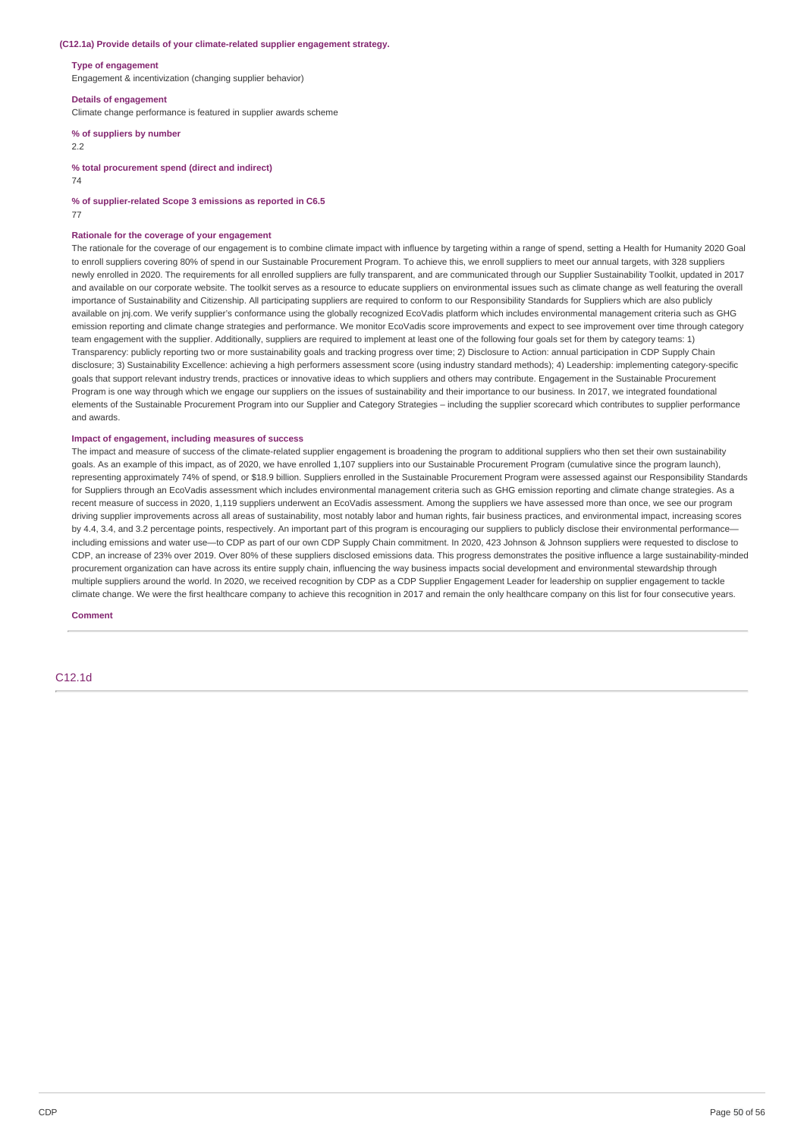#### **(C12.1a) Provide details of your climate-related supplier engagement strategy.**

#### **Type of engagement**

Engagement & incentivization (changing supplier behavior)

#### **Details of engagement**

Climate change performance is featured in supplier awards scheme

### **% of suppliers by number**

2.2

**% total procurement spend (direct and indirect)**

74

**% of supplier-related Scope 3 emissions as reported in C6.5**

77

#### **Rationale for the coverage of your engagement**

The rationale for the coverage of our engagement is to combine climate impact with influence by targeting within a range of spend, setting a Health for Humanity 2020 Goal to enroll suppliers covering 80% of spend in our Sustainable Procurement Program. To achieve this, we enroll suppliers to meet our annual targets, with 328 suppliers newly enrolled in 2020. The requirements for all enrolled suppliers are fully transparent, and are communicated through our Supplier Sustainability Toolkit, updated in 2017 and available on our corporate website. The toolkit serves as a resource to educate suppliers on environmental issues such as climate change as well featuring the overall importance of Sustainability and Citizenship. All participating suppliers are required to conform to our Responsibility Standards for Suppliers which are also publicly available on jnj.com. We verify supplier's conformance using the globally recognized EcoVadis platform which includes environmental management criteria such as GHG emission reporting and climate change strategies and performance. We monitor EcoVadis score improvements and expect to see improvement over time through category team engagement with the supplier. Additionally, suppliers are required to implement at least one of the following four goals set for them by category teams: 1) Transparency: publicly reporting two or more sustainability goals and tracking progress over time; 2) Disclosure to Action: annual participation in CDP Supply Chain disclosure; 3) Sustainability Excellence: achieving a high performers assessment score (using industry standard methods); 4) Leadership: implementing category-specific goals that support relevant industry trends, practices or innovative ideas to which suppliers and others may contribute. Engagement in the Sustainable Procurement Program is one way through which we engage our suppliers on the issues of sustainability and their importance to our business. In 2017, we integrated foundational elements of the Sustainable Procurement Program into our Supplier and Category Strategies – including the supplier scorecard which contributes to supplier performance and awards.

#### **Impact of engagement, including measures of success**

The impact and measure of success of the climate-related supplier engagement is broadening the program to additional suppliers who then set their own sustainability goals. As an example of this impact, as of 2020, we have enrolled 1,107 suppliers into our Sustainable Procurement Program (cumulative since the program launch), representing approximately 74% of spend, or \$18.9 billion. Suppliers enrolled in the Sustainable Procurement Program were assessed against our Responsibility Standards for Suppliers through an EcoVadis assessment which includes environmental management criteria such as GHG emission reporting and climate change strategies. As a recent measure of success in 2020, 1,119 suppliers underwent an EcoVadis assessment. Among the suppliers we have assessed more than once, we see our program driving supplier improvements across all areas of sustainability, most notably labor and human rights, fair business practices, and environmental impact, increasing scores by 4.4, 3.4, and 3.2 percentage points, respectively. An important part of this program is encouraging our suppliers to publicly disclose their environmental performanceincluding emissions and water use—to CDP as part of our own CDP Supply Chain commitment. In 2020, 423 Johnson & Johnson suppliers were requested to disclose to CDP, an increase of 23% over 2019. Over 80% of these suppliers disclosed emissions data. This progress demonstrates the positive influence a large sustainability-minded procurement organization can have across its entire supply chain, influencing the way business impacts social development and environmental stewardship through multiple suppliers around the world. In 2020, we received recognition by CDP as a CDP Supplier Engagement Leader for leadership on supplier engagement to tackle climate change. We were the first healthcare company to achieve this recognition in 2017 and remain the only healthcare company on this list for four consecutive years.

**Comment**

C12.1d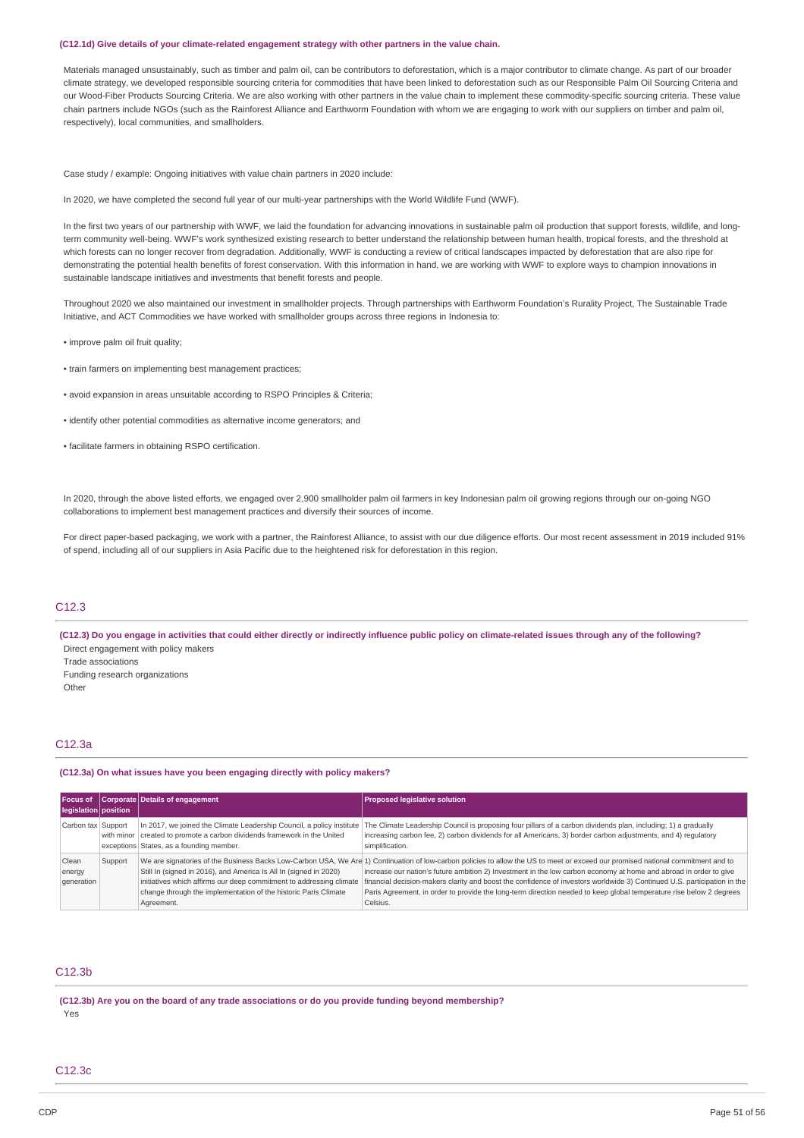#### **(C12.1d) Give details of your climate-related engagement strategy with other partners in the value chain.**

Materials managed unsustainably, such as timber and palm oil, can be contributors to deforestation, which is a major contributor to climate change. As part of our broader climate strategy, we developed responsible sourcing criteria for commodities that have been linked to deforestation such as our Responsible Palm Oil Sourcing Criteria and our Wood-Fiber Products Sourcing Criteria. We are also working with other partners in the value chain to implement these commodity-specific sourcing criteria. These value chain partners include NGOs (such as the Rainforest Alliance and Earthworm Foundation with whom we are engaging to work with our suppliers on timber and palm oil, respectively), local communities, and smallholders.

Case study / example: Ongoing initiatives with value chain partners in 2020 include:

In 2020, we have completed the second full year of our multi-year partnerships with the World Wildlife Fund (WWF)

In the first two years of our partnership with WWF, we laid the foundation for advancing innovations in sustainable palm oil production that support forests, wildlife, and longterm community well-being. WWF's work synthesized existing research to better understand the relationship between human health, tropical forests, and the threshold at which forests can no longer recover from degradation. Additionally, WWF is conducting a review of critical landscapes impacted by deforestation that are also ripe for demonstrating the potential health benefits of forest conservation. With this information in hand, we are working with WWF to explore ways to champion innovations in sustainable landscape initiatives and investments that benefit forests and people.

Throughout 2020 we also maintained our investment in smallholder projects. Through partnerships with Earthworm Foundation's Rurality Project, The Sustainable Trade Initiative, and ACT Commodities we have worked with smallholder groups across three regions in Indonesia to:

• improve palm oil fruit quality;

- train farmers on implementing best management practices;
- avoid expansion in areas unsuitable according to RSPO Principles & Criteria;
- identify other potential commodities as alternative income generators; and
- facilitate farmers in obtaining RSPO certification.

In 2020, through the above listed efforts, we engaged over 2,900 smallholder palm oil farmers in key Indonesian palm oil growing regions through our on-going NGO collaborations to implement best management practices and diversify their sources of income.

For direct paper-based packaging, we work with a partner, the Rainforest Alliance, to assist with our due diligence efforts. Our most recent assessment in 2019 included 91% of spend, including all of our suppliers in Asia Pacific due to the heightened risk for deforestation in this region.

### C12.3

(C12.3) Do you engage in activities that could either directly or indirectly influence public policy on climate-related issues through any of the following? Direct engagement with policy makers

- Trade associations
- Funding research organizations

**Other** 

### C12.3a

#### **(C12.3a) On what issues have you been engaging directly with policy makers?**

| Focus of<br>legislation position |         | Corporate Details of engagement                                                                                                                                                                                           | <b>Proposed legislative solution</b>                                                                                                                                                                                                                                                                                                                                                                                                                                                                                                                                 |
|----------------------------------|---------|---------------------------------------------------------------------------------------------------------------------------------------------------------------------------------------------------------------------------|----------------------------------------------------------------------------------------------------------------------------------------------------------------------------------------------------------------------------------------------------------------------------------------------------------------------------------------------------------------------------------------------------------------------------------------------------------------------------------------------------------------------------------------------------------------------|
| Carbon tax Support               |         | In 2017, we joined the Climate Leadership Council, a policy institute<br>with minor   created to promote a carbon dividends framework in the United<br>exceptions States, as a founding member.                           | The Climate Leadership Council is proposing four pillars of a carbon dividends plan, including; 1) a gradually<br>increasing carbon fee, 2) carbon dividends for all Americans, 3) border carbon adjustments, and 4) regulatory<br>simplification.                                                                                                                                                                                                                                                                                                                   |
| Clean<br>energy<br>generation    | Support | Still In (signed in 2016), and America Is All In (signed in 2020)<br>initiatives which affirms our deep commitment to addressing climate<br>change through the implementation of the historic Paris Climate<br>Agreement. | We are signatories of the Business Backs Low-Carbon USA, We Are 1) Continuation of low-carbon policies to allow the US to meet or exceed our promised national commitment and to<br>increase our nation's future ambition 2) Investment in the low carbon economy at home and abroad in order to give<br>financial decision-makers clarity and boost the confidence of investors worldwide 3) Continued U.S. participation in the<br>Paris Agreement, in order to provide the long-term direction needed to keep global temperature rise below 2 degrees<br>Celsius. |

### C12.3b

**(C12.3b) Are you on the board of any trade associations or do you provide funding beyond membership?** Yes

C12.3c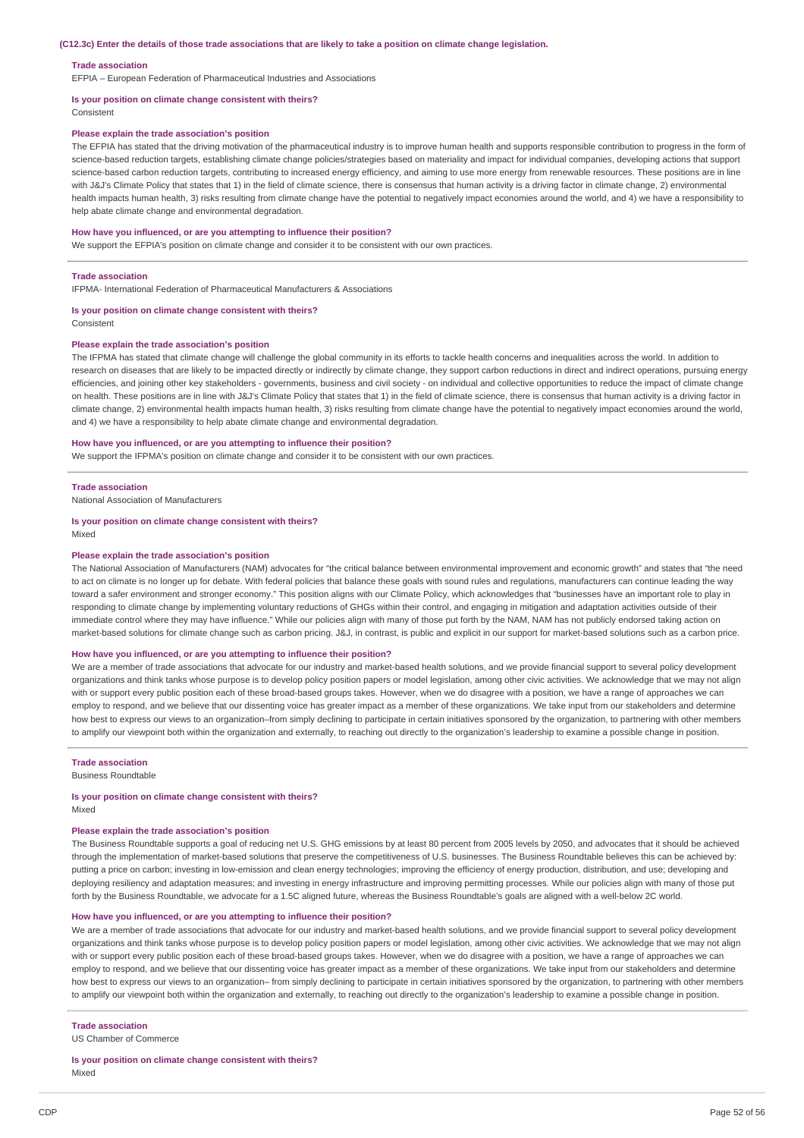#### **Trade association**

EFPIA – European Federation of Pharmaceutical Industries and Associations

### **Is your position on climate change consistent with theirs?**

Consistent

### **Please explain the trade association's position**

The EFPIA has stated that the driving motivation of the pharmaceutical industry is to improve human health and supports responsible contribution to progress in the form of science-based reduction targets, establishing climate change policies/strategies based on materiality and impact for individual companies, developing actions that support science-based carbon reduction targets, contributing to increased energy efficiency, and aiming to use more energy from renewable resources. These positions are in line with J&J's Climate Policy that states that 1) in the field of climate science, there is consensus that human activity is a driving factor in climate change, 2) environmental health impacts human health, 3) risks resulting from climate change have the potential to negatively impact economies around the world, and 4) we have a responsibility to help abate climate change and environmental degradation.

#### **How have you influenced, or are you attempting to influence their position?**

We support the EFPIA's position on climate change and consider it to be consistent with our own practices.

#### **Trade association**

IFPMA- International Federation of Pharmaceutical Manufacturers & Associations

#### **Is your position on climate change consistent with theirs?**

Consistent

#### **Please explain the trade association's position**

The IFPMA has stated that climate change will challenge the global community in its efforts to tackle health concerns and inequalities across the world. In addition to research on diseases that are likely to be impacted directly or indirectly by climate change, they support carbon reductions in direct and indirect operations, pursuing energy efficiencies, and joining other key stakeholders - governments, business and civil society - on individual and collective opportunities to reduce the impact of climate change on health. These positions are in line with J&J's Climate Policy that states that 1) in the field of climate science, there is consensus that human activity is a driving factor in climate change, 2) environmental health impacts human health, 3) risks resulting from climate change have the potential to negatively impact economies around the world, and 4) we have a responsibility to help abate climate change and environmental degradation.

#### **How have you influenced, or are you attempting to influence their position?**

We support the IFPMA's position on climate change and consider it to be consistent with our own practices.

#### **Trade association**

National Association of Manufacturers

#### **Is your position on climate change consistent with theirs?**

Mixed

#### **Please explain the trade association's position**

The National Association of Manufacturers (NAM) advocates for "the critical balance between environmental improvement and economic growth" and states that "the need to act on climate is no longer up for debate. With federal policies that balance these goals with sound rules and regulations, manufacturers can continue leading the way toward a safer environment and stronger economy." This position aligns with our Climate Policy, which acknowledges that "businesses have an important role to play in responding to climate change by implementing voluntary reductions of GHGs within their control, and engaging in mitigation and adaptation activities outside of their immediate control where they may have influence." While our policies align with many of those put forth by the NAM, NAM has not publicly endorsed taking action on market-based solutions for climate change such as carbon pricing. J&J, in contrast, is public and explicit in our support for market-based solutions such as a carbon price.

#### **How have you influenced, or are you attempting to influence their position?**

We are a member of trade associations that advocate for our industry and market-based health solutions, and we provide financial support to several policy development organizations and think tanks whose purpose is to develop policy position papers or model legislation, among other civic activities. We acknowledge that we may not align with or support every public position each of these broad-based groups takes. However, when we do disagree with a position, we have a range of approaches we can employ to respond, and we believe that our dissenting voice has greater impact as a member of these organizations. We take input from our stakeholders and determine how best to express our views to an organization–from simply declining to participate in certain initiatives sponsored by the organization, to partnering with other members to amplify our viewpoint both within the organization and externally, to reaching out directly to the organization's leadership to examine a possible change in position.

#### **Trade association**

Business Roundtable

### **Is your position on climate change consistent with theirs?**

Mixed

### **Please explain the trade association's position**

The Business Roundtable supports a goal of reducing net U.S. GHG emissions by at least 80 percent from 2005 levels by 2050, and advocates that it should be achieved through the implementation of market-based solutions that preserve the competitiveness of U.S. businesses. The Business Roundtable believes this can be achieved by: putting a price on carbon; investing in low-emission and clean energy technologies; improving the efficiency of energy production, distribution, and use; developing and deploying resiliency and adaptation measures; and investing in energy infrastructure and improving permitting processes. While our policies align with many of those put forth by the Business Roundtable, we advocate for a 1.5C aligned future, whereas the Business Roundtable's goals are aligned with a well-below 2C world.

#### **How have you influenced, or are you attempting to influence their position?**

We are a member of trade associations that advocate for our industry and market-based health solutions, and we provide financial support to several policy development organizations and think tanks whose purpose is to develop policy position papers or model legislation, among other civic activities. We acknowledge that we may not align with or support every public position each of these broad-based groups takes. However, when we do disagree with a position, we have a range of approaches we can employ to respond, and we believe that our dissenting voice has greater impact as a member of these organizations. We take input from our stakeholders and determine how best to express our views to an organization– from simply declining to participate in certain initiatives sponsored by the organization, to partnering with other members to amplify our viewpoint both within the organization and externally, to reaching out directly to the organization's leadership to examine a possible change in position.

#### **Trade association**

US Chamber of Commerce

#### **Is your position on climate change consistent with theirs?** Mixed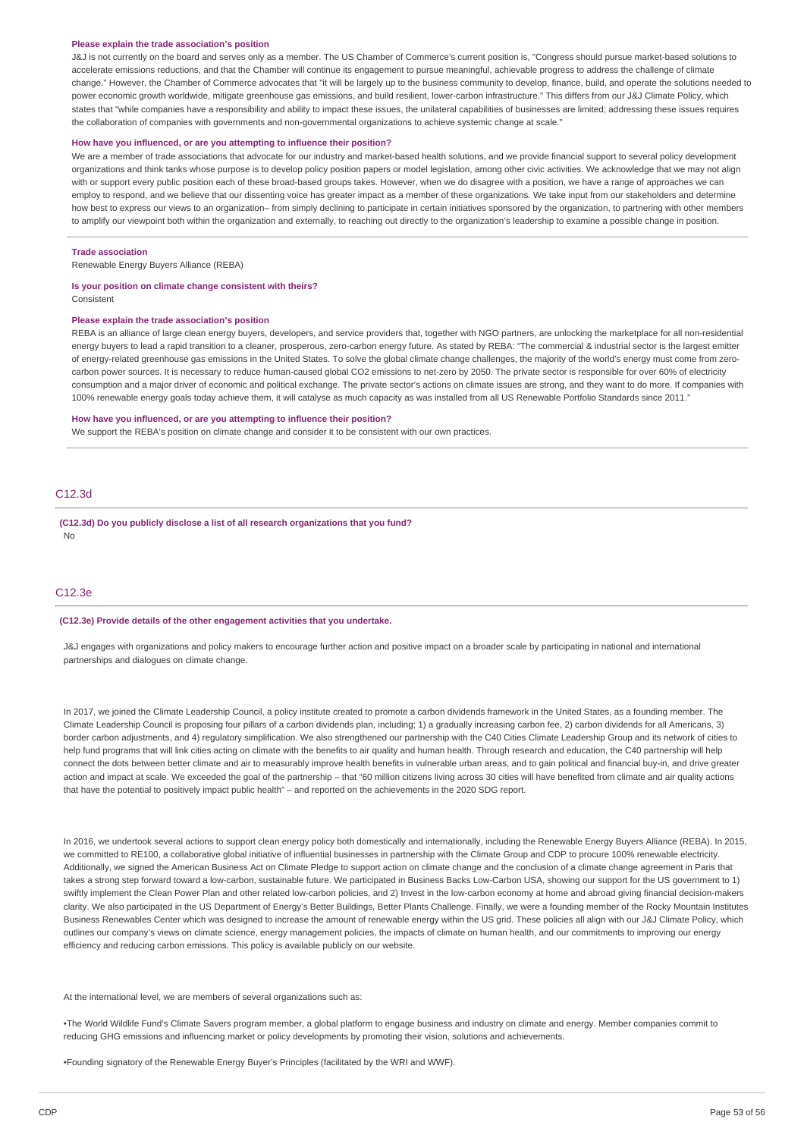#### **Please explain the trade association's position**

J&J is not currently on the board and serves only as a member. The US Chamber of Commerce's current position is, "Congress should pursue market-based solutions to accelerate emissions reductions, and that the Chamber will continue its engagement to pursue meaningful, achievable progress to address the challenge of climate change." However, the Chamber of Commerce advocates that "it will be largely up to the business community to develop, finance, build, and operate the solutions needed to power economic growth worldwide, mitigate greenhouse gas emissions, and build resilient, lower-carbon infrastructure." This differs from our J&J Climate Policy, which states that "while companies have a responsibility and ability to impact these issues, the unilateral capabilities of businesses are limited; addressing these issues requires the collaboration of companies with governments and non-governmental organizations to achieve systemic change at scale."

#### **How have you influenced, or are you attempting to influence their position?**

We are a member of trade associations that advocate for our industry and market-based health solutions, and we provide financial support to several policy development organizations and think tanks whose purpose is to develop policy position papers or model legislation, among other civic activities. We acknowledge that we may not align with or support every public position each of these broad-based groups takes. However, when we do disagree with a position, we have a range of approaches we can employ to respond, and we believe that our dissenting voice has greater impact as a member of these organizations. We take input from our stakeholders and determine how best to express our views to an organization– from simply declining to participate in certain initiatives sponsored by the organization, to partnering with other members to amplify our viewpoint both within the organization and externally, to reaching out directly to the organization's leadership to examine a possible change in position.

#### **Trade association**

Renewable Energy Buyers Alliance (REBA)

#### **Is your position on climate change consistent with theirs?**

Consistent

#### **Please explain the trade association's position**

REBA is an alliance of large clean energy buyers, developers, and service providers that, together with NGO partners, are unlocking the marketplace for all non-residential energy buyers to lead a rapid transition to a cleaner, prosperous, zero-carbon energy future. As stated by REBA: "The commercial & industrial sector is the largest emitter of energy-related greenhouse gas emissions in the United States. To solve the global climate change challenges, the majority of the world's energy must come from zerocarbon power sources. It is necessary to reduce human-caused global CO2 emissions to net-zero by 2050. The private sector is responsible for over 60% of electricity consumption and a major driver of economic and political exchange. The private sector's actions on climate issues are strong, and they want to do more. If companies with 100% renewable energy goals today achieve them, it will catalyse as much capacity as was installed from all US Renewable Portfolio Standards since 2011."

#### **How have you influenced, or are you attempting to influence their position?**

We support the REBA's position on climate change and consider it to be consistent with our own practices.

### C12.3d

**(C12.3d) Do you publicly disclose a list of all research organizations that you fund?** No

#### C12.3e

#### **(C12.3e) Provide details of the other engagement activities that you undertake.**

J&J engages with organizations and policy makers to encourage further action and positive impact on a broader scale by participating in national and international partnerships and dialogues on climate change.

In 2017, we joined the Climate Leadership Council, a policy institute created to promote a carbon dividends framework in the United States, as a founding member. The Climate Leadership Council is proposing four pillars of a carbon dividends plan, including; 1) a gradually increasing carbon fee, 2) carbon dividends for all Americans, 3) border carbon adjustments, and 4) regulatory simplification. We also strengthened our partnership with the C40 Cities Climate Leadership Group and its network of cities to help fund programs that will link cities acting on climate with the benefits to air quality and human health. Through research and education, the C40 partnership will help connect the dots between better climate and air to measurably improve health benefits in vulnerable urban areas, and to gain political and financial buy-in, and drive greater action and impact at scale. We exceeded the goal of the partnership – that "60 million citizens living across 30 cities will have benefited from climate and air quality actions that have the potential to positively impact public health" – and reported on the achievements in the 2020 SDG report.

In 2016, we undertook several actions to support clean energy policy both domestically and internationally, including the Renewable Energy Buyers Alliance (REBA). In 2015, we committed to RE100, a collaborative global initiative of influential businesses in partnership with the Climate Group and CDP to procure 100% renewable electricity. Additionally, we signed the American Business Act on Climate Pledge to support action on climate change and the conclusion of a climate change agreement in Paris that takes a strong step forward toward a low-carbon, sustainable future. We participated in Business Backs Low-Carbon USA, showing our support for the US government to 1) swiftly implement the Clean Power Plan and other related low-carbon policies, and 2) Invest in the low-carbon economy at home and abroad giving financial decision-makers clarity. We also participated in the US Department of Energy's Better Buildings, Better Plants Challenge. Finally, we were a founding member of the Rocky Mountain Institutes Business Renewables Center which was designed to increase the amount of renewable energy within the US grid. These policies all align with our J&J Climate Policy, which outlines our company's views on climate science, energy management policies, the impacts of climate on human health, and our commitments to improving our energy efficiency and reducing carbon emissions. This policy is available publicly on our website.

#### At the international level, we are members of several organizations such as:

•The World Wildlife Fund's Climate Savers program member, a global platform to engage business and industry on climate and energy. Member companies commit to reducing GHG emissions and influencing market or policy developments by promoting their vision, solutions and achievements.

•Founding signatory of the Renewable Energy Buyer's Principles (facilitated by the WRI and WWF).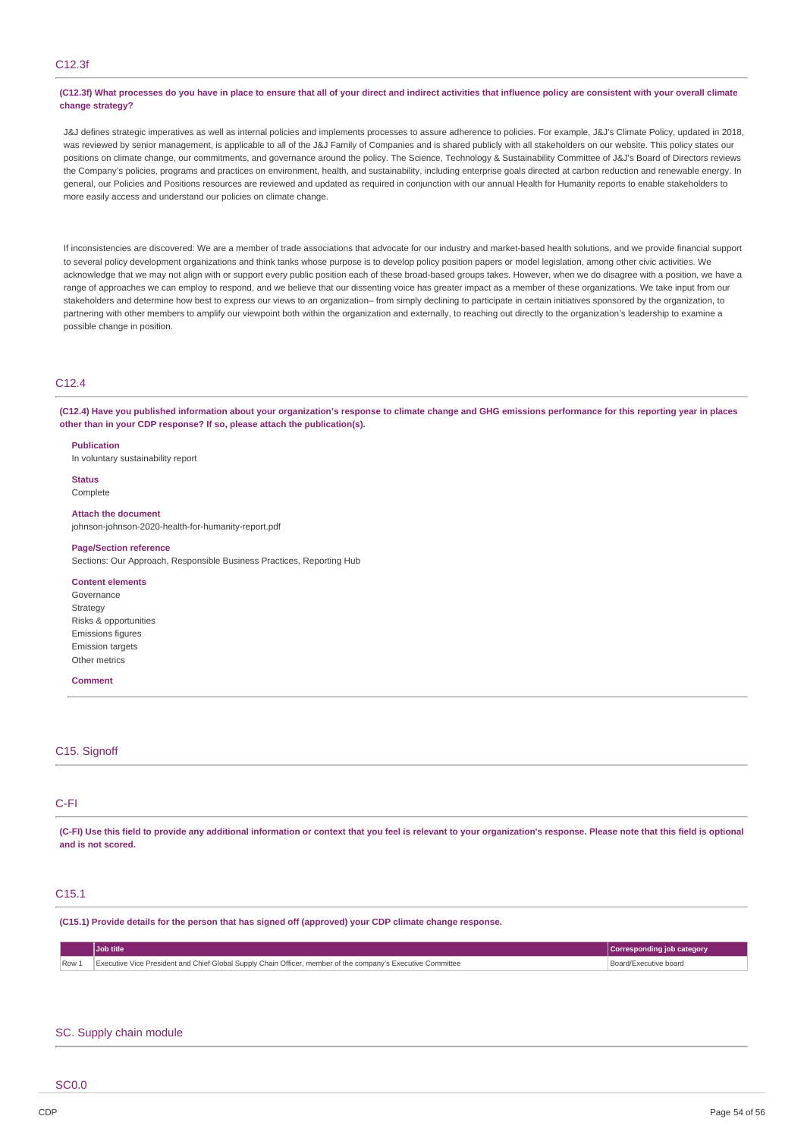### C12.3f

#### (C12.3f) What processes do you have in place to ensure that all of your direct and indirect activities that influence policy are consistent with your overall climate **change strategy?**

J&J defines strategic imperatives as well as internal policies and implements processes to assure adherence to policies. For example, J&J's Climate Policy, updated in 2018, was reviewed by senior management, is applicable to all of the J&J Family of Companies and is shared publicly with all stakeholders on our website. This policy states our positions on climate change, our commitments, and governance around the policy. The Science, Technology & Sustainability Committee of J&J's Board of Directors reviews the Company's policies, programs and practices on environment, health, and sustainability, including enterprise goals directed at carbon reduction and renewable energy. In general, our Policies and Positions resources are reviewed and updated as required in conjunction with our annual Health for Humanity reports to enable stakeholders to more easily access and understand our policies on climate change.

If inconsistencies are discovered: We are a member of trade associations that advocate for our industry and market-based health solutions, and we provide financial support to several policy development organizations and think tanks whose purpose is to develop policy position papers or model legislation, among other civic activities. We acknowledge that we may not align with or support every public position each of these broad-based groups takes. However, when we do disagree with a position, we have a range of approaches we can employ to respond, and we believe that our dissenting voice has greater impact as a member of these organizations. We take input from our stakeholders and determine how best to express our views to an organization– from simply declining to participate in certain initiatives sponsored by the organization, to partnering with other members to amplify our viewpoint both within the organization and externally, to reaching out directly to the organization's leadership to examine a possible change in position.

### C12.4

(C12.4) Have you published information about your organization's response to climate change and GHG emissions performance for this reporting year in places **other than in your CDP response? If so, please attach the publication(s).**

**Publication**

In voluntary sustainability report

**Status** Complete

#### **Attach the document**

johnson-johnson-2020-health-for-humanity-report.pdf

#### **Page/Section reference**

Sections: Our Approach, Responsible Business Practices, Reporting Hub

#### **Content elements**

Governance **Strategy** Risks & opportunities Emissions figures Emission targets Other metrics

#### **Comment**

### C<sub>15</sub>. Signoff

### C-FI

(C-FI) Use this field to provide any additional information or context that you feel is relevant to your organization's response. Please note that this field is optional **and is not scored.**

### C15.1

**(C15.1) Provide details for the person that has signed off (approved) your CDP climate change response.**

Row 1 Executive Vice President and Chief Global Supply Chain Officer, member of the company's Executive Committee Board Board/Executive board

# **Job title Corresponding job category**

#### SC. Supply chain module

SC0.0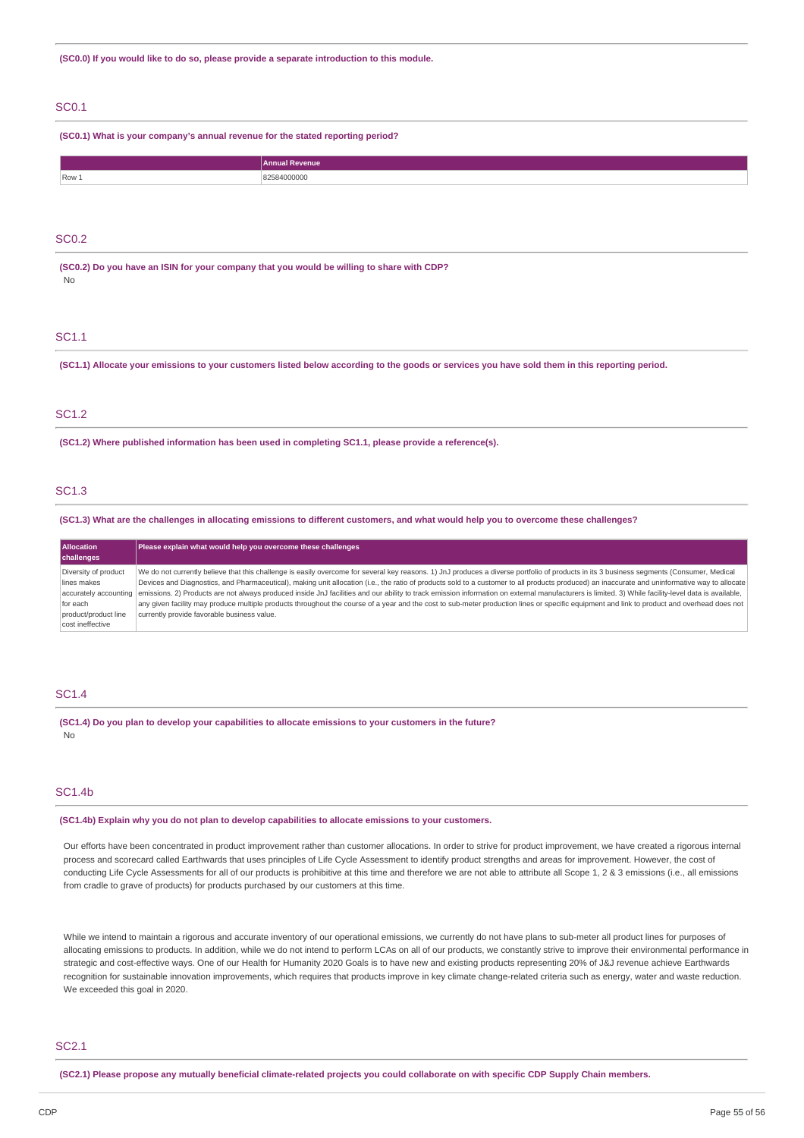**(SC0.0) If you would like to do so, please provide a separate introduction to this module.**

### SC0.1

**(SC0.1) What is your company's annual revenue for the stated reporting period?**

|       | <b>Annual Revenue</b> |
|-------|-----------------------|
| Row 1 | !584000000<br>.       |

### SC0.2

**(SC0.2) Do you have an ISIN for your company that you would be willing to share with CDP?** No

### SC1.1

(SC1.1) Allocate your emissions to your customers listed below according to the goods or services you have sold them in this reporting period.

### SC1.2

**(SC1.2) Where published information has been used in completing SC1.1, please provide a reference(s).**

#### SC1.3

(SC1.3) What are the challenges in allocating emissions to different customers, and what would help you to overcome these challenges?

| <b>Allocation</b><br>challenges | Please explain what would help you overcome these challenges                                                                                                                                                              |
|---------------------------------|---------------------------------------------------------------------------------------------------------------------------------------------------------------------------------------------------------------------------|
| Diversity of product            | We do not currently believe that this challenge is easily overcome for several key reasons. 1) JnJ produces a diverse portfolio of products in its 3 business segments (Consumer, Medical                                 |
| lines makes                     | Devices and Diagnostics, and Pharmaceutical), making unit allocation (i.e., the ratio of products sold to a customer to all products produced) an inaccurate and uninformative way to allocate                            |
|                                 | accurately accounting emissions. 2) Products are not always produced inside JnJ facilities and our ability to track emission information on external manufacturers is limited. 3) While facility-level data is available, |
| for each                        | any given facility may produce multiple products throughout the course of a year and the cost to sub-meter production lines or specific equipment and link to product and overhead does not                               |
| product/product line            | currently provide favorable business value.                                                                                                                                                                               |
| cost ineffective                |                                                                                                                                                                                                                           |

#### SC1.4

**(SC1.4) Do you plan to develop your capabilities to allocate emissions to your customers in the future?** No

### SC1.4b

**(SC1.4b) Explain why you do not plan to develop capabilities to allocate emissions to your customers.**

Our efforts have been concentrated in product improvement rather than customer allocations. In order to strive for product improvement, we have created a rigorous internal process and scorecard called Earthwards that uses principles of Life Cycle Assessment to identify product strengths and areas for improvement. However, the cost of conducting Life Cycle Assessments for all of our products is prohibitive at this time and therefore we are not able to attribute all Scope 1, 2 & 3 emissions (i.e., all emissions from cradle to grave of products) for products purchased by our customers at this time.

While we intend to maintain a rigorous and accurate inventory of our operational emissions, we currently do not have plans to sub-meter all product lines for purposes of allocating emissions to products. In addition, while we do not intend to perform LCAs on all of our products, we constantly strive to improve their environmental performance in strategic and cost-effective ways. One of our Health for Humanity 2020 Goals is to have new and existing products representing 20% of J&J revenue achieve Earthwards recognition for sustainable innovation improvements, which requires that products improve in key climate change-related criteria such as energy, water and waste reduction. We exceeded this goal in 2020.

### SC2.1

(SC2.1) Please propose any mutually beneficial climate-related projects you could collaborate on with specific CDP Supply Chain members.